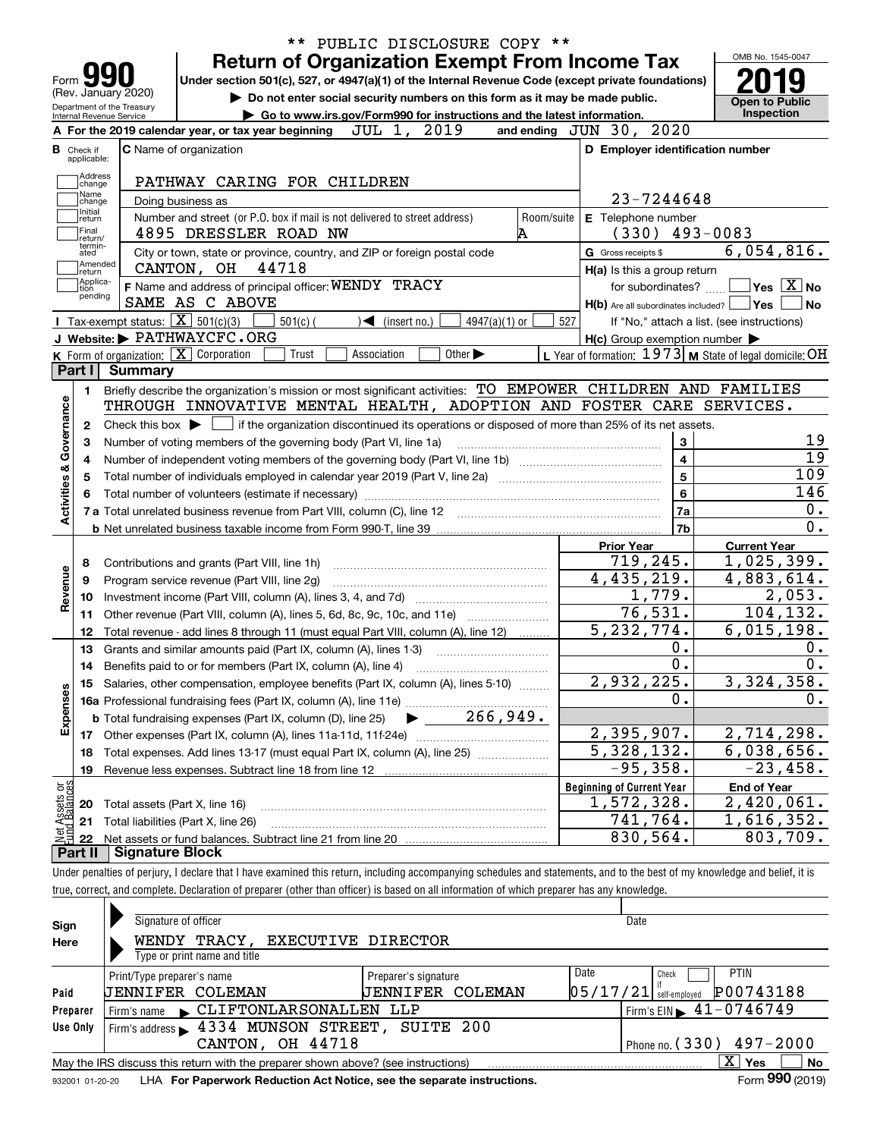|                                      |                                                            | <b>Return of Organization Exempt From Income Tax</b>                                                                                        |                                                           | OMB No. 1545-0047                                                                                                                                  |
|--------------------------------------|------------------------------------------------------------|---------------------------------------------------------------------------------------------------------------------------------------------|-----------------------------------------------------------|----------------------------------------------------------------------------------------------------------------------------------------------------|
| Form <b>Y</b><br>(Rev. January 2020) |                                                            | Under section 501(c), 527, or 4947(a)(1) of the Internal Revenue Code (except private foundations)                                          |                                                           |                                                                                                                                                    |
| Department of the Treasury           |                                                            | Do not enter social security numbers on this form as it may be made public.                                                                 |                                                           | <b>Open to Public</b>                                                                                                                              |
| Internal Revenue Service             |                                                            | Go to www.irs.gov/Form990 for instructions and the latest information.<br>JUL 1, 2019                                                       |                                                           | Inspection                                                                                                                                         |
|                                      |                                                            | A For the 2019 calendar year, or tax year beginning                                                                                         | and ending JUN 30, 2020                                   |                                                                                                                                                    |
| Check if<br>applicable:              |                                                            | C Name of organization                                                                                                                      | D Employer identification number                          |                                                                                                                                                    |
| Address                              |                                                            | PATHWAY CARING FOR CHILDREN                                                                                                                 |                                                           |                                                                                                                                                    |
| change<br>Name                       |                                                            |                                                                                                                                             | 23-7244648                                                |                                                                                                                                                    |
| change<br>Initial                    |                                                            | Doing business as                                                                                                                           |                                                           |                                                                                                                                                    |
| return<br>Final                      |                                                            | Number and street (or P.O. box if mail is not delivered to street address)<br>Room/suite<br>4895 DRESSLER ROAD NW                           | E Telephone number<br>$(330)$ 493-0083                    |                                                                                                                                                    |
| return/<br>termin-                   |                                                            |                                                                                                                                             | G Gross receipts \$                                       | 6,054,816.                                                                                                                                         |
| ated<br> Amended                     |                                                            | City or town, state or province, country, and ZIP or foreign postal code<br>44718<br>CANTON, OH                                             |                                                           |                                                                                                                                                    |
| return<br>Applica-                   |                                                            | F Name and address of principal officer: WENDY TRACY                                                                                        | H(a) Is this a group return<br>for subordinates?          | $\sqrt{}$ Yes $\sqrt{}$ X $\sqrt{}$ No                                                                                                             |
| tion<br>pending                      |                                                            | SAME AS C ABOVE                                                                                                                             | $H(b)$ Are all subordinates included? $\Box$ Yes          |                                                                                                                                                    |
|                                      | <b>I</b> Tax-exempt status: $\boxed{\mathbf{X}}$ 501(c)(3) | $501(c)$ (<br>$\blacktriangleleft$ (insert no.)<br>$4947(a)(1)$ or                                                                          | 527                                                       | If "No," attach a list. (see instructions)                                                                                                         |
|                                      |                                                            | J Website: PATHWAYCFC.ORG                                                                                                                   | $H(c)$ Group exemption number $\blacktriangleright$       |                                                                                                                                                    |
|                                      |                                                            | K Form of organization: $\boxed{\mathbf{X}}$ Corporation<br>Trust<br>Association<br>Other $\blacktriangleright$                             | L Year of formation: $1973$ M State of legal domicile: OH |                                                                                                                                                    |
| Part I                               | Summary                                                    |                                                                                                                                             |                                                           |                                                                                                                                                    |
| 1.                                   |                                                            | Briefly describe the organization's mission or most significant activities: TO EMPOWER CHILDREN AND FAMILIES                                |                                                           |                                                                                                                                                    |
|                                      |                                                            | THROUGH INNOVATIVE MENTAL HEALTH, ADOPTION AND FOSTER CARE SERVICES.                                                                        |                                                           |                                                                                                                                                    |
| 2                                    |                                                            | Check this box $\blacktriangleright$ $\Box$ if the organization discontinued its operations or disposed of more than 25% of its net assets. |                                                           |                                                                                                                                                    |
| З                                    |                                                            | Number of voting members of the governing body (Part VI, line 1a)                                                                           | 3                                                         |                                                                                                                                                    |
| Activities & Governance              |                                                            |                                                                                                                                             | $\overline{\mathbf{4}}$                                   |                                                                                                                                                    |
|                                      |                                                            | Total number of individuals employed in calendar year 2019 (Part V, line 2a) manufacture controller to intervent                            | $\overline{5}$                                            | 109                                                                                                                                                |
|                                      |                                                            |                                                                                                                                             | 6                                                         | 146                                                                                                                                                |
|                                      |                                                            |                                                                                                                                             | 7a                                                        |                                                                                                                                                    |
|                                      |                                                            |                                                                                                                                             |                                                           |                                                                                                                                                    |
|                                      |                                                            |                                                                                                                                             |                                                           |                                                                                                                                                    |
|                                      |                                                            |                                                                                                                                             | 7b                                                        |                                                                                                                                                    |
|                                      |                                                            |                                                                                                                                             | <b>Prior Year</b>                                         | <b>Current Year</b>                                                                                                                                |
| 8<br>9                               |                                                            | Contributions and grants (Part VIII, line 1h)                                                                                               | 719,245.                                                  |                                                                                                                                                    |
| 10                                   |                                                            | Program service revenue (Part VIII, line 2g)                                                                                                | 4,435,219.<br>1,779.                                      |                                                                                                                                                    |
| 11                                   |                                                            |                                                                                                                                             | 76, 531.                                                  |                                                                                                                                                    |
| Revenue<br>12                        |                                                            | Other revenue (Part VIII, column (A), lines 5, 6d, 8c, 9c, 10c, and 11e)                                                                    | 5, 232, 774.                                              |                                                                                                                                                    |
| 13                                   |                                                            | Total revenue - add lines 8 through 11 (must equal Part VIII, column (A), line 12)                                                          | $0$ .                                                     |                                                                                                                                                    |
| 14                                   |                                                            | Grants and similar amounts paid (Part IX, column (A), lines 1-3)                                                                            | $\overline{0}$ .                                          |                                                                                                                                                    |
|                                      |                                                            | Benefits paid to or for members (Part IX, column (A), line 4)                                                                               |                                                           |                                                                                                                                                    |
|                                      |                                                            | 15 Salaries, other compensation, employee benefits (Part IX, column (A), lines 5-10)                                                        | 2,932,225.<br>0.                                          |                                                                                                                                                    |
|                                      |                                                            |                                                                                                                                             |                                                           |                                                                                                                                                    |
| Expenses                             |                                                            |                                                                                                                                             | 2,395,907.                                                |                                                                                                                                                    |
| 18                                   |                                                            | Total expenses. Add lines 13-17 (must equal Part IX, column (A), line 25)                                                                   | $\overline{5}$ , 328, 132.                                |                                                                                                                                                    |
| 19                                   |                                                            | Revenue less expenses. Subtract line 18 from line 12                                                                                        | $-95,358.$                                                | 1,025,399.<br>4,883,614.<br>$\overline{2}$ , 053.<br>104, 132.<br>$\overline{6,015,198}$ .<br>3,324,358.<br>2,714,298.<br>6,038,656.<br>$-23,458.$ |
|                                      |                                                            |                                                                                                                                             | <b>Beginning of Current Year</b>                          | <b>End of Year</b>                                                                                                                                 |
| 20                                   |                                                            | Total assets (Part X, line 16)                                                                                                              | 1,572,328.                                                | 2,420,061.                                                                                                                                         |
| : Assets or<br>d Balances<br>21      |                                                            | Total liabilities (Part X, line 26)                                                                                                         | 741,764.                                                  | 1,616,352.                                                                                                                                         |
| 是<br>全日<br>22                        |                                                            |                                                                                                                                             | 830,564.                                                  | 803,709.                                                                                                                                           |

| Sign     | Signature of officer       |                                                                                   |                                                                                                                                                                                                                                |          | Date                                            |                                |
|----------|----------------------------|-----------------------------------------------------------------------------------|--------------------------------------------------------------------------------------------------------------------------------------------------------------------------------------------------------------------------------|----------|-------------------------------------------------|--------------------------------|
| Here     |                            | WENDY TRACY, EXECUTIVE DIRECTOR                                                   |                                                                                                                                                                                                                                |          |                                                 |                                |
|          |                            | Type or print name and title                                                      |                                                                                                                                                                                                                                |          |                                                 |                                |
|          | Print/Type preparer's name |                                                                                   | Preparer's signature                                                                                                                                                                                                           | Date     | Check                                           | <b>PTIN</b>                    |
| Paid     | JENNIFER COLEMAN           |                                                                                   | <b>JENNIFER COLEMAN</b>                                                                                                                                                                                                        | 05/17/21 | self-employed                                   | P00743188                      |
| Preparer |                            | Firm's name CLIFTONLARSONALLEN LLP                                                |                                                                                                                                                                                                                                |          | $'$ Firm's EIN $\blacktriangleright$ 41-0746749 |                                |
| Use Only |                            | Firm's address 5 4334 MUNSON STREET, SUITE 200                                    |                                                                                                                                                                                                                                |          |                                                 |                                |
|          |                            | CANTON, OH 44718                                                                  |                                                                                                                                                                                                                                |          | Phone no. $(330)$ 497-2000                      |                                |
|          |                            | May the IRS discuss this return with the preparer shown above? (see instructions) |                                                                                                                                                                                                                                |          |                                                 | X.<br>No<br>Yes                |
|          |                            |                                                                                   | and the second control of the Captain Control Control and the second and the control of the control of the control of the Control of the Control of the Control of the Control of the Control of the Control of the Control of |          |                                                 | $T_{\text{max}}$ 000 $(0.010)$ |

932001 01-20-20 **For Paperwork Reduction Act Notice, see the separate instructions.** LHA Form (2019)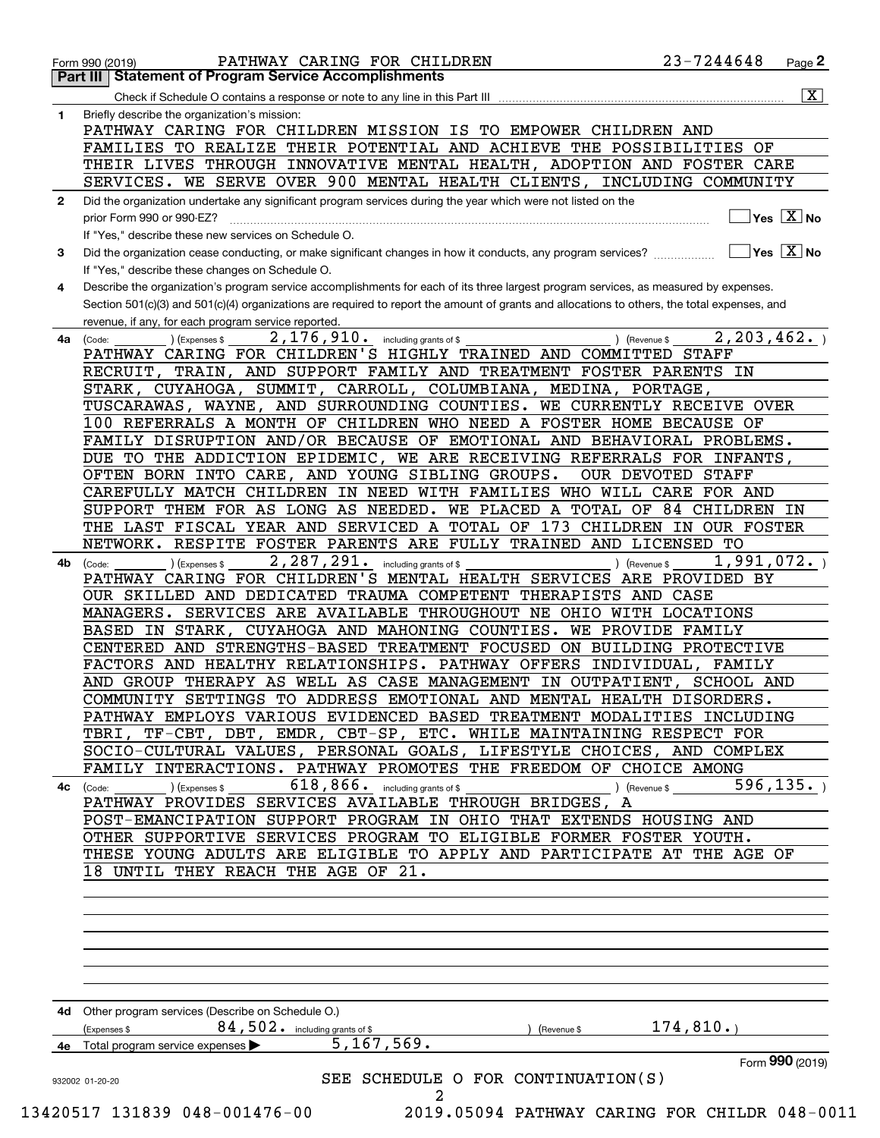|              | PATHWAY CARING FOR CHILDREN<br>Form 990 (2019)<br><b>Part III   Statement of Program Service Accomplishments</b>                             | 23-7244648<br>Page <sup>2</sup>          |
|--------------|----------------------------------------------------------------------------------------------------------------------------------------------|------------------------------------------|
|              | Check if Schedule O contains a response or note to any line in this Part III                                                                 | $\overline{\mathbf{x}}$                  |
| 1.           | Briefly describe the organization's mission:                                                                                                 |                                          |
|              | PATHWAY CARING FOR CHILDREN MISSION IS TO EMPOWER CHILDREN AND                                                                               |                                          |
|              | FAMILIES TO REALIZE THEIR POTENTIAL AND ACHIEVE THE POSSIBILITIES OF                                                                         |                                          |
|              |                                                                                                                                              |                                          |
|              | THEIR LIVES THROUGH INNOVATIVE MENTAL HEALTH, ADOPTION AND FOSTER CARE                                                                       |                                          |
|              | SERVICES. WE SERVE OVER 900 MENTAL HEALTH CLIENTS, INCLUDING COMMUNITY                                                                       |                                          |
| $\mathbf{2}$ | Did the organization undertake any significant program services during the year which were not listed on the                                 |                                          |
|              | prior Form 990 or 990-EZ?                                                                                                                    | $\sqrt{}$ Yes $\sqrt{X}$ No              |
|              | If "Yes," describe these new services on Schedule O.                                                                                         |                                          |
| 3            | Did the organization cease conducting, or make significant changes in how it conducts, any program services?                                 | $\blacksquare$ Yes $\boxed{\text{X}}$ No |
|              | If "Yes," describe these changes on Schedule O.                                                                                              |                                          |
| 4            | Describe the organization's program service accomplishments for each of its three largest program services, as measured by expenses.         |                                          |
|              |                                                                                                                                              |                                          |
|              | Section 501(c)(3) and 501(c)(4) organizations are required to report the amount of grants and allocations to others, the total expenses, and |                                          |
|              | revenue, if any, for each program service reported.                                                                                          |                                          |
| 4a           | 2, 176, 910. including grants of \$<br>) (Revenue \$<br>(Code:<br>(Expenses \$                                                               | 2, 203, 462.                             |
|              | PATHWAY CARING FOR CHILDREN'S HIGHLY TRAINED AND COMMITTED STAFF                                                                             |                                          |
|              | RECRUIT, TRAIN, AND SUPPORT FAMILY AND TREATMENT FOSTER PARENTS IN                                                                           |                                          |
|              | STARK, CUYAHOGA, SUMMIT, CARROLL, COLUMBIANA, MEDINA, PORTAGE,                                                                               |                                          |
|              | TUSCARAWAS, WAYNE, AND SURROUNDING COUNTIES. WE CURRENTLY RECEIVE OVER                                                                       |                                          |
|              | 100 REFERRALS A MONTH OF CHILDREN WHO NEED A FOSTER HOME BECAUSE OF                                                                          |                                          |
|              | FAMILY DISRUPTION AND/OR BECAUSE OF EMOTIONAL AND BEHAVIORAL PROBLEMS.                                                                       |                                          |
|              | DUE TO THE ADDICTION EPIDEMIC, WE ARE RECEIVING REFERRALS FOR INFANTS,                                                                       |                                          |
|              | OFTEN BORN INTO CARE, AND YOUNG SIBLING GROUPS.<br><b>OUR DEVOTED STAFF</b>                                                                  |                                          |
|              | CAREFULLY MATCH CHILDREN IN NEED WITH FAMILIES WHO WILL CARE FOR AND                                                                         |                                          |
|              | SUPPORT THEM FOR AS LONG AS NEEDED. WE PLACED A TOTAL OF 84 CHILDREN IN                                                                      |                                          |
|              |                                                                                                                                              |                                          |
|              | THE LAST FISCAL YEAR AND SERVICED A TOTAL OF 173 CHILDREN IN OUR FOSTER                                                                      |                                          |
|              | NETWORK. RESPITE FOSTER PARENTS ARE FULLY TRAINED AND LICENSED TO                                                                            |                                          |
| 4b           | 2, 287, 291. including grants of \$<br>) (Revenue \$<br>(Code:<br>(Expenses \$                                                               | 1,991,072.                               |
|              | PATHWAY CARING FOR CHILDREN'S MENTAL HEALTH SERVICES ARE PROVIDED BY                                                                         |                                          |
|              | OUR SKILLED AND DEDICATED TRAUMA COMPETENT THERAPISTS AND CASE                                                                               |                                          |
|              | MANAGERS. SERVICES ARE AVAILABLE THROUGHOUT NE OHIO WITH LOCATIONS                                                                           |                                          |
|              | BASED IN STARK, CUYAHOGA AND MAHONING COUNTIES. WE PROVIDE FAMILY                                                                            |                                          |
|              | CENTERED AND STRENGTHS-BASED TREATMENT FOCUSED ON BUILDING PROTECTIVE                                                                        |                                          |
|              | FACTORS AND HEALTHY RELATIONSHIPS. PATHWAY OFFERS INDIVIDUAL, FAMILY                                                                         |                                          |
|              | AND GROUP THERAPY AS WELL AS CASE MANAGEMENT IN OUTPATIENT, SCHOOL AND                                                                       |                                          |
|              | COMMUNITY SETTINGS TO ADDRESS EMOTIONAL AND MENTAL HEALTH DISORDERS.                                                                         |                                          |
|              | PATHWAY EMPLOYS VARIOUS EVIDENCED BASED TREATMENT MODALITIES INCLUDING                                                                       |                                          |
|              | TBRI, TF-CBT, DBT, EMDR, CBT-SP, ETC. WHILE MAINTAINING RESPECT FOR                                                                          |                                          |
|              | SOCIO-CULTURAL VALUES, PERSONAL GOALS, LIFESTYLE CHOICES, AND COMPLEX                                                                        |                                          |
|              | FAMILY INTERACTIONS. PATHWAY PROMOTES THE FREEDOM OF CHOICE AMONG                                                                            |                                          |
|              | $618, 866$ . including grants of \$                                                                                                          | 596, 135.                                |
|              | $\overline{4c}$ (Code: ) (Expenses \$<br>$\sqrt{2}$ (Revenue \$                                                                              |                                          |
|              | PATHWAY PROVIDES SERVICES AVAILABLE THROUGH BRIDGES, A                                                                                       |                                          |
|              | POST-EMANCIPATION SUPPORT PROGRAM IN OHIO THAT EXTENDS HOUSING AND                                                                           |                                          |
|              | OTHER SUPPORTIVE SERVICES PROGRAM TO ELIGIBLE FORMER FOSTER YOUTH.                                                                           |                                          |
|              | THESE YOUNG ADULTS ARE ELIGIBLE TO APPLY AND PARTICIPATE AT THE AGE OF                                                                       |                                          |
|              | 18 UNTIL THEY REACH THE AGE OF 21.                                                                                                           |                                          |
|              |                                                                                                                                              |                                          |
|              |                                                                                                                                              |                                          |
|              |                                                                                                                                              |                                          |
|              |                                                                                                                                              |                                          |
|              |                                                                                                                                              |                                          |
|              |                                                                                                                                              |                                          |
|              |                                                                                                                                              |                                          |
|              |                                                                                                                                              |                                          |
|              | 4d Other program services (Describe on Schedule O.)                                                                                          | 174,810.                                 |
|              | 84,502. including grants of \$<br>(Expenses \$<br>(Revenue \$<br>5, 167, 569.                                                                |                                          |
|              | 4e Total program service expenses                                                                                                            |                                          |
|              |                                                                                                                                              |                                          |
|              |                                                                                                                                              | Form 990 (2019)                          |
|              | SEE SCHEDULE O FOR CONTINUATION(S)<br>932002 01-20-20<br>2                                                                                   |                                          |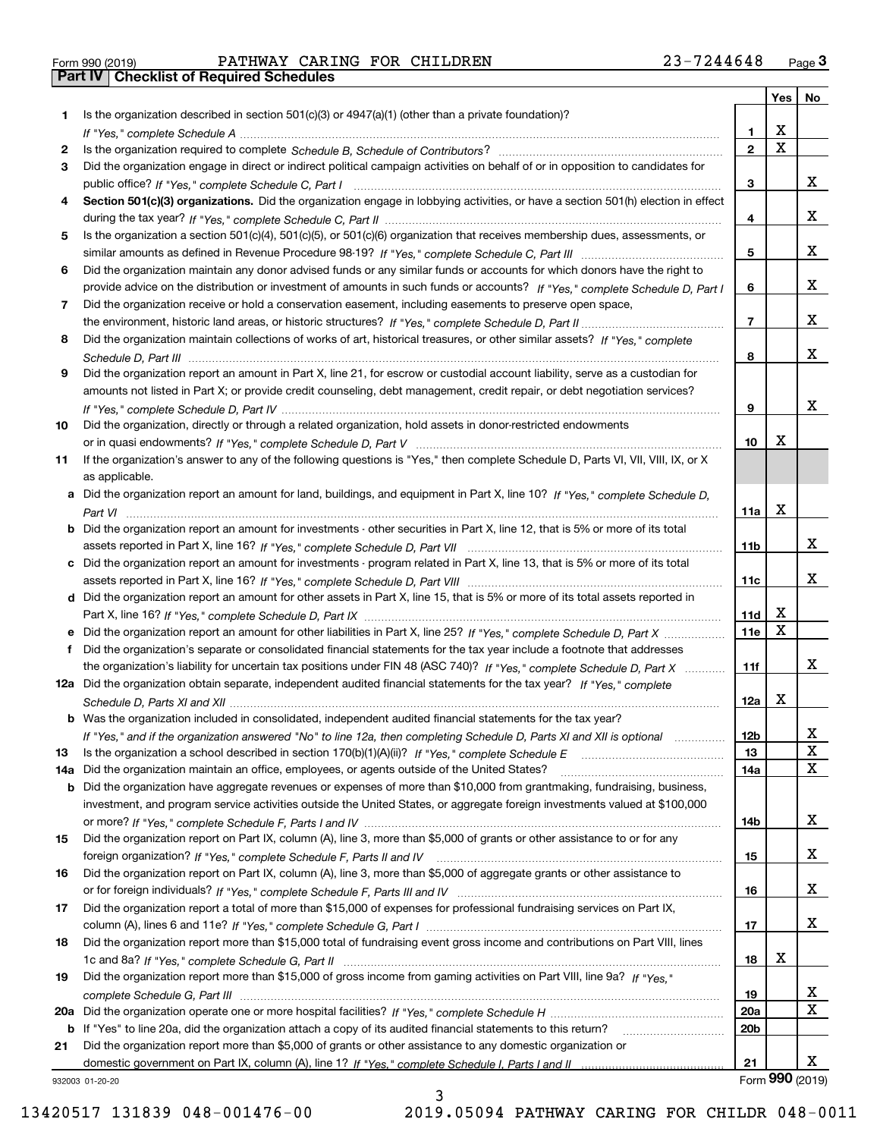| Form 990 (2019) |  |  |
|-----------------|--|--|

Form 990 (2019) Page **3Part IV Checklist of Required Schedules** PATHWAY CARING FOR CHILDREN 23-7244648

|     |                                                                                                                                                                                                                                                    |                 | Yes                     | No              |
|-----|----------------------------------------------------------------------------------------------------------------------------------------------------------------------------------------------------------------------------------------------------|-----------------|-------------------------|-----------------|
| 1.  | Is the organization described in section $501(c)(3)$ or $4947(a)(1)$ (other than a private foundation)?                                                                                                                                            |                 |                         |                 |
|     |                                                                                                                                                                                                                                                    | 1               | X                       |                 |
| 2   |                                                                                                                                                                                                                                                    | $\overline{2}$  | $\overline{\mathbf{x}}$ |                 |
| 3   | Did the organization engage in direct or indirect political campaign activities on behalf of or in opposition to candidates for                                                                                                                    |                 |                         |                 |
|     |                                                                                                                                                                                                                                                    | 3               |                         | x               |
| 4   | Section 501(c)(3) organizations. Did the organization engage in lobbying activities, or have a section 501(h) election in effect                                                                                                                   |                 |                         |                 |
|     |                                                                                                                                                                                                                                                    | 4               |                         | x               |
| 5   | Is the organization a section 501(c)(4), 501(c)(5), or 501(c)(6) organization that receives membership dues, assessments, or                                                                                                                       |                 |                         | x               |
|     |                                                                                                                                                                                                                                                    | 5               |                         |                 |
| 6   | Did the organization maintain any donor advised funds or any similar funds or accounts for which donors have the right to                                                                                                                          | 6               |                         | x               |
| 7   | provide advice on the distribution or investment of amounts in such funds or accounts? If "Yes," complete Schedule D, Part I<br>Did the organization receive or hold a conservation easement, including easements to preserve open space,          |                 |                         |                 |
|     |                                                                                                                                                                                                                                                    | $\overline{7}$  |                         | x               |
| 8   | Did the organization maintain collections of works of art, historical treasures, or other similar assets? If "Yes," complete                                                                                                                       |                 |                         |                 |
|     |                                                                                                                                                                                                                                                    | 8               |                         | x               |
| 9   | Did the organization report an amount in Part X, line 21, for escrow or custodial account liability, serve as a custodian for                                                                                                                      |                 |                         |                 |
|     | amounts not listed in Part X; or provide credit counseling, debt management, credit repair, or debt negotiation services?                                                                                                                          |                 |                         |                 |
|     |                                                                                                                                                                                                                                                    | 9               |                         | x               |
| 10  | Did the organization, directly or through a related organization, hold assets in donor-restricted endowments                                                                                                                                       |                 |                         |                 |
|     |                                                                                                                                                                                                                                                    | 10              | Х                       |                 |
| 11  | If the organization's answer to any of the following questions is "Yes," then complete Schedule D, Parts VI, VII, VIII, IX, or X                                                                                                                   |                 |                         |                 |
|     | as applicable.                                                                                                                                                                                                                                     |                 |                         |                 |
|     | a Did the organization report an amount for land, buildings, and equipment in Part X, line 10? If "Yes," complete Schedule D,                                                                                                                      |                 |                         |                 |
|     |                                                                                                                                                                                                                                                    | 11a             | Х                       |                 |
|     | <b>b</b> Did the organization report an amount for investments - other securities in Part X, line 12, that is 5% or more of its total                                                                                                              |                 |                         |                 |
|     |                                                                                                                                                                                                                                                    | 11 <sub>b</sub> |                         | x               |
|     | c Did the organization report an amount for investments - program related in Part X, line 13, that is 5% or more of its total                                                                                                                      |                 |                         |                 |
|     |                                                                                                                                                                                                                                                    | 11c             |                         | X.              |
|     | d Did the organization report an amount for other assets in Part X, line 15, that is 5% or more of its total assets reported in                                                                                                                    |                 | х                       |                 |
|     |                                                                                                                                                                                                                                                    | 11d<br>11e      | X                       |                 |
| f   | e Did the organization report an amount for other liabilities in Part X, line 25? If "Yes," complete Schedule D, Part X<br>Did the organization's separate or consolidated financial statements for the tax year include a footnote that addresses |                 |                         |                 |
|     | the organization's liability for uncertain tax positions under FIN 48 (ASC 740)? If "Yes," complete Schedule D, Part X                                                                                                                             | 11f             |                         | X.              |
|     | 12a Did the organization obtain separate, independent audited financial statements for the tax year? If "Yes," complete                                                                                                                            |                 |                         |                 |
|     |                                                                                                                                                                                                                                                    | 12a             | Х                       |                 |
|     | <b>b</b> Was the organization included in consolidated, independent audited financial statements for the tax year?                                                                                                                                 |                 |                         |                 |
|     | If "Yes," and if the organization answered "No" to line 12a, then completing Schedule D, Parts XI and XII is optional                                                                                                                              | 12b             |                         | A               |
| 13  |                                                                                                                                                                                                                                                    | 13              |                         | $\mathbf X$     |
| 14a | Did the organization maintain an office, employees, or agents outside of the United States?                                                                                                                                                        | 14a             |                         | X               |
|     | <b>b</b> Did the organization have aggregate revenues or expenses of more than \$10,000 from grantmaking, fundraising, business,                                                                                                                   |                 |                         |                 |
|     | investment, and program service activities outside the United States, or aggregate foreign investments valued at \$100,000                                                                                                                         |                 |                         |                 |
|     |                                                                                                                                                                                                                                                    | 14b             |                         | X.              |
| 15  | Did the organization report on Part IX, column (A), line 3, more than \$5,000 of grants or other assistance to or for any                                                                                                                          |                 |                         |                 |
|     |                                                                                                                                                                                                                                                    | 15              |                         | x               |
| 16  | Did the organization report on Part IX, column (A), line 3, more than \$5,000 of aggregate grants or other assistance to                                                                                                                           |                 |                         |                 |
|     |                                                                                                                                                                                                                                                    | 16              |                         | x               |
| 17  | Did the organization report a total of more than \$15,000 of expenses for professional fundraising services on Part IX,                                                                                                                            | 17              |                         | x               |
| 18  | Did the organization report more than \$15,000 total of fundraising event gross income and contributions on Part VIII, lines                                                                                                                       |                 |                         |                 |
|     |                                                                                                                                                                                                                                                    | 18              | х                       |                 |
| 19  | Did the organization report more than \$15,000 of gross income from gaming activities on Part VIII, line 9a? If "Yes."                                                                                                                             |                 |                         |                 |
|     |                                                                                                                                                                                                                                                    | 19              |                         | X.              |
|     |                                                                                                                                                                                                                                                    | 20a             |                         | X               |
|     | b If "Yes" to line 20a, did the organization attach a copy of its audited financial statements to this return?                                                                                                                                     | 20 <sub>b</sub> |                         |                 |
| 21  | Did the organization report more than \$5,000 of grants or other assistance to any domestic organization or                                                                                                                                        |                 |                         |                 |
|     |                                                                                                                                                                                                                                                    | 21              |                         | x               |
|     | 932003 01-20-20                                                                                                                                                                                                                                    |                 |                         | Form 990 (2019) |

932003 01-20-20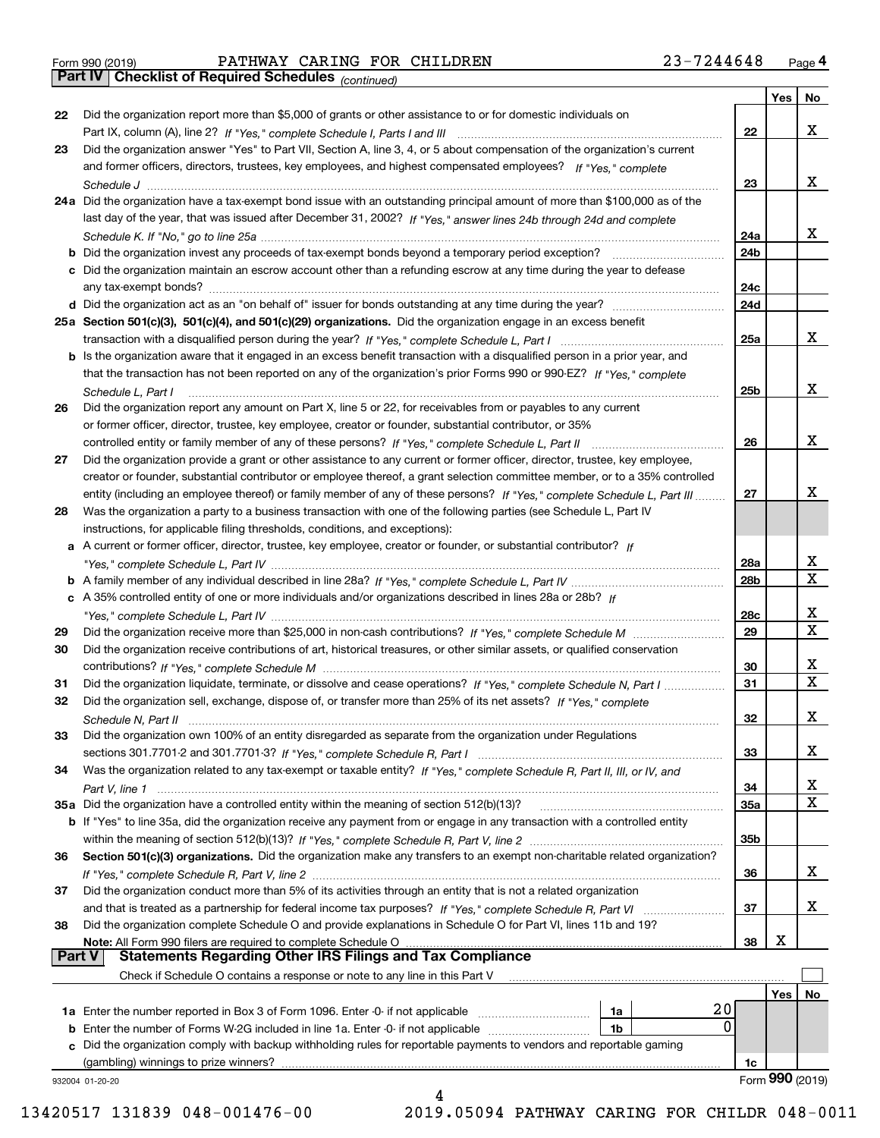|  | Form 990 (2019) |  |
|--|-----------------|--|
|  |                 |  |

Form 990 (2019) Page **4Part IV Checklist of Required Schedules** PATHWAY CARING FOR CHILDREN 23-7244648

*(continued)*

|               |                                                                                                                                    |                 | Yes | No              |
|---------------|------------------------------------------------------------------------------------------------------------------------------------|-----------------|-----|-----------------|
| 22            | Did the organization report more than \$5,000 of grants or other assistance to or for domestic individuals on                      |                 |     |                 |
|               |                                                                                                                                    | 22              |     | x               |
| 23            | Did the organization answer "Yes" to Part VII, Section A, line 3, 4, or 5 about compensation of the organization's current         |                 |     |                 |
|               | and former officers, directors, trustees, key employees, and highest compensated employees? If "Yes," complete                     |                 |     |                 |
|               |                                                                                                                                    | 23              |     | х               |
|               | 24a Did the organization have a tax-exempt bond issue with an outstanding principal amount of more than \$100,000 as of the        |                 |     |                 |
|               | last day of the year, that was issued after December 31, 2002? If "Yes," answer lines 24b through 24d and complete                 |                 |     |                 |
|               |                                                                                                                                    | 24a             |     | x.              |
|               | <b>b</b> Did the organization invest any proceeds of tax-exempt bonds beyond a temporary period exception?                         | 24 <sub>b</sub> |     |                 |
|               | c Did the organization maintain an escrow account other than a refunding escrow at any time during the year to defease             |                 |     |                 |
|               | any tax-exempt bonds?                                                                                                              | 24c             |     |                 |
|               | d Did the organization act as an "on behalf of" issuer for bonds outstanding at any time during the year?                          | 24d             |     |                 |
|               | 25a Section 501(c)(3), 501(c)(4), and 501(c)(29) organizations. Did the organization engage in an excess benefit                   |                 |     |                 |
|               |                                                                                                                                    | 25a             |     | x               |
|               | b Is the organization aware that it engaged in an excess benefit transaction with a disqualified person in a prior year, and       |                 |     |                 |
|               | that the transaction has not been reported on any of the organization's prior Forms 990 or 990-EZ? If "Yes," complete              |                 |     |                 |
|               | Schedule L, Part I                                                                                                                 | 25b             |     | x               |
| 26            | Did the organization report any amount on Part X, line 5 or 22, for receivables from or payables to any current                    |                 |     |                 |
|               | or former officer, director, trustee, key employee, creator or founder, substantial contributor, or 35%                            |                 |     |                 |
|               |                                                                                                                                    | 26              |     | х               |
| 27            | Did the organization provide a grant or other assistance to any current or former officer, director, trustee, key employee,        |                 |     |                 |
|               | creator or founder, substantial contributor or employee thereof, a grant selection committee member, or to a 35% controlled        |                 |     |                 |
|               | entity (including an employee thereof) or family member of any of these persons? If "Yes," complete Schedule L, Part III           | 27              |     | x               |
| 28            | Was the organization a party to a business transaction with one of the following parties (see Schedule L, Part IV                  |                 |     |                 |
|               | instructions, for applicable filing thresholds, conditions, and exceptions):                                                       |                 |     |                 |
|               | a A current or former officer, director, trustee, key employee, creator or founder, or substantial contributor? If                 |                 |     |                 |
|               |                                                                                                                                    | 28a             |     | х               |
|               |                                                                                                                                    | 28 <sub>b</sub> |     | Χ               |
|               | c A 35% controlled entity of one or more individuals and/or organizations described in lines 28a or 28b? If                        |                 |     |                 |
|               |                                                                                                                                    | 28c             |     | х               |
| 29            |                                                                                                                                    | 29              |     | $\mathbf X$     |
| 30            | Did the organization receive contributions of art, historical treasures, or other similar assets, or qualified conservation        |                 |     |                 |
|               |                                                                                                                                    | 30              |     | x               |
| 31            | Did the organization liquidate, terminate, or dissolve and cease operations? If "Yes," complete Schedule N, Part I                 | 31              |     | $\mathbf X$     |
| 32            | Did the organization sell, exchange, dispose of, or transfer more than 25% of its net assets? If "Yes," complete                   |                 |     |                 |
|               |                                                                                                                                    | 32              |     | х               |
| 33            | Did the organization own 100% of an entity disregarded as separate from the organization under Regulations                         |                 |     |                 |
|               |                                                                                                                                    | 33              |     | х               |
| 34            | Was the organization related to any tax-exempt or taxable entity? If "Yes," complete Schedule R, Part II, III, or IV, and          |                 |     |                 |
|               |                                                                                                                                    | 34              |     | x               |
|               | 35a Did the organization have a controlled entity within the meaning of section 512(b)(13)?                                        | 35a             |     | Χ               |
|               | <b>b</b> If "Yes" to line 35a, did the organization receive any payment from or engage in any transaction with a controlled entity |                 |     |                 |
|               |                                                                                                                                    | 35b             |     |                 |
| 36            | Section 501(c)(3) organizations. Did the organization make any transfers to an exempt non-charitable related organization?         |                 |     |                 |
|               |                                                                                                                                    | 36              |     | х               |
| 37            | Did the organization conduct more than 5% of its activities through an entity that is not a related organization                   |                 |     |                 |
|               |                                                                                                                                    | 37              |     | х               |
| 38            | Did the organization complete Schedule O and provide explanations in Schedule O for Part VI, lines 11b and 19?                     |                 |     |                 |
|               | Note: All Form 990 filers are required to complete Schedule O                                                                      | 38              | х   |                 |
| <b>Part V</b> | <b>Statements Regarding Other IRS Filings and Tax Compliance</b>                                                                   |                 |     |                 |
|               | Check if Schedule O contains a response or note to any line in this Part V                                                         |                 |     |                 |
|               |                                                                                                                                    |                 | Yes | No              |
|               | 20<br>1a                                                                                                                           |                 |     |                 |
|               | 0<br><b>b</b> Enter the number of Forms W-2G included in line 1a. Enter -0- if not applicable<br>1b                                |                 |     |                 |
|               | c Did the organization comply with backup withholding rules for reportable payments to vendors and reportable gaming               |                 |     |                 |
|               | (gambling) winnings to prize winners?                                                                                              | 1c              |     |                 |
|               | 932004 01-20-20                                                                                                                    |                 |     | Form 990 (2019) |
|               | 4                                                                                                                                  |                 |     |                 |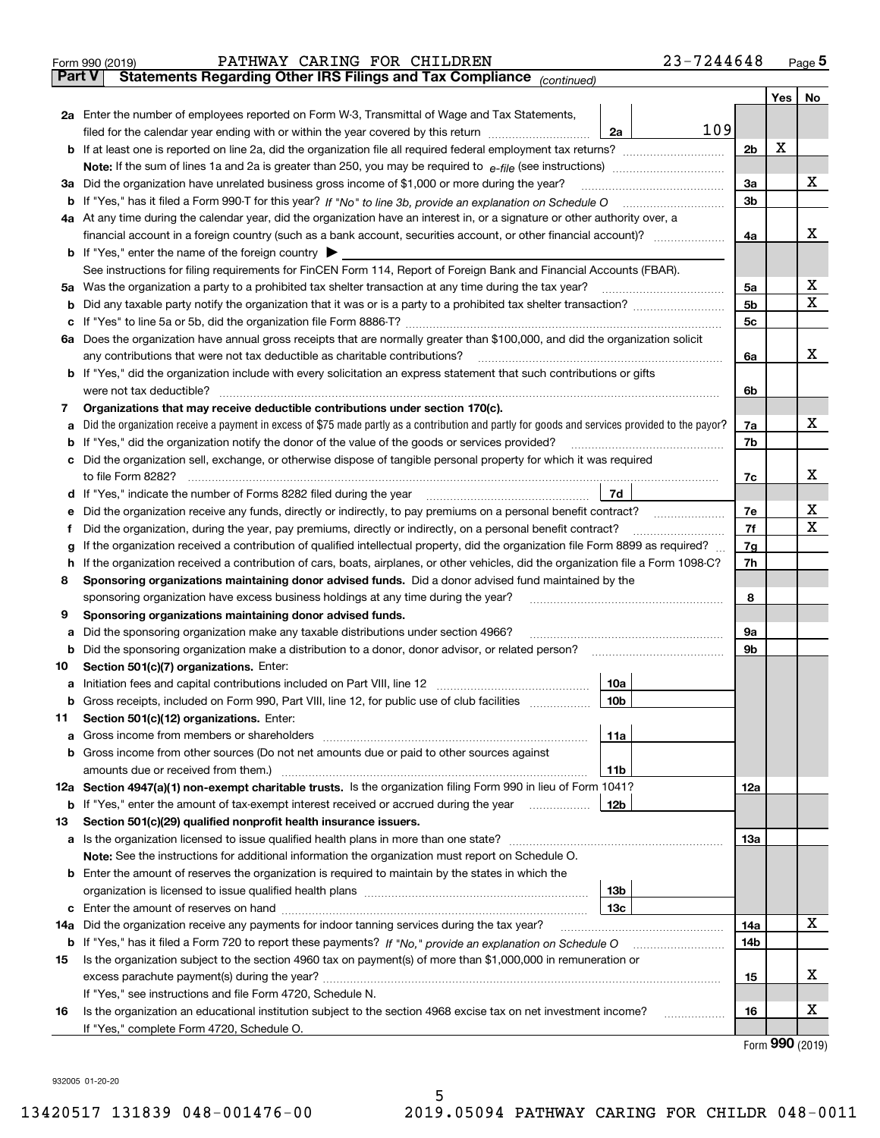|               | PATHWAY CARING FOR CHILDREN<br>Form 990 (2019)                                                                                                                             | 23-7244648     |     | $_{\text{Page}}$ 5  |  |  |  |  |  |  |  |
|---------------|----------------------------------------------------------------------------------------------------------------------------------------------------------------------------|----------------|-----|---------------------|--|--|--|--|--|--|--|
| <b>Part V</b> | Statements Regarding Other IRS Filings and Tax Compliance (continued)                                                                                                      |                |     |                     |  |  |  |  |  |  |  |
|               |                                                                                                                                                                            |                | Yes | No                  |  |  |  |  |  |  |  |
|               | 2a Enter the number of employees reported on Form W-3, Transmittal of Wage and Tax Statements,                                                                             |                |     |                     |  |  |  |  |  |  |  |
|               | filed for the calendar year ending with or within the year covered by this return<br>2a                                                                                    | 109            |     |                     |  |  |  |  |  |  |  |
|               |                                                                                                                                                                            |                |     |                     |  |  |  |  |  |  |  |
|               |                                                                                                                                                                            |                |     |                     |  |  |  |  |  |  |  |
| За            | Did the organization have unrelated business gross income of \$1,000 or more during the year?                                                                              |                |     |                     |  |  |  |  |  |  |  |
|               |                                                                                                                                                                            | 3a<br>3b       |     |                     |  |  |  |  |  |  |  |
|               | 4a At any time during the calendar year, did the organization have an interest in, or a signature or other authority over, a                                               |                |     |                     |  |  |  |  |  |  |  |
|               |                                                                                                                                                                            | 4a             |     | х                   |  |  |  |  |  |  |  |
|               | <b>b</b> If "Yes," enter the name of the foreign country $\blacktriangleright$                                                                                             |                |     |                     |  |  |  |  |  |  |  |
|               | See instructions for filing requirements for FinCEN Form 114, Report of Foreign Bank and Financial Accounts (FBAR).                                                        |                |     |                     |  |  |  |  |  |  |  |
| 5a            | Was the organization a party to a prohibited tax shelter transaction at any time during the tax year?                                                                      | 5a             |     | х                   |  |  |  |  |  |  |  |
| b             |                                                                                                                                                                            | 5 <sub>b</sub> |     | X                   |  |  |  |  |  |  |  |
|               |                                                                                                                                                                            | 5c             |     |                     |  |  |  |  |  |  |  |
| с             | 6a Does the organization have annual gross receipts that are normally greater than \$100,000, and did the organization solicit                                             |                |     |                     |  |  |  |  |  |  |  |
|               |                                                                                                                                                                            |                |     | x                   |  |  |  |  |  |  |  |
|               | any contributions that were not tax deductible as charitable contributions?                                                                                                | 6a             |     |                     |  |  |  |  |  |  |  |
|               | <b>b</b> If "Yes," did the organization include with every solicitation an express statement that such contributions or gifts                                              |                |     |                     |  |  |  |  |  |  |  |
|               | were not tax deductible?                                                                                                                                                   | 6b             |     |                     |  |  |  |  |  |  |  |
| 7             | Organizations that may receive deductible contributions under section 170(c).                                                                                              |                |     |                     |  |  |  |  |  |  |  |
| а             | Did the organization receive a payment in excess of \$75 made partly as a contribution and partly for goods and services provided to the payor?                            | 7a             |     | x                   |  |  |  |  |  |  |  |
| b             | If "Yes," did the organization notify the donor of the value of the goods or services provided?                                                                            | 7b             |     |                     |  |  |  |  |  |  |  |
| с             | Did the organization sell, exchange, or otherwise dispose of tangible personal property for which it was required                                                          |                |     |                     |  |  |  |  |  |  |  |
|               |                                                                                                                                                                            | 7c             |     | х                   |  |  |  |  |  |  |  |
|               | 7d<br>d If "Yes," indicate the number of Forms 8282 filed during the year [11,111] The set response to the number of Forms 8282 filed during the year                      |                |     |                     |  |  |  |  |  |  |  |
| е             |                                                                                                                                                                            | 7e             |     | х                   |  |  |  |  |  |  |  |
| f             | Did the organization, during the year, pay premiums, directly or indirectly, on a personal benefit contract?                                                               | 7f             |     | X                   |  |  |  |  |  |  |  |
| g             | If the organization received a contribution of qualified intellectual property, did the organization file Form 8899 as required?                                           | 7g             |     |                     |  |  |  |  |  |  |  |
| h             | If the organization received a contribution of cars, boats, airplanes, or other vehicles, did the organization file a Form 1098-C?                                         | 7h             |     |                     |  |  |  |  |  |  |  |
| 8             | Sponsoring organizations maintaining donor advised funds. Did a donor advised fund maintained by the                                                                       |                |     |                     |  |  |  |  |  |  |  |
|               | sponsoring organization have excess business holdings at any time during the year?                                                                                         | 8              |     |                     |  |  |  |  |  |  |  |
| 9             | Sponsoring organizations maintaining donor advised funds.                                                                                                                  |                |     |                     |  |  |  |  |  |  |  |
| а             | Did the sponsoring organization make any taxable distributions under section 4966?                                                                                         | 9а             |     |                     |  |  |  |  |  |  |  |
| b             | Did the sponsoring organization make a distribution to a donor, donor advisor, or related person?                                                                          | 9b             |     |                     |  |  |  |  |  |  |  |
| 10            | Section 501(c)(7) organizations. Enter:                                                                                                                                    |                |     |                     |  |  |  |  |  |  |  |
|               | 10a<br>a Initiation fees and capital contributions included on Part VIII, line 12 [111] [11] [11] Initiation fees and capital contributions included on Part VIII, line 12 |                |     |                     |  |  |  |  |  |  |  |
|               | 10 <sub>b</sub><br>Gross receipts, included on Form 990, Part VIII, line 12, for public use of club facilities                                                             |                |     |                     |  |  |  |  |  |  |  |
| 11            | Section 501(c)(12) organizations. Enter:                                                                                                                                   |                |     |                     |  |  |  |  |  |  |  |
| a             | Gross income from members or shareholders<br>11a                                                                                                                           |                |     |                     |  |  |  |  |  |  |  |
| b             | Gross income from other sources (Do not net amounts due or paid to other sources against                                                                                   |                |     |                     |  |  |  |  |  |  |  |
|               | 11b                                                                                                                                                                        |                |     |                     |  |  |  |  |  |  |  |
|               | 12a Section 4947(a)(1) non-exempt charitable trusts. Is the organization filing Form 990 in lieu of Form 1041?                                                             | 12a            |     |                     |  |  |  |  |  |  |  |
|               | 12 <sub>b</sub><br><b>b</b> If "Yes," enter the amount of tax-exempt interest received or accrued during the year                                                          |                |     |                     |  |  |  |  |  |  |  |
| 13            | Section 501(c)(29) qualified nonprofit health insurance issuers.                                                                                                           |                |     |                     |  |  |  |  |  |  |  |
| a             | Is the organization licensed to issue qualified health plans in more than one state?                                                                                       | 13a            |     |                     |  |  |  |  |  |  |  |
|               | Note: See the instructions for additional information the organization must report on Schedule O.                                                                          |                |     |                     |  |  |  |  |  |  |  |
| b             | Enter the amount of reserves the organization is required to maintain by the states in which the                                                                           |                |     |                     |  |  |  |  |  |  |  |
|               | 13 <sub>b</sub>                                                                                                                                                            |                |     |                     |  |  |  |  |  |  |  |
|               | 13c                                                                                                                                                                        |                |     |                     |  |  |  |  |  |  |  |
| 14a           | Did the organization receive any payments for indoor tanning services during the tax year?                                                                                 | 14a            |     | x                   |  |  |  |  |  |  |  |
|               | <b>b</b> If "Yes," has it filed a Form 720 to report these payments? If "No," provide an explanation on Schedule O                                                         | 14b            |     |                     |  |  |  |  |  |  |  |
| 15            | Is the organization subject to the section 4960 tax on payment(s) of more than \$1,000,000 in remuneration or                                                              |                |     |                     |  |  |  |  |  |  |  |
|               |                                                                                                                                                                            | 15             |     | х                   |  |  |  |  |  |  |  |
|               | If "Yes," see instructions and file Form 4720, Schedule N.                                                                                                                 |                |     |                     |  |  |  |  |  |  |  |
| 16            | Is the organization an educational institution subject to the section 4968 excise tax on net investment income?                                                            | 16             |     | х                   |  |  |  |  |  |  |  |
|               | If "Yes," complete Form 4720, Schedule O.                                                                                                                                  |                |     |                     |  |  |  |  |  |  |  |
|               |                                                                                                                                                                            |                |     | $000 \text{ hours}$ |  |  |  |  |  |  |  |

Form (2019) **990**

932005 01-20-20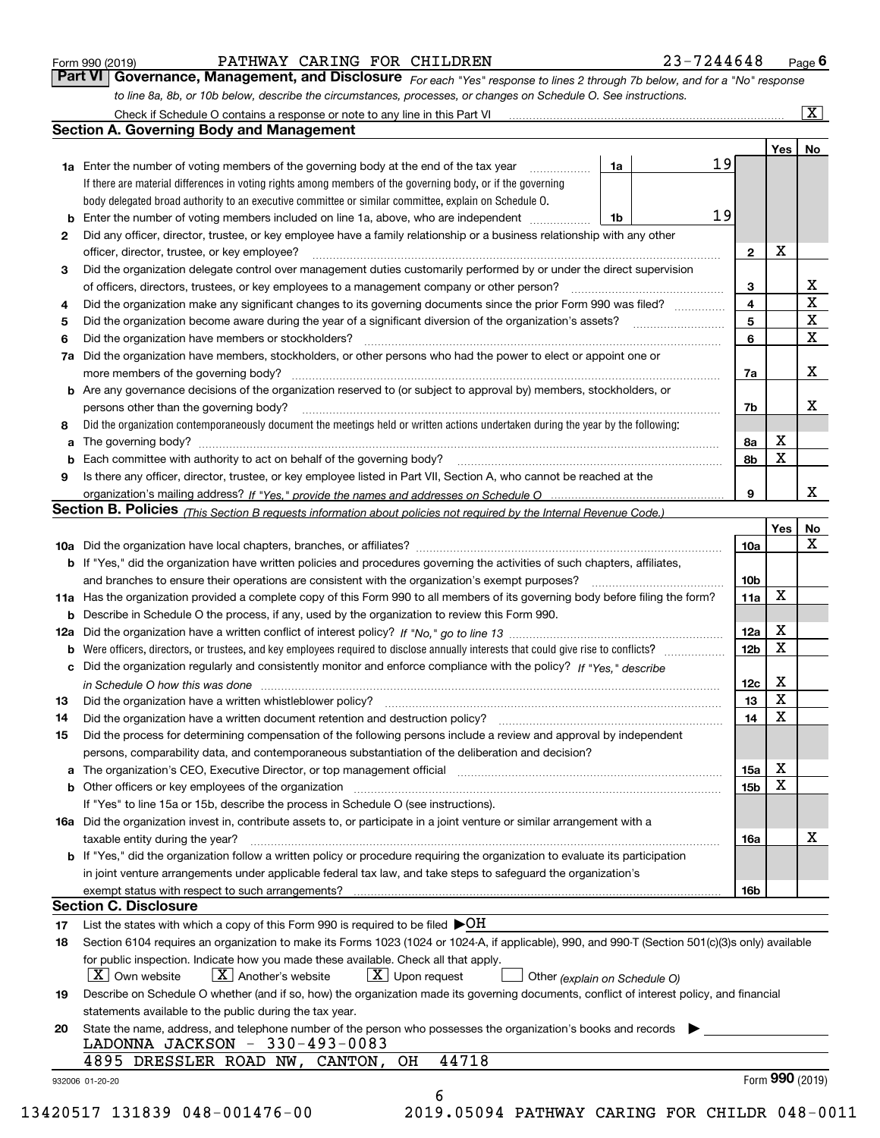| Form 990 (2019) |  |  |
|-----------------|--|--|
|                 |  |  |

# PATHWAY CARING FOR CHILDREN 23-7244648

*For each "Yes" response to lines 2 through 7b below, and for a "No" response to line 8a, 8b, or 10b below, describe the circumstances, processes, or changes on Schedule O. See instructions.* Form 990 (2019) **CONTERT PATHWAY CARING FOR CHILDREN Page 6**<br>**Part VI Governance, Management, and Disclosure** For each "Yes" response to lines 2 through 7b below, and for a "No" response

|    |                                                                                                                                                                         |    |                 | Yes <sub>1</sub> | No                      |
|----|-------------------------------------------------------------------------------------------------------------------------------------------------------------------------|----|-----------------|------------------|-------------------------|
|    | <b>1a</b> Enter the number of voting members of the governing body at the end of the tax year                                                                           | 1a | 19              |                  |                         |
|    | If there are material differences in voting rights among members of the governing body, or if the governing                                                             |    |                 |                  |                         |
|    | body delegated broad authority to an executive committee or similar committee, explain on Schedule O.                                                                   |    |                 |                  |                         |
| b  | Enter the number of voting members included on line 1a, above, who are independent                                                                                      | 1b | 19              |                  |                         |
| 2  | Did any officer, director, trustee, or key employee have a family relationship or a business relationship with any other                                                |    |                 |                  |                         |
|    | officer, director, trustee, or key employee?                                                                                                                            |    | $\mathbf{2}$    | X                |                         |
| 3  | Did the organization delegate control over management duties customarily performed by or under the direct supervision                                                   |    |                 |                  |                         |
|    |                                                                                                                                                                         |    | 3               |                  | X                       |
| 4  | Did the organization make any significant changes to its governing documents since the prior Form 990 was filed?                                                        |    | 4               |                  | $\overline{\texttt{x}}$ |
| 5  |                                                                                                                                                                         |    | 5               |                  | $\overline{\mathbf{x}}$ |
| 6  | Did the organization have members or stockholders?                                                                                                                      |    | 6               |                  | $\overline{\mathbf{x}}$ |
| 7a | Did the organization have members, stockholders, or other persons who had the power to elect or appoint one or                                                          |    |                 |                  |                         |
|    |                                                                                                                                                                         |    | 7a              |                  | X                       |
|    | <b>b</b> Are any governance decisions of the organization reserved to (or subject to approval by) members, stockholders, or                                             |    |                 |                  |                         |
|    | persons other than the governing body?                                                                                                                                  |    | 7b              |                  | X                       |
| 8  | Did the organization contemporaneously document the meetings held or written actions undertaken during the year by the following:                                       |    |                 |                  |                         |
| a  |                                                                                                                                                                         |    | 8а              | X                |                         |
|    |                                                                                                                                                                         |    | 8b              | X                |                         |
| 9  | Is there any officer, director, trustee, or key employee listed in Part VII, Section A, who cannot be reached at the                                                    |    |                 |                  |                         |
|    |                                                                                                                                                                         |    | 9               |                  | X                       |
|    | Section B. Policies <sub>(This</sub> Section B requests information about policies not required by the Internal Revenue Code.)                                          |    |                 |                  |                         |
|    |                                                                                                                                                                         |    |                 | Yes              | No                      |
|    |                                                                                                                                                                         |    | 10a             |                  | X                       |
|    | <b>b</b> If "Yes," did the organization have written policies and procedures governing the activities of such chapters, affiliates,                                     |    |                 |                  |                         |
|    |                                                                                                                                                                         |    | 10 <sub>b</sub> |                  |                         |
|    | 11a Has the organization provided a complete copy of this Form 990 to all members of its governing body before filing the form?                                         |    | 11a             | X                |                         |
|    | <b>b</b> Describe in Schedule O the process, if any, used by the organization to review this Form 990.                                                                  |    |                 |                  |                         |
|    |                                                                                                                                                                         |    | 12a             | X                |                         |
| b  |                                                                                                                                                                         |    | 12 <sub>b</sub> | X                |                         |
|    | c Did the organization regularly and consistently monitor and enforce compliance with the policy? If "Yes," describe                                                    |    |                 |                  |                         |
|    | in Schedule O how this was done encourance and continuum control to the state of the state of the state of the                                                          |    | 12c             | X                |                         |
| 13 |                                                                                                                                                                         |    | 13              | $\mathbf x$      |                         |
| 14 |                                                                                                                                                                         |    | 14              | X                |                         |
| 15 | Did the process for determining compensation of the following persons include a review and approval by independent                                                      |    |                 |                  |                         |
|    | persons, comparability data, and contemporaneous substantiation of the deliberation and decision?                                                                       |    |                 |                  |                         |
|    | a The organization's CEO, Executive Director, or top management official manufactured content of the organization's CEO, Executive Director, or top management official |    | 15a             | х                |                         |
|    |                                                                                                                                                                         |    | 15 <sub>b</sub> | X                |                         |
|    | If "Yes" to line 15a or 15b, describe the process in Schedule O (see instructions).                                                                                     |    |                 |                  |                         |
|    | 16a Did the organization invest in, contribute assets to, or participate in a joint venture or similar arrangement with a                                               |    |                 |                  |                         |
|    | taxable entity during the year?                                                                                                                                         |    | 16a             |                  | X                       |
|    | <b>b</b> If "Yes," did the organization follow a written policy or procedure requiring the organization to evaluate its participation                                   |    |                 |                  |                         |
|    | in joint venture arrangements under applicable federal tax law, and take steps to safeguard the organization's                                                          |    |                 |                  |                         |
|    | exempt status with respect to such arrangements?                                                                                                                        |    | 16b             |                  |                         |
|    | <b>Section C. Disclosure</b>                                                                                                                                            |    |                 |                  |                         |
| 17 | List the states with which a copy of this Form 990 is required to be filed $\blacktriangleright$ OH                                                                     |    |                 |                  |                         |
| 18 | Section 6104 requires an organization to make its Forms 1023 (1024 or 1024-A, if applicable), 990, and 990-T (Section 501(c)(3)s only) available                        |    |                 |                  |                         |
|    | for public inspection. Indicate how you made these available. Check all that apply.                                                                                     |    |                 |                  |                         |
|    | $\lfloor x \rfloor$ Upon request<br>$ X $ Own website<br>$ X $ Another's website<br>Other (explain on Schedule O)                                                       |    |                 |                  |                         |
| 19 | Describe on Schedule O whether (and if so, how) the organization made its governing documents, conflict of interest policy, and financial                               |    |                 |                  |                         |
|    | statements available to the public during the tax year.                                                                                                                 |    |                 |                  |                         |
|    |                                                                                                                                                                         |    |                 |                  |                         |
| 20 | State the name, address, and telephone number of the person who possesses the organization's books and records<br>LADONNA JACKSON - 330-493-0083                        |    |                 |                  |                         |
|    | 44718<br>4895 DRESSLER ROAD NW, CANTON,<br>OH                                                                                                                           |    |                 |                  |                         |
|    |                                                                                                                                                                         |    |                 |                  | Form 990 (2019)         |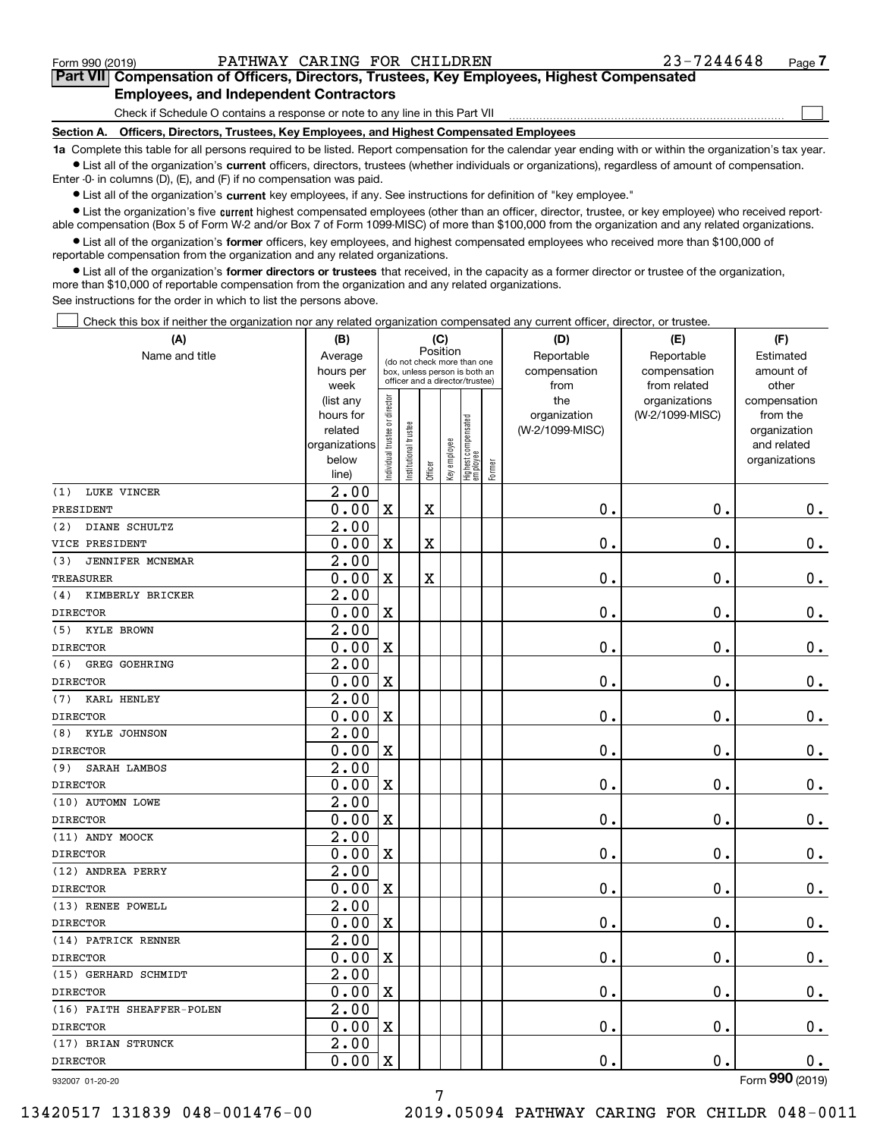$\mathcal{L}^{\text{max}}$ 

# **7Part VII Compensation of Officers, Directors, Trustees, Key Employees, Highest Compensated Employees, and Independent Contractors**

Check if Schedule O contains a response or note to any line in this Part VII

**Section A. Officers, Directors, Trustees, Key Employees, and Highest Compensated Employees**

**1a**  Complete this table for all persons required to be listed. Report compensation for the calendar year ending with or within the organization's tax year. **•** List all of the organization's current officers, directors, trustees (whether individuals or organizations), regardless of amount of compensation.

Enter -0- in columns (D), (E), and (F) if no compensation was paid.

 $\bullet$  List all of the organization's  $\,$ current key employees, if any. See instructions for definition of "key employee."

**•** List the organization's five current highest compensated employees (other than an officer, director, trustee, or key employee) who received reportable compensation (Box 5 of Form W-2 and/or Box 7 of Form 1099-MISC) of more than \$100,000 from the organization and any related organizations.

**•** List all of the organization's former officers, key employees, and highest compensated employees who received more than \$100,000 of reportable compensation from the organization and any related organizations.

**former directors or trustees**  ¥ List all of the organization's that received, in the capacity as a former director or trustee of the organization, more than \$10,000 of reportable compensation from the organization and any related organizations.

See instructions for the order in which to list the persons above.

Check this box if neither the organization nor any related organization compensated any current officer, director, or trustee.  $\mathcal{L}^{\text{max}}$ 

| (A)                         | (B)                                                | (C)                            |                                                                  |         |              |                                  |        | (D)                | (E)             | (F)                         |
|-----------------------------|----------------------------------------------------|--------------------------------|------------------------------------------------------------------|---------|--------------|----------------------------------|--------|--------------------|-----------------|-----------------------------|
| Name and title              | Position<br>Average<br>(do not check more than one |                                |                                                                  |         |              |                                  |        | Reportable         | Reportable      | Estimated                   |
|                             | hours per                                          |                                | box, unless person is both an<br>officer and a director/trustee) |         |              |                                  |        | compensation       | compensation    | amount of                   |
|                             | week                                               |                                |                                                                  |         |              |                                  |        | from               | from related    | other                       |
|                             | (list any                                          |                                |                                                                  |         |              |                                  |        | the                | organizations   | compensation                |
|                             | hours for                                          |                                |                                                                  |         |              |                                  |        | organization       | (W-2/1099-MISC) | from the                    |
|                             | related<br>organizations                           |                                |                                                                  |         |              |                                  |        | (W-2/1099-MISC)    |                 | organization<br>and related |
|                             | below                                              |                                |                                                                  |         |              |                                  |        |                    |                 | organizations               |
|                             | line)                                              | Individual trustee or director | Institutional trustee                                            | Officer | Key employee | Highest compensated<br> employee | Former |                    |                 |                             |
| LUKE VINCER<br>(1)          | $\overline{2.00}$                                  |                                |                                                                  |         |              |                                  |        |                    |                 |                             |
| PRESIDENT                   | 0.00                                               | X                              |                                                                  | X       |              |                                  |        | 0.                 | 0.              | 0.                          |
| DIANE SCHULTZ<br>(2)        | $\overline{2.00}$                                  |                                |                                                                  |         |              |                                  |        |                    |                 |                             |
| VICE PRESIDENT              | 0.00                                               | $\mathbf X$                    |                                                                  | X       |              |                                  |        | 0.                 | 0.              | $\mathbf 0$ .               |
| (3)<br>JENNIFER MCNEMAR     | $\overline{2.00}$                                  |                                |                                                                  |         |              |                                  |        |                    |                 |                             |
| <b>TREASURER</b>            | 0.00                                               | $\mathbf X$                    |                                                                  | X       |              |                                  |        | 0.                 | 0.              | $\mathbf 0$ .               |
| KIMBERLY BRICKER<br>(4)     | $\overline{2.00}$                                  |                                |                                                                  |         |              |                                  |        |                    |                 |                             |
| <b>DIRECTOR</b>             | 0.00                                               | X                              |                                                                  |         |              |                                  |        | 0.                 | 0.              | $\mathbf 0$ .               |
| <b>KYLE BROWN</b><br>(5)    | $\overline{2.00}$                                  |                                |                                                                  |         |              |                                  |        |                    |                 |                             |
| <b>DIRECTOR</b>             | 0.00                                               | X                              |                                                                  |         |              |                                  |        | 0.                 | 0.              | $\mathbf 0$ .               |
| <b>GREG GOEHRING</b><br>(6) | $\overline{2.00}$                                  |                                |                                                                  |         |              |                                  |        |                    |                 |                             |
| <b>DIRECTOR</b>             | 0.00                                               | X                              |                                                                  |         |              |                                  |        | 0.                 | 0.              | $\mathbf 0$ .               |
| KARL HENLEY<br>(7)          | $\overline{2.00}$                                  |                                |                                                                  |         |              |                                  |        |                    |                 |                             |
| <b>DIRECTOR</b>             | 0.00                                               | X                              |                                                                  |         |              |                                  |        | 0.                 | 0.              | $\mathbf 0$ .               |
| KYLE JOHNSON<br>(8)         | $\overline{2.00}$                                  |                                |                                                                  |         |              |                                  |        |                    |                 |                             |
| <b>DIRECTOR</b>             | 0.00                                               | X                              |                                                                  |         |              |                                  |        | 0.                 | 0.              | $0$ .                       |
| SARAH LAMBOS<br>(9)         | $\overline{2.00}$                                  |                                |                                                                  |         |              |                                  |        |                    |                 |                             |
| <b>DIRECTOR</b>             | 0.00                                               | X                              |                                                                  |         |              |                                  |        | 0.                 | 0.              | $0$ .                       |
| (10) AUTOMN LOWE            | $\overline{2.00}$                                  |                                |                                                                  |         |              |                                  |        |                    |                 |                             |
| <b>DIRECTOR</b>             | 0.00                                               | X                              |                                                                  |         |              |                                  |        | 0.                 | 0.              | $0$ .                       |
| (11) ANDY MOOCK             | $\overline{2.00}$                                  |                                |                                                                  |         |              |                                  |        |                    |                 |                             |
| <b>DIRECTOR</b>             | 0.00                                               | X                              |                                                                  |         |              |                                  |        | 0.                 | 0.              | $\mathbf 0$ .               |
| (12) ANDREA PERRY           | $\overline{2.00}$                                  |                                |                                                                  |         |              |                                  |        |                    |                 |                             |
| <b>DIRECTOR</b>             | 0.00                                               | X                              |                                                                  |         |              |                                  |        | 0.                 | $\mathbf 0$ .   | $\mathbf 0$ .               |
| (13) RENEE POWELL           | $\overline{2.00}$                                  |                                |                                                                  |         |              |                                  |        |                    |                 |                             |
| <b>DIRECTOR</b>             | 0.00                                               | X                              |                                                                  |         |              |                                  |        | 0.                 | $\mathbf 0$ .   | $0$ .                       |
| (14) PATRICK RENNER         | $\overline{2.00}$                                  |                                |                                                                  |         |              |                                  |        |                    |                 |                             |
| <b>DIRECTOR</b>             | 0.00                                               | $\mathbf X$                    |                                                                  |         |              |                                  |        | 0.                 | $\mathbf 0$ .   | 0.                          |
| (15) GERHARD SCHMIDT        | 2.00                                               |                                |                                                                  |         |              |                                  |        |                    |                 |                             |
| <b>DIRECTOR</b>             | $0.00 \,   X$                                      |                                |                                                                  |         |              |                                  |        | $\boldsymbol{0}$ . | $\mathbf 0$ .   | 0.                          |
| (16) FAITH SHEAFFER-POLEN   | 2.00                                               |                                |                                                                  |         |              |                                  |        |                    |                 |                             |
| <b>DIRECTOR</b>             | 0.00                                               | X                              |                                                                  |         |              |                                  |        | 0.                 | 0.              | 0.                          |
| (17) BRIAN STRUNCK          | 2.00                                               |                                |                                                                  |         |              |                                  |        |                    |                 |                             |
| <b>DIRECTOR</b>             | 0.00                                               | X                              |                                                                  |         |              |                                  |        | $\mathbf 0$ .      | 0.              | $0_{.}$                     |
| 932007 01-20-20             |                                                    |                                |                                                                  |         |              |                                  |        |                    |                 | Form 990 (2019)             |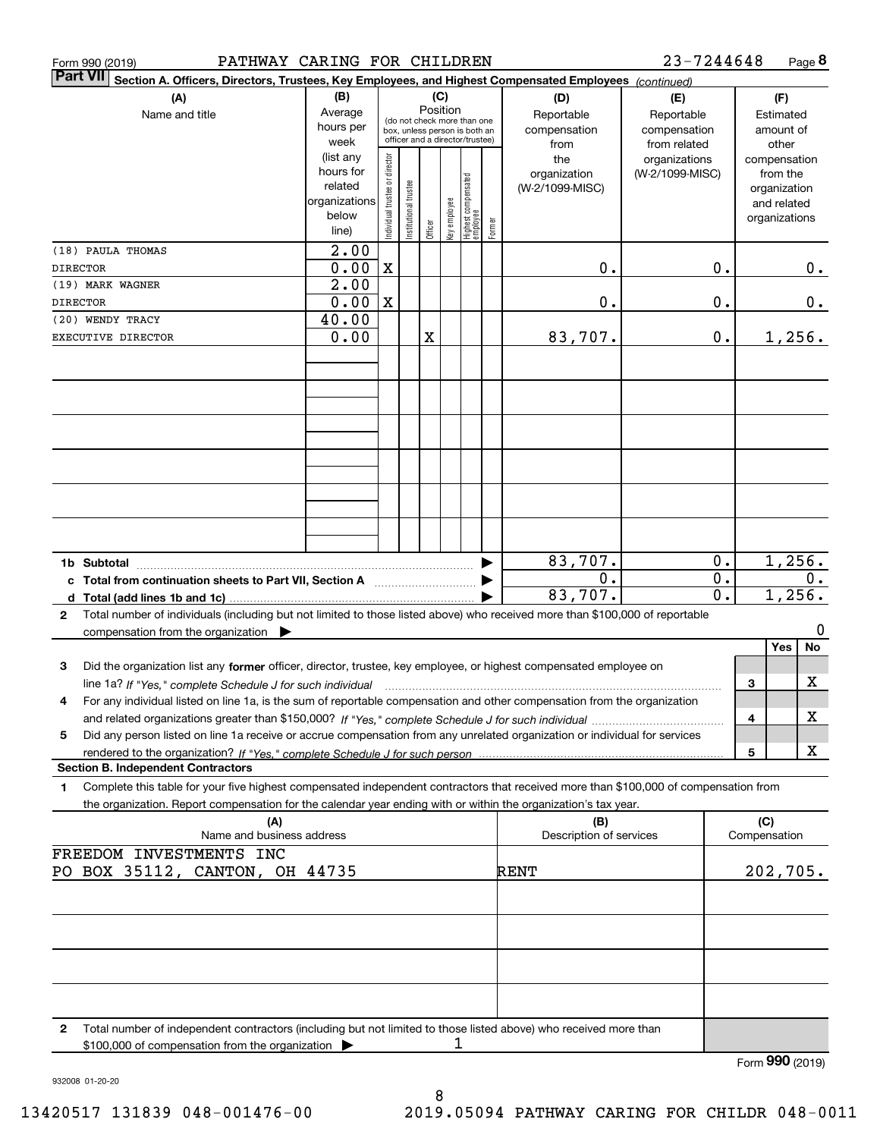| PATHWAY CARING FOR CHILDREN<br>Form 990 (2019)                                                                                            |                        |                                |                       |         |                 |                                                              |        |                            | 23-7244648                 |                                      |              | Page 8                 |
|-------------------------------------------------------------------------------------------------------------------------------------------|------------------------|--------------------------------|-----------------------|---------|-----------------|--------------------------------------------------------------|--------|----------------------------|----------------------------|--------------------------------------|--------------|------------------------|
| Part VII <br>Section A. Officers, Directors, Trustees, Key Employees, and Highest Compensated Employees (continued)                       |                        |                                |                       |         |                 |                                                              |        |                            |                            |                                      |              |                        |
| (A)                                                                                                                                       | (B)                    |                                |                       |         | (C)<br>Position |                                                              |        | (D)                        | (E)                        |                                      |              | (F)                    |
| Name and title                                                                                                                            | Average<br>hours per   |                                |                       |         |                 | (do not check more than one<br>box, unless person is both an |        | Reportable<br>compensation | Reportable<br>compensation |                                      |              | Estimated<br>amount of |
|                                                                                                                                           | week                   |                                |                       |         |                 | officer and a director/trustee)                              |        | from                       | from related               |                                      |              | other                  |
|                                                                                                                                           | (list any              |                                |                       |         |                 |                                                              |        | the                        | organizations              |                                      |              | compensation           |
|                                                                                                                                           | hours for              |                                |                       |         |                 |                                                              |        | organization               | (W-2/1099-MISC)            |                                      |              | from the               |
|                                                                                                                                           | related                |                                |                       |         |                 |                                                              |        | (W-2/1099-MISC)            |                            |                                      |              | organization           |
|                                                                                                                                           | organizations<br>below |                                |                       |         |                 |                                                              |        |                            |                            |                                      |              | and related            |
|                                                                                                                                           | line)                  | Individual trustee or director | Institutional trustee | Officer | Key employee    | Highest compensated<br>employee                              | Former |                            |                            |                                      |              | organizations          |
| (18) PAULA THOMAS                                                                                                                         | 2.00                   |                                |                       |         |                 |                                                              |        |                            |                            |                                      |              |                        |
| <b>DIRECTOR</b>                                                                                                                           | 0.00                   | $\mathbf X$                    |                       |         |                 |                                                              |        | 0.                         |                            | 0.                                   |              | 0.                     |
| (19) MARK WAGNER                                                                                                                          | 2.00                   |                                |                       |         |                 |                                                              |        |                            |                            |                                      |              |                        |
| <b>DIRECTOR</b>                                                                                                                           | 0.00                   | $\mathbf X$                    |                       |         |                 |                                                              |        | 0.                         |                            | 0.                                   |              | 0.                     |
| (20) WENDY TRACY                                                                                                                          | 40.00                  |                                |                       |         |                 |                                                              |        |                            |                            |                                      |              |                        |
| EXECUTIVE DIRECTOR                                                                                                                        | 0.00                   |                                |                       | X       |                 |                                                              |        | 83,707.                    |                            | 0.                                   |              | 1,256.                 |
|                                                                                                                                           |                        |                                |                       |         |                 |                                                              |        |                            |                            |                                      |              |                        |
|                                                                                                                                           |                        |                                |                       |         |                 |                                                              |        |                            |                            |                                      |              |                        |
|                                                                                                                                           |                        |                                |                       |         |                 |                                                              |        |                            |                            |                                      |              |                        |
|                                                                                                                                           |                        |                                |                       |         |                 |                                                              |        |                            |                            |                                      |              |                        |
|                                                                                                                                           |                        |                                |                       |         |                 |                                                              |        |                            |                            |                                      |              |                        |
|                                                                                                                                           |                        |                                |                       |         |                 |                                                              |        |                            |                            |                                      |              |                        |
|                                                                                                                                           |                        |                                |                       |         |                 |                                                              |        |                            |                            |                                      |              |                        |
|                                                                                                                                           |                        |                                |                       |         |                 |                                                              |        |                            |                            |                                      |              |                        |
|                                                                                                                                           |                        |                                |                       |         |                 |                                                              |        |                            |                            |                                      |              |                        |
|                                                                                                                                           |                        |                                |                       |         |                 |                                                              |        |                            |                            |                                      |              |                        |
| 1b Subtotal                                                                                                                               |                        |                                |                       |         |                 |                                                              |        | 83,707.                    |                            | 0.                                   |              | 1,256.                 |
| c Total from continuation sheets to Part VII, Section A [111] [12] Total from continuation sheets to Part VII, Section A                  |                        |                                |                       |         |                 |                                                              |        | $\mathbf 0$ .<br>83,707.   |                            | $\overline{0}$ .<br>$\overline{0}$ . |              | 0.<br>1,256.           |
| Total number of individuals (including but not limited to those listed above) who received more than \$100,000 of reportable<br>2         |                        |                                |                       |         |                 |                                                              |        |                            |                            |                                      |              |                        |
| compensation from the organization $\blacktriangleright$                                                                                  |                        |                                |                       |         |                 |                                                              |        |                            |                            |                                      |              | 0                      |
|                                                                                                                                           |                        |                                |                       |         |                 |                                                              |        |                            |                            |                                      |              | No<br>Yes              |
| Did the organization list any former officer, director, trustee, key employee, or highest compensated employee on<br>3                    |                        |                                |                       |         |                 |                                                              |        |                            |                            |                                      |              |                        |
| line 1a? If "Yes," complete Schedule J for such individual material content in the content of the Schedule J for such individual          |                        |                                |                       |         |                 |                                                              |        |                            |                            |                                      | З            | X                      |
| For any individual listed on line 1a, is the sum of reportable compensation and other compensation from the organization<br>4             |                        |                                |                       |         |                 |                                                              |        |                            |                            |                                      |              |                        |
|                                                                                                                                           |                        |                                |                       |         |                 |                                                              |        |                            |                            |                                      | 4            | х                      |
| Did any person listed on line 1a receive or accrue compensation from any unrelated organization or individual for services<br>5           |                        |                                |                       |         |                 |                                                              |        |                            |                            |                                      | 5            | X                      |
| <b>Section B. Independent Contractors</b>                                                                                                 |                        |                                |                       |         |                 |                                                              |        |                            |                            |                                      |              |                        |
| Complete this table for your five highest compensated independent contractors that received more than \$100,000 of compensation from<br>1 |                        |                                |                       |         |                 |                                                              |        |                            |                            |                                      |              |                        |
| the organization. Report compensation for the calendar year ending with or within the organization's tax year.                            |                        |                                |                       |         |                 |                                                              |        |                            |                            |                                      |              |                        |
| (A)                                                                                                                                       |                        |                                |                       |         |                 |                                                              |        | (B)                        |                            |                                      | (C)          |                        |
| Name and business address<br>FREEDOM INVESTMENTS INC                                                                                      |                        |                                |                       |         |                 |                                                              |        | Description of services    |                            |                                      | Compensation |                        |
| PO BOX 35112, CANTON, OH 44735                                                                                                            |                        |                                |                       |         |                 |                                                              |        | RENT                       |                            |                                      |              | 202,705.               |
|                                                                                                                                           |                        |                                |                       |         |                 |                                                              |        |                            |                            |                                      |              |                        |
|                                                                                                                                           |                        |                                |                       |         |                 |                                                              |        |                            |                            |                                      |              |                        |
|                                                                                                                                           |                        |                                |                       |         |                 |                                                              |        |                            |                            |                                      |              |                        |
|                                                                                                                                           |                        |                                |                       |         |                 |                                                              |        |                            |                            |                                      |              |                        |
|                                                                                                                                           |                        |                                |                       |         |                 |                                                              |        |                            |                            |                                      |              |                        |
|                                                                                                                                           |                        |                                |                       |         |                 |                                                              |        |                            |                            |                                      |              |                        |
|                                                                                                                                           |                        |                                |                       |         |                 |                                                              |        |                            |                            |                                      |              |                        |
| Total number of independent contractors (including but not limited to those listed above) who received more than<br>2                     |                        |                                |                       |         | ı               |                                                              |        |                            |                            |                                      |              |                        |
| \$100,000 of compensation from the organization                                                                                           |                        |                                |                       |         |                 |                                                              |        |                            |                            |                                      |              | Form 990 (2019)        |

932008 01-20-20

**P** (2019)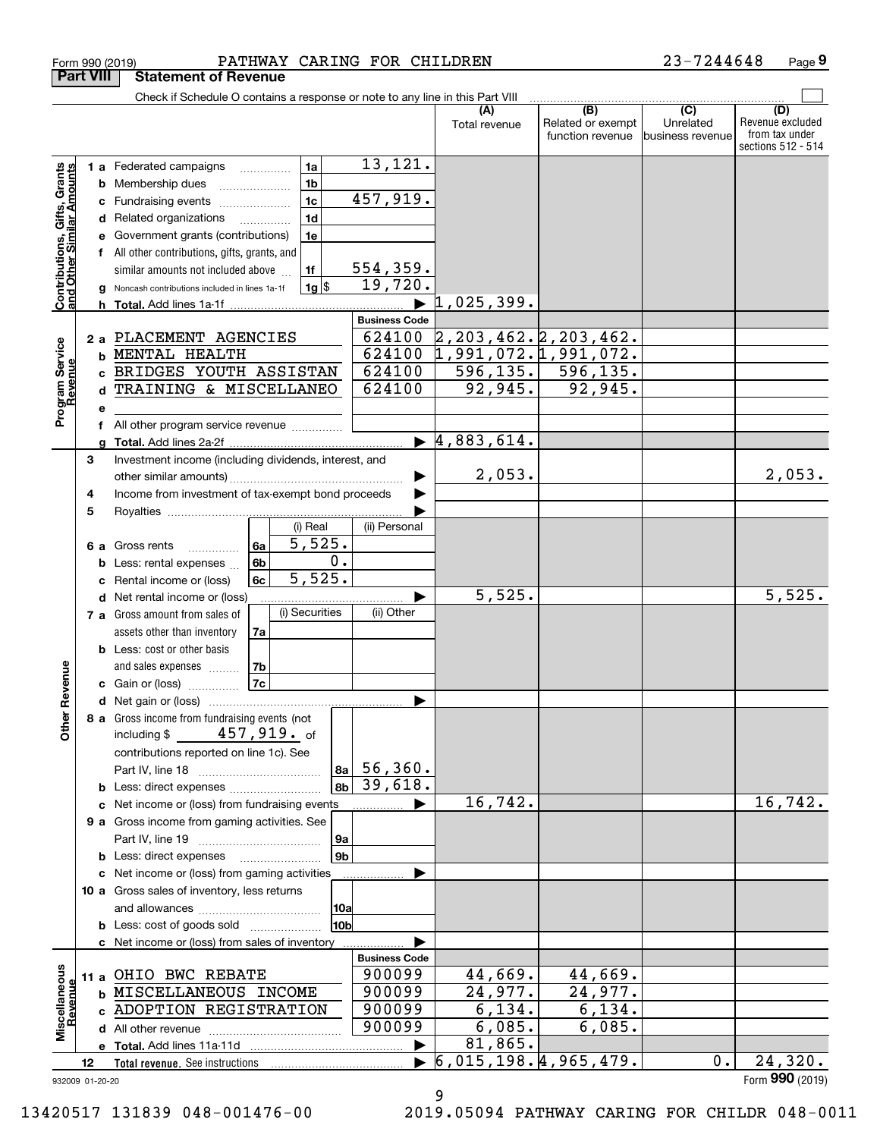|                                                           | <b>Part VIII</b> | <b>Statement of Revenue</b>                                                   |                            |                      |                                  |                          |                             |                         |
|-----------------------------------------------------------|------------------|-------------------------------------------------------------------------------|----------------------------|----------------------|----------------------------------|--------------------------|-----------------------------|-------------------------|
|                                                           |                  | Check if Schedule O contains a response or note to any line in this Part VIII |                            |                      |                                  |                          |                             |                         |
|                                                           |                  |                                                                               |                            |                      | (A)                              | (B)<br>Related or exempt | $\overline{C}$<br>Unrelated | (D)<br>Revenue excluded |
|                                                           |                  |                                                                               |                            |                      | Total revenue                    | function revenue         | business revenue            | from tax under          |
|                                                           |                  |                                                                               |                            |                      |                                  |                          |                             | sections 512 - 514      |
|                                                           |                  | 1 a Federated campaigns                                                       | 1a                         | 13,121.              |                                  |                          |                             |                         |
|                                                           |                  | <b>b</b> Membership dues                                                      | 1 <sub>b</sub>             |                      |                                  |                          |                             |                         |
|                                                           | c                | Fundraising events                                                            | 1 <sub>c</sub>             | 457,919.             |                                  |                          |                             |                         |
|                                                           | d                | Related organizations                                                         | 1 <sub>d</sub>             |                      |                                  |                          |                             |                         |
|                                                           | е                | Government grants (contributions)                                             | 1e                         |                      |                                  |                          |                             |                         |
|                                                           | f                | All other contributions, gifts, grants, and                                   |                            |                      |                                  |                          |                             |                         |
|                                                           |                  | similar amounts not included above                                            | 1f                         | 554, 359.            |                                  |                          |                             |                         |
| Contributions, Gifts, Grants<br>and Other Similar Amounts |                  | Noncash contributions included in lines 1a-1f                                 | $1g$ \$                    | 19,720.              |                                  |                          |                             |                         |
|                                                           | h.               |                                                                               |                            |                      | 1,025,399.                       |                          |                             |                         |
|                                                           |                  |                                                                               |                            | <b>Business Code</b> |                                  |                          |                             |                         |
|                                                           | 2a               | PLACEMENT AGENCIES                                                            |                            | 624100               | $2, 203, 462.$ $2, 203, 462.$    |                          |                             |                         |
|                                                           | b                | MENTAL HEALTH                                                                 |                            | 624100               | 1,991,072.1,991,072.             |                          |                             |                         |
|                                                           | c.               | BRIDGES YOUTH ASSISTAN                                                        |                            | 624100               | 596, 135.                        | 596, 135.                |                             |                         |
|                                                           | d                | TRAINING & MISCELLANEO                                                        |                            | 624100               | 92,945.                          | 92,945.                  |                             |                         |
| Program Service<br>Revenue                                | е                |                                                                               |                            |                      |                                  |                          |                             |                         |
|                                                           | f                | All other program service revenue                                             |                            |                      |                                  |                          |                             |                         |
|                                                           |                  |                                                                               |                            |                      | $\blacktriangleright$ 4,883,614. |                          |                             |                         |
|                                                           | 3                | Investment income (including dividends, interest, and                         |                            |                      |                                  |                          |                             |                         |
|                                                           |                  |                                                                               |                            |                      | 2,053.                           |                          |                             | 2,053.                  |
|                                                           | 4                | Income from investment of tax-exempt bond proceeds                            |                            |                      |                                  |                          |                             |                         |
|                                                           | 5                |                                                                               | (i) Real                   |                      |                                  |                          |                             |                         |
|                                                           |                  |                                                                               | 5,525.                     | (ii) Personal        |                                  |                          |                             |                         |
|                                                           | 6а               | Gross rents<br>.                                                              | 6a<br>0.                   |                      |                                  |                          |                             |                         |
|                                                           | b                | Less: rental expenses                                                         | 6b<br>$\overline{5,525}$ . |                      |                                  |                          |                             |                         |
|                                                           | c                | Rental income or (loss)                                                       | 6c                         |                      | 5,525.                           |                          |                             | 5,525.                  |
|                                                           |                  | d Net rental income or (loss)                                                 | (i) Securities             | (ii) Other           |                                  |                          |                             |                         |
|                                                           |                  | 7 a Gross amount from sales of                                                |                            |                      |                                  |                          |                             |                         |
|                                                           |                  | assets other than inventory<br><b>b</b> Less: cost or other basis             | 7a                         |                      |                                  |                          |                             |                         |
|                                                           |                  |                                                                               | 7b                         |                      |                                  |                          |                             |                         |
| Revenue                                                   |                  | and sales expenses<br>c Gain or (loss)                                        | <b>7c</b>                  |                      |                                  |                          |                             |                         |
|                                                           |                  |                                                                               |                            | ▶                    |                                  |                          |                             |                         |
|                                                           |                  | 8 a Gross income from fundraising events (not                                 |                            |                      |                                  |                          |                             |                         |
| Othe                                                      |                  | $\mathtt{457}$ ,919. $_\mathrm{of}$<br>including \$                           |                            |                      |                                  |                          |                             |                         |
|                                                           |                  | contributions reported on line 1c). See                                       |                            |                      |                                  |                          |                             |                         |
|                                                           |                  |                                                                               | 8a                         | 56,360.              |                                  |                          |                             |                         |
|                                                           |                  | <b>b</b> Less: direct expenses                                                | 8 <sub>b</sub>             | 39,618.              |                                  |                          |                             |                         |
|                                                           |                  | c Net income or (loss) from fundraising events                                |                            | ▶                    | 16,742.                          |                          |                             | 16,742.                 |
|                                                           |                  | 9 a Gross income from gaming activities. See                                  |                            |                      |                                  |                          |                             |                         |
|                                                           |                  |                                                                               | 9a                         |                      |                                  |                          |                             |                         |
|                                                           |                  | <b>b</b> Less: direct expenses <b>manually</b>                                | 9 <sub>b</sub>             |                      |                                  |                          |                             |                         |
|                                                           |                  | c Net income or (loss) from gaming activities                                 |                            |                      |                                  |                          |                             |                         |
|                                                           |                  | 10 a Gross sales of inventory, less returns                                   |                            |                      |                                  |                          |                             |                         |
|                                                           |                  |                                                                               | 10a                        |                      |                                  |                          |                             |                         |
|                                                           |                  | <b>b</b> Less: cost of goods sold                                             | 10b                        |                      |                                  |                          |                             |                         |
|                                                           |                  | c Net income or (loss) from sales of inventory                                |                            |                      |                                  |                          |                             |                         |
|                                                           |                  |                                                                               |                            | <b>Business Code</b> |                                  |                          |                             |                         |
|                                                           |                  | 11 a OHIO BWC REBATE                                                          |                            | 900099               | 44,669.                          | 44,669.                  |                             |                         |
|                                                           |                  | <b>b MISCELLANEOUS INCOME</b>                                                 |                            | 900099               | 24,977.                          | 24,977.                  |                             |                         |
|                                                           |                  | c ADOPTION REGISTRATION                                                       |                            | 900099               | 6, 134.                          | 6, 134.                  |                             |                         |
| Miscellaneous<br>Revenue                                  |                  |                                                                               |                            | 900099               | 6,085.                           | 6,085.                   |                             |                         |
|                                                           |                  |                                                                               |                            |                      | 81,865.                          |                          |                             |                         |
|                                                           | 12               |                                                                               |                            |                      | 6,015,198.4,965,479.             |                          | $0$ .                       | 24,320.                 |
|                                                           | 932009 01-20-20  |                                                                               |                            |                      |                                  |                          |                             | Form 990 (2019)         |

Form 990 (2019) PA'I'HWAY CARING F'OR CHILDREN 2 3-7 2 4 4 6 4 8 Page

PATHWAY CARING FOR CHILDREN 23-7244648

**9**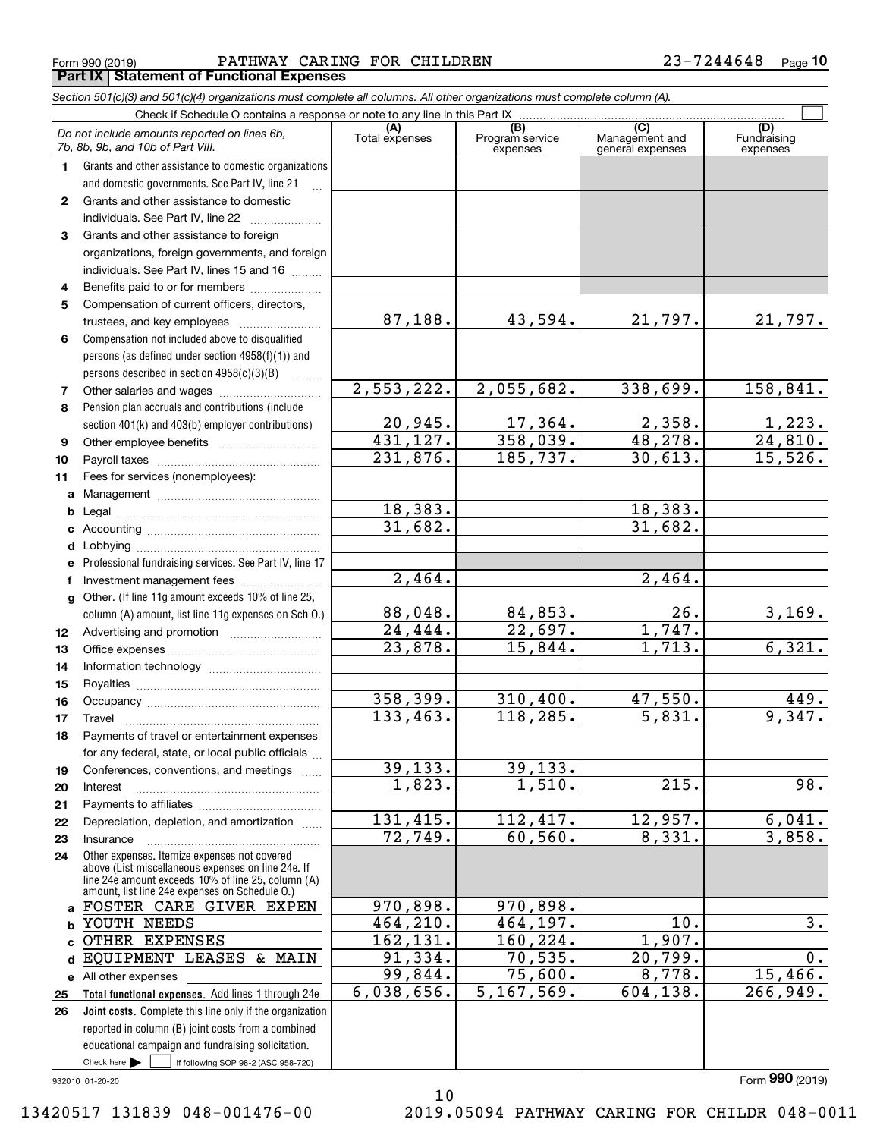Form 990 (2019) PATHWAY CARING FOR CHILDREN 2 3-7 2 4 4 6 4 8 Page **Part IX Statement of Functional Expenses**

*Section 501(c)(3) and 501(c)(4) organizations must complete all columns. All other organizations must complete column (A).*

|              | Do not include amounts reported on lines 6b,<br>7b, 8b, 9b, and 10b of Part VIII.                                                                          | (A)<br>Total expenses | (B)<br>Program service<br>expenses | (C)<br>Management and<br>general expenses | (D)<br>Fundraising<br>expenses |
|--------------|------------------------------------------------------------------------------------------------------------------------------------------------------------|-----------------------|------------------------------------|-------------------------------------------|--------------------------------|
| 1.           | Grants and other assistance to domestic organizations                                                                                                      |                       |                                    |                                           |                                |
|              | and domestic governments. See Part IV, line 21                                                                                                             |                       |                                    |                                           |                                |
| $\mathbf{2}$ | Grants and other assistance to domestic                                                                                                                    |                       |                                    |                                           |                                |
|              | individuals. See Part IV, line 22                                                                                                                          |                       |                                    |                                           |                                |
| 3            | Grants and other assistance to foreign                                                                                                                     |                       |                                    |                                           |                                |
|              | organizations, foreign governments, and foreign                                                                                                            |                       |                                    |                                           |                                |
|              | individuals. See Part IV, lines 15 and 16                                                                                                                  |                       |                                    |                                           |                                |
| 4            | Benefits paid to or for members                                                                                                                            |                       |                                    |                                           |                                |
| 5            | Compensation of current officers, directors,                                                                                                               |                       |                                    |                                           |                                |
|              | trustees, and key employees                                                                                                                                | 87,188.               | 43,594.                            | 21,797.                                   | 21,797.                        |
| 6            | Compensation not included above to disqualified                                                                                                            |                       |                                    |                                           |                                |
|              | persons (as defined under section 4958(f)(1)) and                                                                                                          |                       |                                    |                                           |                                |
|              | persons described in section 4958(c)(3)(B)                                                                                                                 |                       |                                    |                                           |                                |
| 7            | Other salaries and wages                                                                                                                                   | 2,553,222.            | 2,055,682.                         | 338,699.                                  | 158,841.                       |
| 8            | Pension plan accruals and contributions (include                                                                                                           | 20,945.               | 17,364.                            | 2,358.                                    |                                |
|              | section 401(k) and 403(b) employer contributions)                                                                                                          | 431, 127.             | 358,039.                           | 48,278.                                   | $\frac{1,223}{24,810}$         |
| 9            |                                                                                                                                                            | 231,876.              | 185, 737.                          | 30,613.                                   | 15,526.                        |
| 10<br>11     | Fees for services (nonemployees):                                                                                                                          |                       |                                    |                                           |                                |
| a            |                                                                                                                                                            |                       |                                    |                                           |                                |
| b            |                                                                                                                                                            | 18,383.               |                                    | 18,383.                                   |                                |
| c            |                                                                                                                                                            | 31,682.               |                                    | 31,682.                                   |                                |
| d            |                                                                                                                                                            |                       |                                    |                                           |                                |
| е            | Professional fundraising services. See Part IV, line 17                                                                                                    |                       |                                    |                                           |                                |
| f            | Investment management fees                                                                                                                                 | 2,464.                |                                    | 2,464.                                    |                                |
| g            | Other. (If line 11g amount exceeds 10% of line 25,                                                                                                         |                       |                                    |                                           |                                |
|              | column (A) amount, list line 11g expenses on Sch O.)                                                                                                       | 88,048.               | 84,853.                            | 26.                                       | 3,169.                         |
| 12           |                                                                                                                                                            | 24,444.               | 22,697.                            | 1,747.                                    |                                |
| 13           |                                                                                                                                                            | 23,878.               | 15,844.                            | 1,713.                                    | 6,321.                         |
| 14           |                                                                                                                                                            |                       |                                    |                                           |                                |
| 15           |                                                                                                                                                            |                       |                                    |                                           |                                |
| 16           |                                                                                                                                                            | 358,399.              | 310,400.                           | 47,550.                                   | 449.                           |
| 17           | Travel                                                                                                                                                     | 133,463.              | 118,285.                           | 5,831.                                    | 9,347.                         |
| 18           | Payments of travel or entertainment expenses                                                                                                               |                       |                                    |                                           |                                |
|              | for any federal, state, or local public officials                                                                                                          |                       |                                    |                                           |                                |
| 19           | Conferences, conventions, and meetings                                                                                                                     | 39, 133.              | 39, 133.                           |                                           |                                |
| 20           | Interest                                                                                                                                                   | 1,823.                | 1,510.                             | 215.                                      | 98.                            |
| 21           |                                                                                                                                                            | 131,415.              | 112,417.                           | 12,957.                                   | 6,041.                         |
| 22           | Depreciation, depletion, and amortization                                                                                                                  | 72,749.               | 60, 560.                           | 8,331.                                    | 3,858.                         |
| 23<br>24     | Insurance<br>Other expenses. Itemize expenses not covered                                                                                                  |                       |                                    |                                           |                                |
|              | above (List miscellaneous expenses on line 24e. If<br>line 24e amount exceeds 10% of line 25, column (A)<br>amount, list line 24e expenses on Schedule O.) |                       |                                    |                                           |                                |
| a            | FOSTER CARE GIVER EXPEN                                                                                                                                    | 970,898.              | 970,898.                           |                                           |                                |
| b            | YOUTH NEEDS                                                                                                                                                | 464,210.              | 464,197.                           | $\overline{10}$ .                         | 3.                             |
| C.           | OTHER EXPENSES                                                                                                                                             | 162,131.              | 160,224.                           | 1,907.                                    |                                |
| d            | EQUIPMENT LEASES & MAIN                                                                                                                                    | 91,334.               | 70, 535.                           | 20,799.                                   | 0.                             |
|              | e All other expenses                                                                                                                                       | 99,844.               | $\overline{75}$ , 600.             | 8,778.                                    | 15,466.                        |
| 25           | Total functional expenses. Add lines 1 through 24e                                                                                                         | 6,038,656.            | 5, 167, 569.                       | 604,138.                                  | 266,949.                       |
| 26           | Joint costs. Complete this line only if the organization                                                                                                   |                       |                                    |                                           |                                |
|              | reported in column (B) joint costs from a combined                                                                                                         |                       |                                    |                                           |                                |
|              | educational campaign and fundraising solicitation.                                                                                                         |                       |                                    |                                           |                                |
|              | Check here $\blacktriangleright$<br>if following SOP 98-2 (ASC 958-720)                                                                                    |                       |                                    |                                           |                                |
|              | 932010 01-20-20                                                                                                                                            |                       |                                    |                                           | Form 990 (2019)                |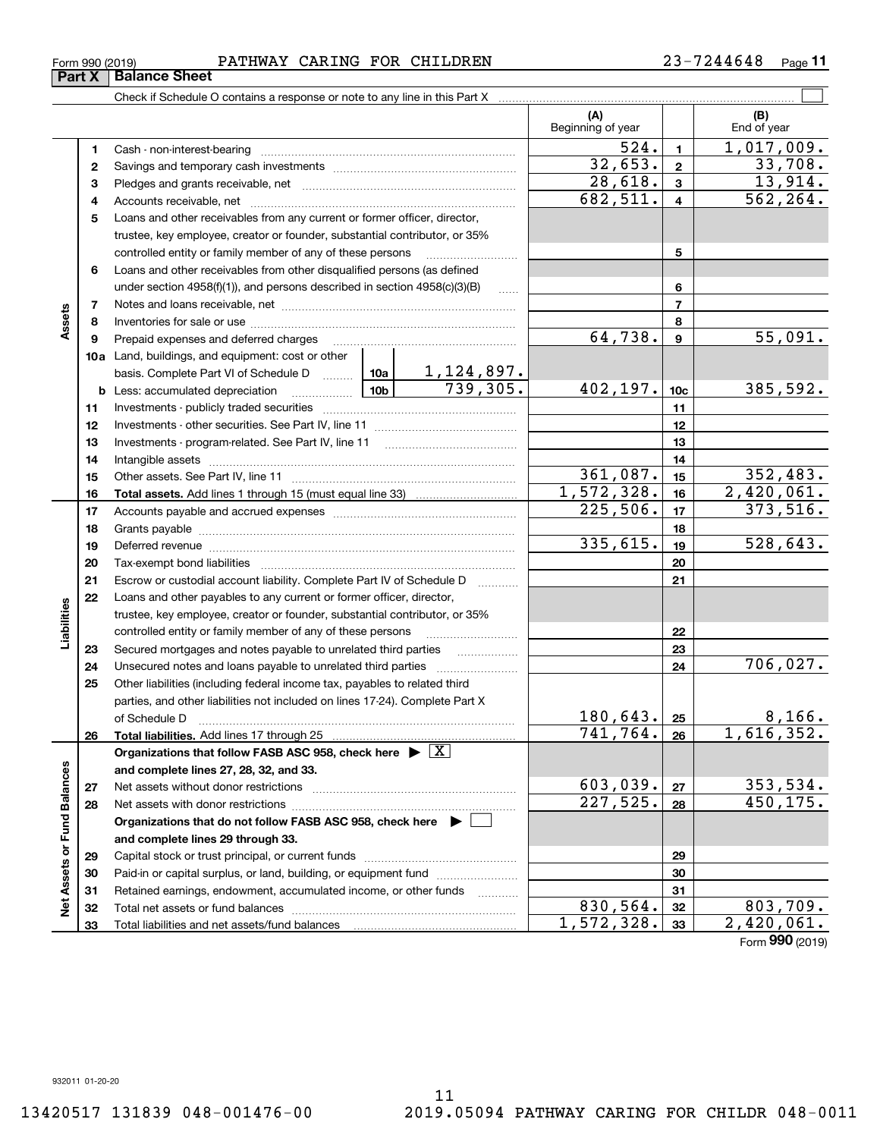|                             |    |                                                                                                                     |                        | (A)                     |                         | (B)                    |
|-----------------------------|----|---------------------------------------------------------------------------------------------------------------------|------------------------|-------------------------|-------------------------|------------------------|
|                             |    |                                                                                                                     |                        | Beginning of year       |                         | End of year            |
|                             | 1. |                                                                                                                     |                        | 524.                    | $\mathbf{1}$            | 1,017,009.             |
|                             | 2  |                                                                                                                     | 32,653.                | $\mathbf{2}$            | 33,708.                 |                        |
|                             | з  |                                                                                                                     | $\overline{28}$ , 618. | 3                       | 13,914.                 |                        |
|                             | 4  |                                                                                                                     |                        | 682,511.                | $\overline{\mathbf{4}}$ | $\overline{562,264}$ . |
|                             | 5  | Loans and other receivables from any current or former officer, director,                                           |                        |                         |                         |                        |
|                             |    | trustee, key employee, creator or founder, substantial contributor, or 35%                                          |                        |                         |                         |                        |
|                             |    | controlled entity or family member of any of these persons                                                          |                        | 5                       |                         |                        |
|                             | 6  | Loans and other receivables from other disqualified persons (as defined                                             |                        |                         |                         |                        |
|                             |    | under section 4958(f)(1)), and persons described in section 4958(c)(3)(B)                                           | $\ldots$               |                         | 6                       |                        |
|                             | 7  |                                                                                                                     |                        |                         | $\overline{7}$          |                        |
| Assets                      | 8  |                                                                                                                     |                        |                         | 8                       |                        |
|                             | 9  | Prepaid expenses and deferred charges                                                                               |                        | 64,738.                 | 9                       | 55,091.                |
|                             |    | <b>10a</b> Land, buildings, and equipment: cost or other                                                            |                        |                         |                         |                        |
|                             |    |                                                                                                                     |                        |                         |                         |                        |
|                             |    | basis. Complete Part VI of Schedule D  10a 1, 124, 897.<br>$\boxed{10b}$<br><b>b</b> Less: accumulated depreciation |                        | 402, 197.               | 10 <sub>c</sub>         | 385,592.               |
|                             | 11 |                                                                                                                     |                        |                         | 11                      |                        |
|                             | 12 |                                                                                                                     |                        |                         | 12                      |                        |
|                             | 13 | Investments - program-related. See Part IV, line 11                                                                 |                        |                         | 13                      |                        |
|                             | 14 |                                                                                                                     |                        |                         | 14                      |                        |
|                             | 15 |                                                                                                                     | 361,087.               | 15                      | 352,483.                |                        |
|                             | 16 |                                                                                                                     |                        | 1,572,328.              | 16                      | 2,420,061.             |
|                             | 17 |                                                                                                                     |                        | 225,506.                | 17                      | 373,516.               |
|                             | 18 |                                                                                                                     |                        |                         | 18                      |                        |
|                             | 19 |                                                                                                                     |                        | 335,615.                | 19                      | 528, 643.              |
|                             | 20 |                                                                                                                     |                        |                         | 20                      |                        |
|                             | 21 | Escrow or custodial account liability. Complete Part IV of Schedule D                                               | .                      |                         | 21                      |                        |
|                             | 22 | Loans and other payables to any current or former officer, director,                                                |                        |                         |                         |                        |
|                             |    | trustee, key employee, creator or founder, substantial contributor, or 35%                                          |                        |                         |                         |                        |
| Liabilities                 |    | controlled entity or family member of any of these persons                                                          |                        |                         | 22                      |                        |
|                             | 23 | Secured mortgages and notes payable to unrelated third parties                                                      |                        |                         | 23                      |                        |
|                             | 24 | Unsecured notes and loans payable to unrelated third parties                                                        |                        |                         | 24                      | 706,027.               |
|                             | 25 | Other liabilities (including federal income tax, payables to related third                                          |                        |                         |                         |                        |
|                             |    | parties, and other liabilities not included on lines 17-24). Complete Part X                                        |                        |                         |                         |                        |
|                             |    | of Schedule D                                                                                                       |                        | 180,643.                | 25                      | 8,166.                 |
|                             | 26 | Total liabilities. Add lines 17 through 25                                                                          |                        | 741,764.                | 26                      | 1,616,352.             |
|                             |    | Organizations that follow FASB ASC 958, check here $\blacktriangleright \boxed{X}$                                  |                        |                         |                         |                        |
|                             |    | and complete lines 27, 28, 32, and 33.                                                                              |                        |                         |                         |                        |
|                             | 27 | Net assets without donor restrictions                                                                               | 603,039.               | 27                      | <u>353,534.</u>         |                        |
|                             | 28 |                                                                                                                     |                        | 227,525.                | 28                      | 450, 175.              |
|                             |    | Organizations that do not follow FASB ASC 958, check here $\blacktriangleright$                                     |                        |                         |                         |                        |
|                             |    | and complete lines 29 through 33.                                                                                   |                        |                         |                         |                        |
|                             | 29 |                                                                                                                     |                        |                         | 29                      |                        |
|                             | 30 | Paid-in or capital surplus, or land, building, or equipment fund                                                    |                        |                         | 30                      |                        |
| Net Assets or Fund Balances | 31 | Retained earnings, endowment, accumulated income, or other funds                                                    | .                      |                         | 31                      |                        |
|                             | 32 |                                                                                                                     |                        | $\overline{830}$ , 564. | 32                      | 803,709.               |
|                             | 33 |                                                                                                                     |                        | 1,572,328.              | 33                      | 2,420,061.             |

Form (2019) **990**

**Part X Balance Sheet**<br>**Part X Balance Sheet**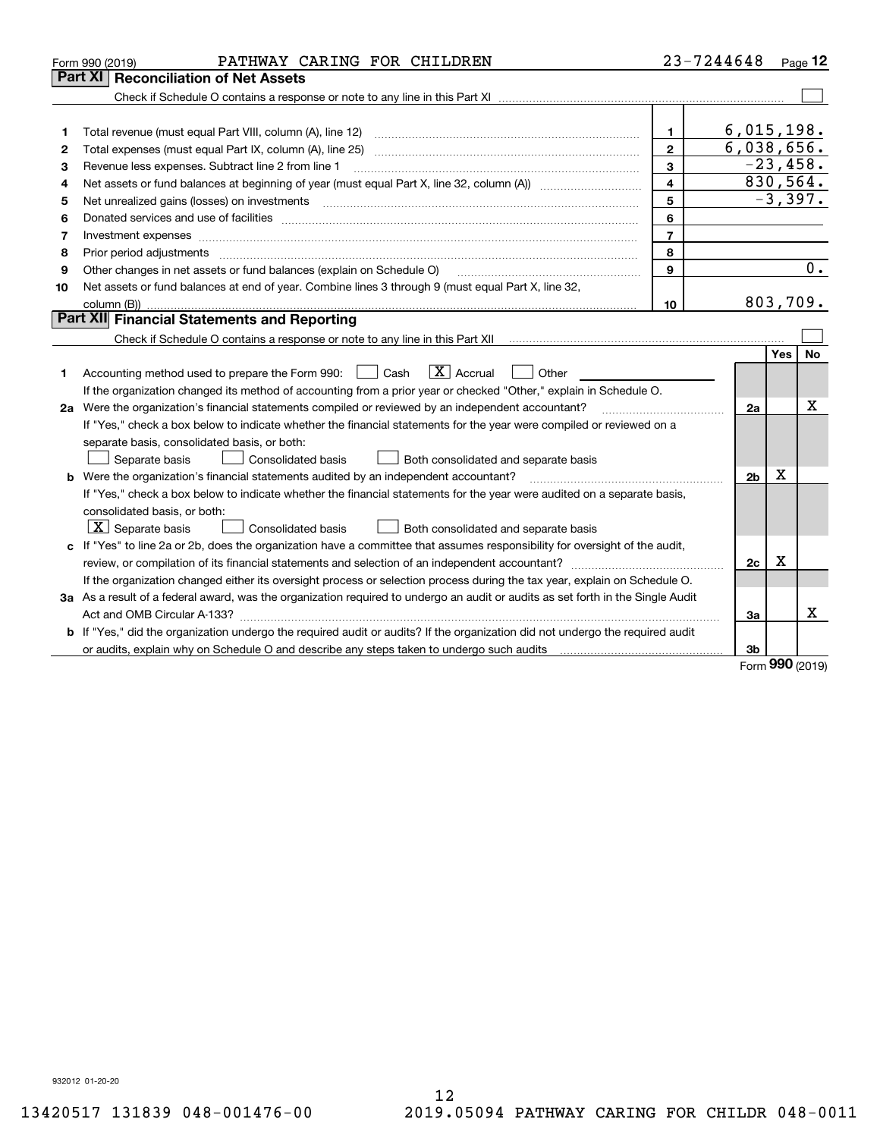|    | PATHWAY CARING FOR CHILDREN<br>Form 990 (2019)                                                                                       |                | 23-7244648     |     | Page 12   |
|----|--------------------------------------------------------------------------------------------------------------------------------------|----------------|----------------|-----|-----------|
|    | Part XI<br><b>Reconciliation of Net Assets</b>                                                                                       |                |                |     |           |
|    |                                                                                                                                      |                |                |     |           |
|    |                                                                                                                                      |                |                |     |           |
| 1  |                                                                                                                                      | 1.             | 6,015,198.     |     |           |
| 2  | Total expenses (must equal Part IX, column (A), line 25)                                                                             | $\mathbf{2}$   | 6,038,656.     |     |           |
| 3  | Revenue less expenses. Subtract line 2 from line 1                                                                                   | 3              | $-23,458.$     |     |           |
| 4  |                                                                                                                                      | $\overline{4}$ | 830,564.       |     |           |
| 5  | Net unrealized gains (losses) on investments                                                                                         | 5              |                |     | $-3,397.$ |
| 6  |                                                                                                                                      | 6              |                |     |           |
| 7  | Investment expenses                                                                                                                  | $\overline{7}$ |                |     |           |
| 8  | Prior period adjustments                                                                                                             | 8              |                |     |           |
| 9  | Other changes in net assets or fund balances (explain on Schedule O)                                                                 | $\mathbf{9}$   |                |     | 0.        |
| 10 | Net assets or fund balances at end of year. Combine lines 3 through 9 (must equal Part X, line 32,                                   |                |                |     |           |
|    |                                                                                                                                      | 10             | 803,709.       |     |           |
|    | Part XII Financial Statements and Reporting                                                                                          |                |                |     |           |
|    |                                                                                                                                      |                |                |     |           |
|    |                                                                                                                                      |                |                | Yes | No        |
| 1  | $\boxed{\text{X}}$ Accrual<br>Accounting method used to prepare the Form 990: [139] Cash<br>Other                                    |                |                |     |           |
|    | If the organization changed its method of accounting from a prior year or checked "Other," explain in Schedule O.                    |                |                |     |           |
|    | 2a Were the organization's financial statements compiled or reviewed by an independent accountant?                                   |                | 2a             |     | X         |
|    | If "Yes," check a box below to indicate whether the financial statements for the year were compiled or reviewed on a                 |                |                |     |           |
|    | separate basis, consolidated basis, or both:                                                                                         |                |                |     |           |
|    | Both consolidated and separate basis<br>Separate basis<br>Consolidated basis                                                         |                |                |     |           |
|    | <b>b</b> Were the organization's financial statements audited by an independent accountant?                                          |                | 2 <sub>b</sub> | х   |           |
|    | If "Yes," check a box below to indicate whether the financial statements for the year were audited on a separate basis,              |                |                |     |           |
|    | consolidated basis, or both:                                                                                                         |                |                |     |           |
|    | $\lfloor x \rfloor$ Separate basis<br><b>Consolidated basis</b><br>Both consolidated and separate basis                              |                |                |     |           |
|    | c If "Yes" to line 2a or 2b, does the organization have a committee that assumes responsibility for oversight of the audit,          |                |                |     |           |
|    |                                                                                                                                      |                | 2c             | x   |           |
|    | If the organization changed either its oversight process or selection process during the tax year, explain on Schedule O.            |                |                |     |           |
|    | 3a As a result of a federal award, was the organization required to undergo an audit or audits as set forth in the Single Audit      |                |                |     |           |
|    |                                                                                                                                      |                | 3a             |     | Χ         |
|    | <b>b</b> If "Yes," did the organization undergo the required audit or audits? If the organization did not undergo the required audit |                |                |     |           |
|    |                                                                                                                                      |                | 3b             |     |           |

Form (2019) **990**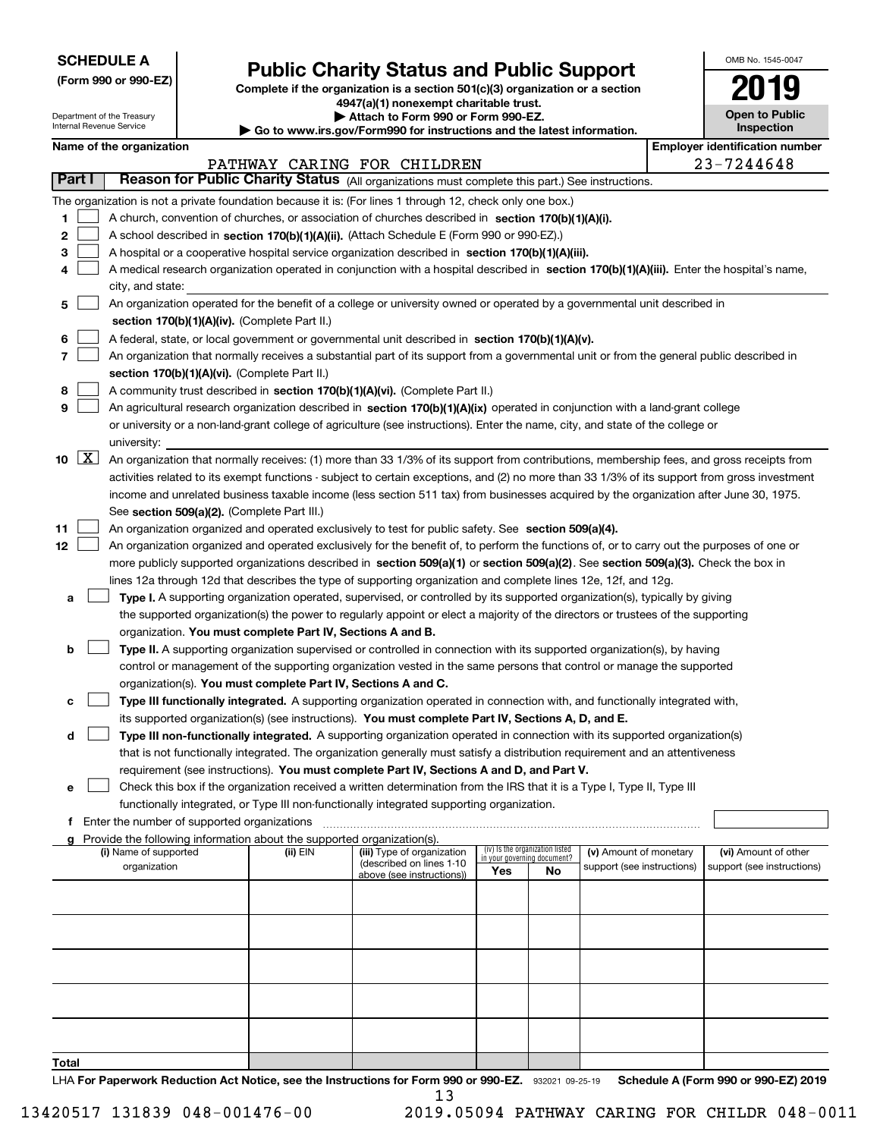| <b>SCHEDULE A</b> |
|-------------------|
|-------------------|

Department of the Treasury Internal Revenue Service

**(Form 990 or 990-EZ)**

# **Public Charity Status and Public Support**

**Complete if the organization is a section 501(c)(3) organization or a section 4947(a)(1) nonexempt charitable trust.**

**| Attach to Form 990 or Form 990-EZ.** 

**| Go to www.irs.gov/Form990 for instructions and the latest information.**

| OMB No 1545-0047                    |
|-------------------------------------|
| 2019                                |
| <b>Open to Public</b><br>Inspection |

|  | Name of the organization |
|--|--------------------------|
|--|--------------------------|

|                           | Name of the organization                                                                                                                      |          |                             |                                                                |    |                            |  | <b>Employer identification number</b> |  |  |  |
|---------------------------|-----------------------------------------------------------------------------------------------------------------------------------------------|----------|-----------------------------|----------------------------------------------------------------|----|----------------------------|--|---------------------------------------|--|--|--|
|                           |                                                                                                                                               |          | PATHWAY CARING FOR CHILDREN |                                                                |    |                            |  | 23-7244648                            |  |  |  |
| Part I                    | Reason for Public Charity Status (All organizations must complete this part.) See instructions.                                               |          |                             |                                                                |    |                            |  |                                       |  |  |  |
|                           | The organization is not a private foundation because it is: (For lines 1 through 12, check only one box.)                                     |          |                             |                                                                |    |                            |  |                                       |  |  |  |
| 1                         | A church, convention of churches, or association of churches described in section 170(b)(1)(A)(i).                                            |          |                             |                                                                |    |                            |  |                                       |  |  |  |
| 2                         | A school described in section 170(b)(1)(A)(ii). (Attach Schedule E (Form 990 or 990-EZ).)                                                     |          |                             |                                                                |    |                            |  |                                       |  |  |  |
| з                         | A hospital or a cooperative hospital service organization described in section 170(b)(1)(A)(iii).                                             |          |                             |                                                                |    |                            |  |                                       |  |  |  |
| 4                         | A medical research organization operated in conjunction with a hospital described in section 170(b)(1)(A)(iii). Enter the hospital's name,    |          |                             |                                                                |    |                            |  |                                       |  |  |  |
|                           | city, and state:                                                                                                                              |          |                             |                                                                |    |                            |  |                                       |  |  |  |
| 5                         | An organization operated for the benefit of a college or university owned or operated by a governmental unit described in                     |          |                             |                                                                |    |                            |  |                                       |  |  |  |
|                           | section 170(b)(1)(A)(iv). (Complete Part II.)                                                                                                 |          |                             |                                                                |    |                            |  |                                       |  |  |  |
| 6                         | A federal, state, or local government or governmental unit described in section 170(b)(1)(A)(v).                                              |          |                             |                                                                |    |                            |  |                                       |  |  |  |
| 7                         | An organization that normally receives a substantial part of its support from a governmental unit or from the general public described in     |          |                             |                                                                |    |                            |  |                                       |  |  |  |
|                           | section 170(b)(1)(A)(vi). (Complete Part II.)                                                                                                 |          |                             |                                                                |    |                            |  |                                       |  |  |  |
| 8                         | A community trust described in section 170(b)(1)(A)(vi). (Complete Part II.)                                                                  |          |                             |                                                                |    |                            |  |                                       |  |  |  |
| 9                         | An agricultural research organization described in section 170(b)(1)(A)(ix) operated in conjunction with a land-grant college                 |          |                             |                                                                |    |                            |  |                                       |  |  |  |
|                           | or university or a non-land-grant college of agriculture (see instructions). Enter the name, city, and state of the college or                |          |                             |                                                                |    |                            |  |                                       |  |  |  |
|                           | university:                                                                                                                                   |          |                             |                                                                |    |                            |  |                                       |  |  |  |
| $\lfloor x \rfloor$<br>10 | An organization that normally receives: (1) more than 33 1/3% of its support from contributions, membership fees, and gross receipts from     |          |                             |                                                                |    |                            |  |                                       |  |  |  |
|                           | activities related to its exempt functions - subject to certain exceptions, and (2) no more than 33 1/3% of its support from gross investment |          |                             |                                                                |    |                            |  |                                       |  |  |  |
|                           | income and unrelated business taxable income (less section 511 tax) from businesses acquired by the organization after June 30, 1975.         |          |                             |                                                                |    |                            |  |                                       |  |  |  |
|                           | See section 509(a)(2). (Complete Part III.)                                                                                                   |          |                             |                                                                |    |                            |  |                                       |  |  |  |
| 11                        | An organization organized and operated exclusively to test for public safety. See section 509(a)(4).                                          |          |                             |                                                                |    |                            |  |                                       |  |  |  |
| 12                        | An organization organized and operated exclusively for the benefit of, to perform the functions of, or to carry out the purposes of one or    |          |                             |                                                                |    |                            |  |                                       |  |  |  |
|                           | more publicly supported organizations described in section 509(a)(1) or section 509(a)(2). See section 509(a)(3). Check the box in            |          |                             |                                                                |    |                            |  |                                       |  |  |  |
|                           | lines 12a through 12d that describes the type of supporting organization and complete lines 12e, 12f, and 12g.                                |          |                             |                                                                |    |                            |  |                                       |  |  |  |
| а                         | Type I. A supporting organization operated, supervised, or controlled by its supported organization(s), typically by giving                   |          |                             |                                                                |    |                            |  |                                       |  |  |  |
|                           | the supported organization(s) the power to regularly appoint or elect a majority of the directors or trustees of the supporting               |          |                             |                                                                |    |                            |  |                                       |  |  |  |
|                           | organization. You must complete Part IV, Sections A and B.                                                                                    |          |                             |                                                                |    |                            |  |                                       |  |  |  |
| b                         | Type II. A supporting organization supervised or controlled in connection with its supported organization(s), by having                       |          |                             |                                                                |    |                            |  |                                       |  |  |  |
|                           | control or management of the supporting organization vested in the same persons that control or manage the supported                          |          |                             |                                                                |    |                            |  |                                       |  |  |  |
|                           | organization(s). You must complete Part IV, Sections A and C.                                                                                 |          |                             |                                                                |    |                            |  |                                       |  |  |  |
| с                         | Type III functionally integrated. A supporting organization operated in connection with, and functionally integrated with,                    |          |                             |                                                                |    |                            |  |                                       |  |  |  |
|                           | its supported organization(s) (see instructions). You must complete Part IV, Sections A, D, and E.                                            |          |                             |                                                                |    |                            |  |                                       |  |  |  |
| d                         | Type III non-functionally integrated. A supporting organization operated in connection with its supported organization(s)                     |          |                             |                                                                |    |                            |  |                                       |  |  |  |
|                           | that is not functionally integrated. The organization generally must satisfy a distribution requirement and an attentiveness                  |          |                             |                                                                |    |                            |  |                                       |  |  |  |
|                           | requirement (see instructions). You must complete Part IV, Sections A and D, and Part V.                                                      |          |                             |                                                                |    |                            |  |                                       |  |  |  |
| е                         | Check this box if the organization received a written determination from the IRS that it is a Type I, Type II, Type III                       |          |                             |                                                                |    |                            |  |                                       |  |  |  |
|                           | functionally integrated, or Type III non-functionally integrated supporting organization.                                                     |          |                             |                                                                |    |                            |  |                                       |  |  |  |
| f.                        | Enter the number of supported organizations                                                                                                   |          |                             |                                                                |    |                            |  |                                       |  |  |  |
|                           | g Provide the following information about the supported organization(s).<br>(i) Name of supported                                             | (ii) EIN | (iii) Type of organization  |                                                                |    | (v) Amount of monetary     |  | (vi) Amount of other                  |  |  |  |
|                           | organization                                                                                                                                  |          | (described on lines 1-10    | (iv) Is the organization listed<br>in your governing document? |    | support (see instructions) |  | support (see instructions)            |  |  |  |
|                           |                                                                                                                                               |          | above (see instructions))   | Yes                                                            | No |                            |  |                                       |  |  |  |
|                           |                                                                                                                                               |          |                             |                                                                |    |                            |  |                                       |  |  |  |
|                           |                                                                                                                                               |          |                             |                                                                |    |                            |  |                                       |  |  |  |
|                           |                                                                                                                                               |          |                             |                                                                |    |                            |  |                                       |  |  |  |
|                           |                                                                                                                                               |          |                             |                                                                |    |                            |  |                                       |  |  |  |
|                           |                                                                                                                                               |          |                             |                                                                |    |                            |  |                                       |  |  |  |
|                           |                                                                                                                                               |          |                             |                                                                |    |                            |  |                                       |  |  |  |
|                           |                                                                                                                                               |          |                             |                                                                |    |                            |  |                                       |  |  |  |
|                           |                                                                                                                                               |          |                             |                                                                |    |                            |  |                                       |  |  |  |
|                           |                                                                                                                                               |          |                             |                                                                |    |                            |  |                                       |  |  |  |
| Total                     |                                                                                                                                               |          |                             |                                                                |    |                            |  |                                       |  |  |  |

LHA For Paperwork Reduction Act Notice, see the Instructions for Form 990 or 990-EZ. 932021 09-25-19 Schedule A (Form 990 or 990-EZ) 2019 13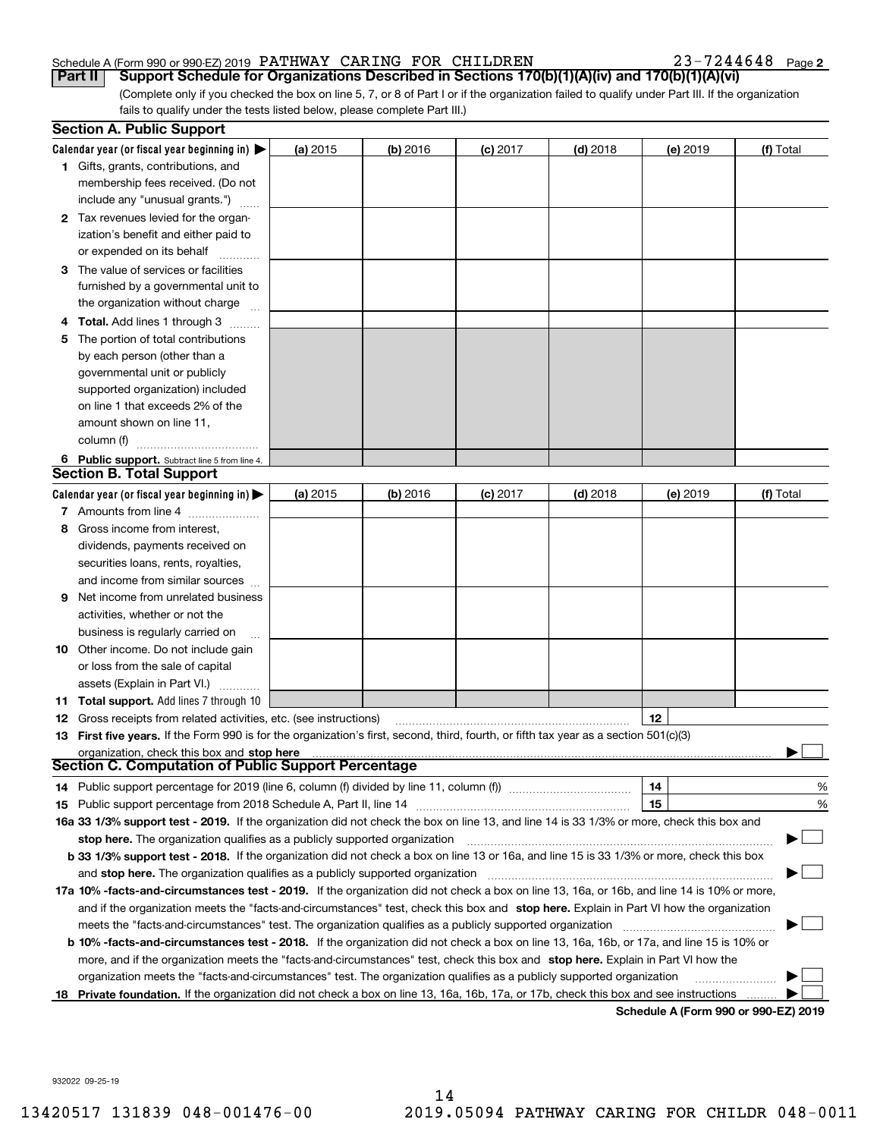#### Schedule A (Form 990 or 990-EZ) 2019 Page PATHWAY CARING FOR CHILDREN 23-7244648

23-7244648 Page 2

(Complete only if you checked the box on line 5, 7, or 8 of Part I or if the organization failed to qualify under Part III. If the organization fails to qualify under the tests listed below, please complete Part III.) **Part II Support Schedule for Organizations Described in Sections 170(b)(1)(A)(iv) and 170(b)(1)(A)(vi)**

|    | <b>Section A. Public Support</b>                                                                                                               |          |            |            |            |                                      |           |
|----|------------------------------------------------------------------------------------------------------------------------------------------------|----------|------------|------------|------------|--------------------------------------|-----------|
|    | Calendar year (or fiscal year beginning in) $\blacktriangleright$                                                                              | (a) 2015 | $(b)$ 2016 | $(c)$ 2017 | $(d)$ 2018 | (e) 2019                             | (f) Total |
|    | <b>1</b> Gifts, grants, contributions, and                                                                                                     |          |            |            |            |                                      |           |
|    | membership fees received. (Do not                                                                                                              |          |            |            |            |                                      |           |
|    | include any "unusual grants.")                                                                                                                 |          |            |            |            |                                      |           |
|    | <b>2</b> Tax revenues levied for the organ-                                                                                                    |          |            |            |            |                                      |           |
|    | ization's benefit and either paid to                                                                                                           |          |            |            |            |                                      |           |
|    | or expended on its behalf                                                                                                                      |          |            |            |            |                                      |           |
|    | 3 The value of services or facilities                                                                                                          |          |            |            |            |                                      |           |
|    | furnished by a governmental unit to                                                                                                            |          |            |            |            |                                      |           |
|    | the organization without charge                                                                                                                |          |            |            |            |                                      |           |
|    | 4 Total. Add lines 1 through 3                                                                                                                 |          |            |            |            |                                      |           |
| 5. | The portion of total contributions                                                                                                             |          |            |            |            |                                      |           |
|    | by each person (other than a                                                                                                                   |          |            |            |            |                                      |           |
|    | governmental unit or publicly                                                                                                                  |          |            |            |            |                                      |           |
|    | supported organization) included                                                                                                               |          |            |            |            |                                      |           |
|    | on line 1 that exceeds 2% of the                                                                                                               |          |            |            |            |                                      |           |
|    | amount shown on line 11,                                                                                                                       |          |            |            |            |                                      |           |
|    | column (f)                                                                                                                                     |          |            |            |            |                                      |           |
|    | 6 Public support. Subtract line 5 from line 4.                                                                                                 |          |            |            |            |                                      |           |
|    | <b>Section B. Total Support</b>                                                                                                                |          |            |            |            |                                      |           |
|    | Calendar year (or fiscal year beginning in)                                                                                                    | (a) 2015 | $(b)$ 2016 | $(c)$ 2017 | $(d)$ 2018 | (e) 2019                             | (f) Total |
|    | 7 Amounts from line 4                                                                                                                          |          |            |            |            |                                      |           |
|    | 8 Gross income from interest,                                                                                                                  |          |            |            |            |                                      |           |
|    | dividends, payments received on                                                                                                                |          |            |            |            |                                      |           |
|    | securities loans, rents, royalties,                                                                                                            |          |            |            |            |                                      |           |
|    | and income from similar sources                                                                                                                |          |            |            |            |                                      |           |
| 9. | Net income from unrelated business                                                                                                             |          |            |            |            |                                      |           |
|    | activities, whether or not the                                                                                                                 |          |            |            |            |                                      |           |
|    | business is regularly carried on                                                                                                               |          |            |            |            |                                      |           |
|    | <b>10</b> Other income. Do not include gain                                                                                                    |          |            |            |            |                                      |           |
|    | or loss from the sale of capital                                                                                                               |          |            |            |            |                                      |           |
|    | assets (Explain in Part VI.)                                                                                                                   |          |            |            |            |                                      |           |
|    | <b>11 Total support.</b> Add lines 7 through 10                                                                                                |          |            |            |            |                                      |           |
|    | <b>12</b> Gross receipts from related activities, etc. (see instructions)                                                                      |          |            |            |            | 12                                   |           |
|    | 13 First five years. If the Form 990 is for the organization's first, second, third, fourth, or fifth tax year as a section 501(c)(3)          |          |            |            |            |                                      |           |
|    | organization, check this box and stop here                                                                                                     |          |            |            |            |                                      |           |
|    | <b>Section C. Computation of Public Support Percentage</b>                                                                                     |          |            |            |            |                                      |           |
|    | 14 Public support percentage for 2019 (line 6, column (f) divided by line 11, column (f) <i>manumanomeron</i>                                  |          |            |            |            | 14                                   | %         |
|    |                                                                                                                                                |          |            |            |            | 15                                   | %         |
|    | 16a 33 1/3% support test - 2019. If the organization did not check the box on line 13, and line 14 is 33 1/3% or more, check this box and      |          |            |            |            |                                      |           |
|    | stop here. The organization qualifies as a publicly supported organization                                                                     |          |            |            |            |                                      |           |
|    | b 33 1/3% support test - 2018. If the organization did not check a box on line 13 or 16a, and line 15 is 33 1/3% or more, check this box       |          |            |            |            |                                      |           |
|    | and stop here. The organization qualifies as a publicly supported organization                                                                 |          |            |            |            |                                      |           |
|    | 17a 10% -facts-and-circumstances test - 2019. If the organization did not check a box on line 13, 16a, or 16b, and line 14 is 10% or more,     |          |            |            |            |                                      |           |
|    | and if the organization meets the "facts-and-circumstances" test, check this box and stop here. Explain in Part VI how the organization        |          |            |            |            |                                      |           |
|    | meets the "facts-and-circumstances" test. The organization qualifies as a publicly supported organization                                      |          |            |            |            |                                      |           |
|    | <b>b 10% -facts-and-circumstances test - 2018.</b> If the organization did not check a box on line 13, 16a, 16b, or 17a, and line 15 is 10% or |          |            |            |            |                                      |           |
|    | more, and if the organization meets the "facts-and-circumstances" test, check this box and stop here. Explain in Part VI how the               |          |            |            |            |                                      |           |
|    | organization meets the "facts-and-circumstances" test. The organization qualifies as a publicly supported organization                         |          |            |            |            |                                      |           |
|    | 18 Private foundation. If the organization did not check a box on line 13, 16a, 16b, 17a, or 17b, check this box and see instructions          |          |            |            |            | Schodule A (Form 000 or 000 F7) 2010 |           |

**Schedule A (Form 990 or 990-EZ) 2019**

932022 09-25-19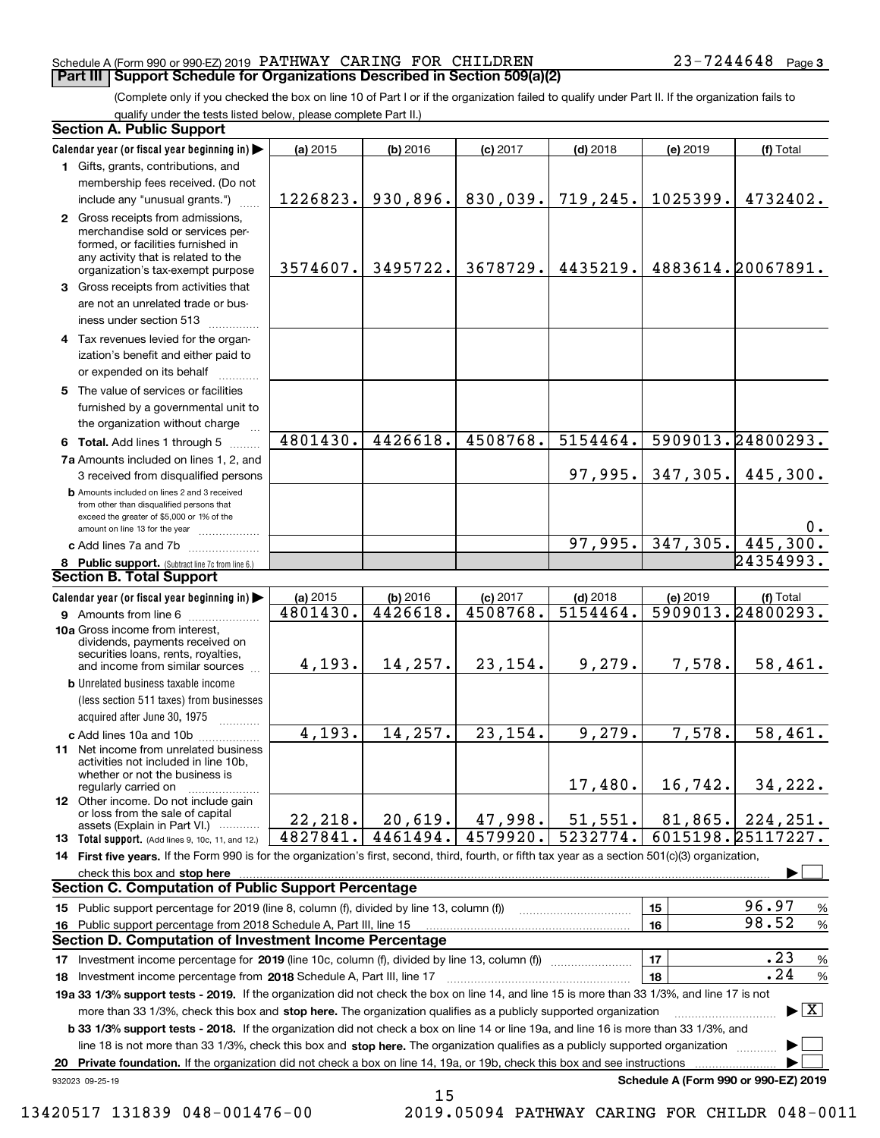#### Schedule A (Form 990 or 990-EZ) 2019 Page PATHWAY CARING FOR CHILDREN 23-7244648 **Part III Support Schedule for Organizations Described in Section 509(a)(2)**

(Complete only if you checked the box on line 10 of Part I or if the organization failed to qualify under Part II. If the organization fails to qualify under the tests listed below, please complete Part II.)

|    | <b>Section A. Public Support</b>                                                                                                                                                         |          |            |            |            |          |                                          |
|----|------------------------------------------------------------------------------------------------------------------------------------------------------------------------------------------|----------|------------|------------|------------|----------|------------------------------------------|
|    | Calendar year (or fiscal year beginning in)                                                                                                                                              | (a) 2015 | $(b)$ 2016 | $(c)$ 2017 | $(d)$ 2018 | (e) 2019 | (f) Total                                |
|    | 1 Gifts, grants, contributions, and                                                                                                                                                      |          |            |            |            |          |                                          |
|    | membership fees received. (Do not                                                                                                                                                        |          |            |            |            |          |                                          |
|    | include any "unusual grants.")                                                                                                                                                           | 1226823. | 930,896.   | 830,039.   | 719,245.   | 1025399. | 4732402.                                 |
|    | 2 Gross receipts from admissions,<br>merchandise sold or services per-<br>formed, or facilities furnished in<br>any activity that is related to the<br>organization's tax-exempt purpose | 3574607. | 3495722.   | 3678729.   | 4435219.   |          | 4883614.20067891.                        |
|    | 3 Gross receipts from activities that<br>are not an unrelated trade or bus-                                                                                                              |          |            |            |            |          |                                          |
|    | iness under section 513                                                                                                                                                                  |          |            |            |            |          |                                          |
|    | 4 Tax revenues levied for the organ-<br>ization's benefit and either paid to<br>or expended on its behalf                                                                                |          |            |            |            |          |                                          |
|    | 5 The value of services or facilities<br>furnished by a governmental unit to<br>the organization without charge                                                                          |          |            |            |            |          |                                          |
|    | 6 Total. Add lines 1 through 5                                                                                                                                                           | 4801430. | 4426618.   | 4508768.   | 5154464.   |          | 5909013.24800293.                        |
|    | 7a Amounts included on lines 1, 2, and                                                                                                                                                   |          |            |            |            |          |                                          |
|    | 3 received from disqualified persons                                                                                                                                                     |          |            |            | 97,995.    | 347,305. | 445,300.                                 |
|    | <b>b</b> Amounts included on lines 2 and 3 received<br>from other than disqualified persons that<br>exceed the greater of \$5,000 or 1% of the                                           |          |            |            |            |          |                                          |
|    | amount on line 13 for the year                                                                                                                                                           |          |            |            | 97,995.    | 347,305. | 0.<br>445,300.                           |
|    | c Add lines 7a and 7b                                                                                                                                                                    |          |            |            |            |          | 24354993.                                |
|    | 8 Public support. (Subtract line 7c from line 6.)<br><b>Section B. Total Support</b>                                                                                                     |          |            |            |            |          |                                          |
|    | Calendar year (or fiscal year beginning in)                                                                                                                                              | (a) 2015 | $(b)$ 2016 | $(c)$ 2017 | $(d)$ 2018 | (e) 2019 | (f) Total                                |
|    | 9 Amounts from line 6                                                                                                                                                                    | 4801430. | 4426618.   | 4508768.   | 5154464.   |          | 5909013.24800293.                        |
|    | 10a Gross income from interest,<br>dividends, payments received on<br>securities loans, rents, royalties,<br>and income from similar sources                                             | 4,193.   | 14,257.    | 23,154.    | 9,279.     | 7,578.   | 58,461.                                  |
|    | <b>b</b> Unrelated business taxable income<br>(less section 511 taxes) from businesses<br>acquired after June 30, 1975                                                                   |          |            |            |            |          |                                          |
|    | c Add lines 10a and 10b                                                                                                                                                                  | 4,193.   | 14, 257.   | 23,154.    | 9,279.     | 7,578.   | $\overline{58}$ , 461.                   |
|    | 11 Net income from unrelated business<br>activities not included in line 10b.<br>whether or not the business is<br>regularly carried on                                                  |          |            |            | 17,480.    | 16,742.  | 34,222.                                  |
|    | <b>12</b> Other income. Do not include gain<br>or loss from the sale of capital<br>assets (Explain in Part VI.)                                                                          | 22,218.  | 20,619.    | 47,998.    | 51,551.    | 81,865.  | 224, 251.                                |
|    | 13 Total support. (Add lines 9, 10c, 11, and 12.)                                                                                                                                        | 4827841. | 4461494.   | 4579920.   | 5232774.   |          | 6015198.25117227.                        |
|    | 14 First five years. If the Form 990 is for the organization's first, second, third, fourth, or fifth tax year as a section 501(c)(3) organization,                                      |          |            |            |            |          |                                          |
|    | check this box and <b>stop here</b> with an intermediate control to the control of the control of the control of the c                                                                   |          |            |            |            |          |                                          |
|    | <b>Section C. Computation of Public Support Percentage</b>                                                                                                                               |          |            |            |            |          |                                          |
|    | 15 Public support percentage for 2019 (line 8, column (f), divided by line 13, column (f))                                                                                               |          |            |            |            | 15       | 96.97<br>%                               |
|    | 16 Public support percentage from 2018 Schedule A, Part III, line 15                                                                                                                     |          |            |            |            | 16       | 98.52<br>$\%$                            |
|    | <b>Section D. Computation of Investment Income Percentage</b>                                                                                                                            |          |            |            |            |          |                                          |
|    | 17 Investment income percentage for 2019 (line 10c, column (f), divided by line 13, column (f))                                                                                          |          |            |            |            | 17       | .23<br>$\%$                              |
|    | 18 Investment income percentage from 2018 Schedule A, Part III, line 17                                                                                                                  |          |            |            |            | 18       | .24<br>$\%$                              |
|    | 19a 33 1/3% support tests - 2019. If the organization did not check the box on line 14, and line 15 is more than 33 1/3%, and line 17 is not                                             |          |            |            |            |          |                                          |
|    | more than 33 1/3%, check this box and stop here. The organization qualifies as a publicly supported organization                                                                         |          |            |            |            |          | $\blacktriangleright$ $\boxed{\text{X}}$ |
|    | <b>b 33 1/3% support tests - 2018.</b> If the organization did not check a box on line 14 or line 19a, and line 16 is more than 33 1/3%, and                                             |          |            |            |            |          |                                          |
|    | line 18 is not more than 33 1/3%, check this box and stop here. The organization qualifies as a publicly supported organization                                                          |          |            |            |            |          |                                          |
| 20 | Private foundation. If the organization did not check a box on line 14, 19a, or 19b, check this box and see instructions                                                                 |          |            |            |            |          | Schedule A (Form 990 or 990-EZ) 2019     |
|    | 932023 09-25-19                                                                                                                                                                          |          | 15         |            |            |          |                                          |

 <sup>13420517 131839 048-001476-00 2019.05094</sup> PATHWAY CARING FOR CHILDR 048-0011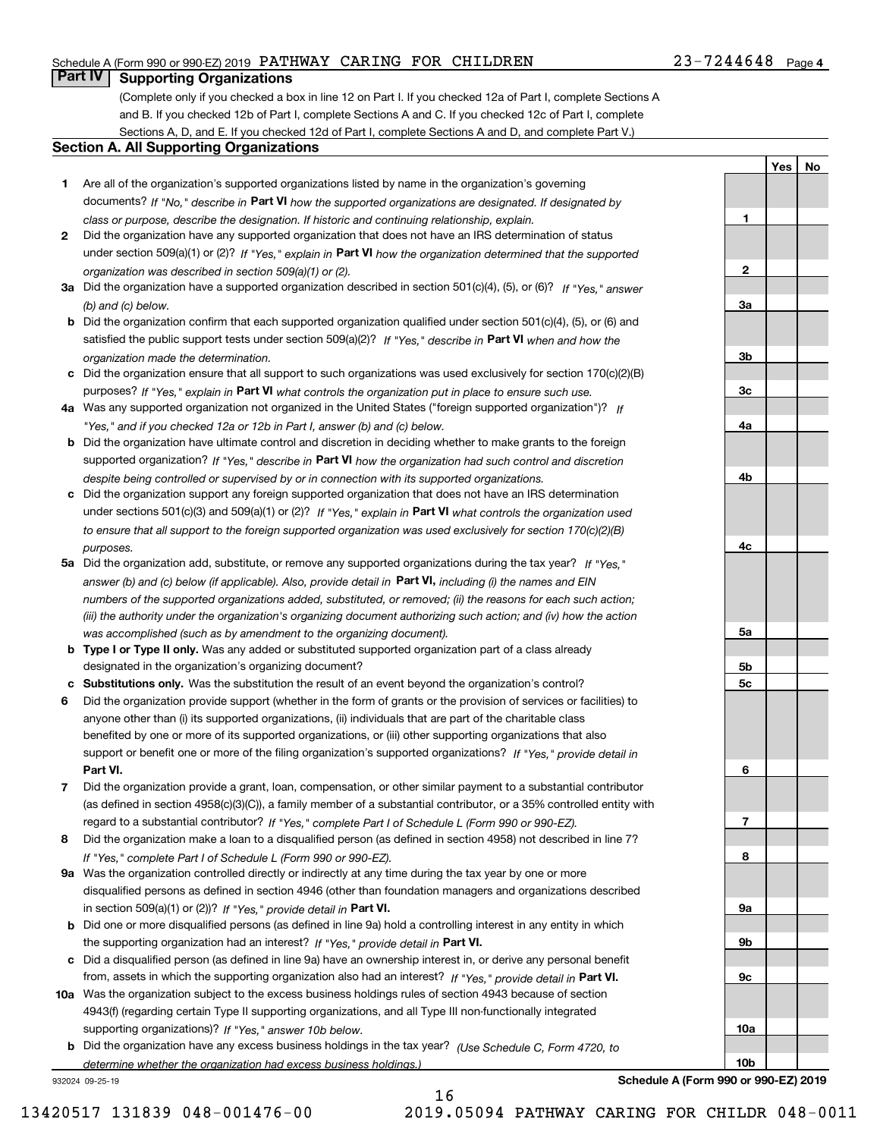## Schedule A (Form 990 or 990-EZ) 2019 Page PATHWAY CARING FOR CHILDREN 23-7244648

# **Part IV Supporting Organizations**

(Complete only if you checked a box in line 12 on Part I. If you checked 12a of Part I, complete Sections A and B. If you checked 12b of Part I, complete Sections A and C. If you checked 12c of Part I, complete Sections A, D, and E. If you checked 12d of Part I, complete Sections A and D, and complete Part V.)

#### **Section A. All Supporting Organizations**

- **1** Are all of the organization's supported organizations listed by name in the organization's governing documents? If "No," describe in **Part VI** how the supported organizations are designated. If designated by *class or purpose, describe the designation. If historic and continuing relationship, explain.*
- **2** Did the organization have any supported organization that does not have an IRS determination of status under section 509(a)(1) or (2)? If "Yes," explain in Part VI how the organization determined that the supported *organization was described in section 509(a)(1) or (2).*
- **3a** Did the organization have a supported organization described in section 501(c)(4), (5), or (6)? If "Yes," answer *(b) and (c) below.*
- **b** Did the organization confirm that each supported organization qualified under section 501(c)(4), (5), or (6) and satisfied the public support tests under section 509(a)(2)? If "Yes," describe in **Part VI** when and how the *organization made the determination.*
- **c**Did the organization ensure that all support to such organizations was used exclusively for section 170(c)(2)(B) purposes? If "Yes," explain in **Part VI** what controls the organization put in place to ensure such use.
- **4a***If* Was any supported organization not organized in the United States ("foreign supported organization")? *"Yes," and if you checked 12a or 12b in Part I, answer (b) and (c) below.*
- **b** Did the organization have ultimate control and discretion in deciding whether to make grants to the foreign supported organization? If "Yes," describe in **Part VI** how the organization had such control and discretion *despite being controlled or supervised by or in connection with its supported organizations.*
- **c** Did the organization support any foreign supported organization that does not have an IRS determination under sections 501(c)(3) and 509(a)(1) or (2)? If "Yes," explain in **Part VI** what controls the organization used *to ensure that all support to the foreign supported organization was used exclusively for section 170(c)(2)(B) purposes.*
- **5a** Did the organization add, substitute, or remove any supported organizations during the tax year? If "Yes," answer (b) and (c) below (if applicable). Also, provide detail in **Part VI,** including (i) the names and EIN *numbers of the supported organizations added, substituted, or removed; (ii) the reasons for each such action; (iii) the authority under the organization's organizing document authorizing such action; and (iv) how the action was accomplished (such as by amendment to the organizing document).*
- **b** Type I or Type II only. Was any added or substituted supported organization part of a class already designated in the organization's organizing document?
- **cSubstitutions only.**  Was the substitution the result of an event beyond the organization's control?
- **6** Did the organization provide support (whether in the form of grants or the provision of services or facilities) to **Part VI.** *If "Yes," provide detail in* support or benefit one or more of the filing organization's supported organizations? anyone other than (i) its supported organizations, (ii) individuals that are part of the charitable class benefited by one or more of its supported organizations, or (iii) other supporting organizations that also
- **7**Did the organization provide a grant, loan, compensation, or other similar payment to a substantial contributor *If "Yes," complete Part I of Schedule L (Form 990 or 990-EZ).* regard to a substantial contributor? (as defined in section 4958(c)(3)(C)), a family member of a substantial contributor, or a 35% controlled entity with
- **8** Did the organization make a loan to a disqualified person (as defined in section 4958) not described in line 7? *If "Yes," complete Part I of Schedule L (Form 990 or 990-EZ).*
- **9a** Was the organization controlled directly or indirectly at any time during the tax year by one or more in section 509(a)(1) or (2))? If "Yes," *provide detail in* <code>Part VI.</code> disqualified persons as defined in section 4946 (other than foundation managers and organizations described
- **b** Did one or more disqualified persons (as defined in line 9a) hold a controlling interest in any entity in which the supporting organization had an interest? If "Yes," provide detail in P**art VI**.
- **c**Did a disqualified person (as defined in line 9a) have an ownership interest in, or derive any personal benefit from, assets in which the supporting organization also had an interest? If "Yes," provide detail in P**art VI.**
- **10a** Was the organization subject to the excess business holdings rules of section 4943 because of section supporting organizations)? If "Yes," answer 10b below. 4943(f) (regarding certain Type II supporting organizations, and all Type III non-functionally integrated
- **b** Did the organization have any excess business holdings in the tax year? (Use Schedule C, Form 4720, to *determine whether the organization had excess business holdings.)*

16

932024 09-25-19

**Schedule A (Form 990 or 990-EZ) 2019**

**1**

**2**

**3a**

**3b**

**3c**

**4a**

**4b**

**4c**

**5a**

**5b5c**

**6**

**7**

**8**

**9a**

**9b**

**9c**

**10a**

**10b**

**YesNo**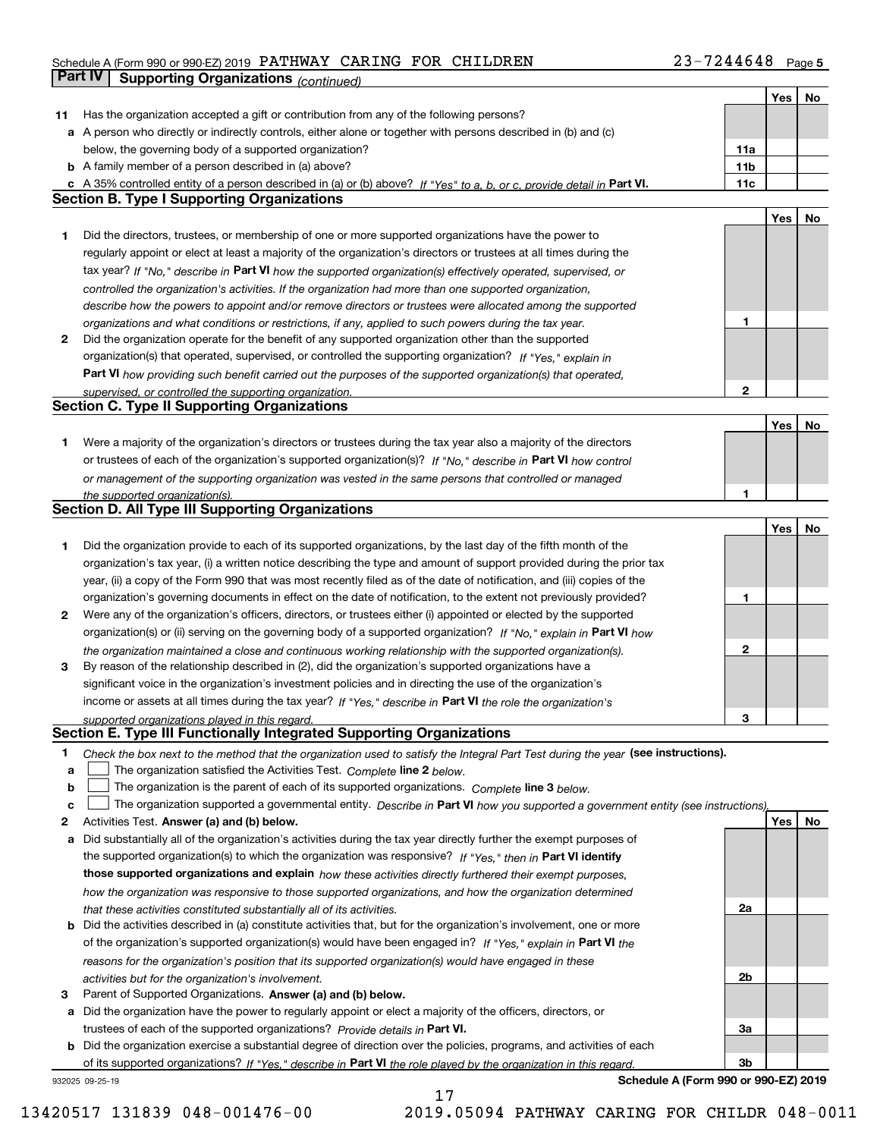#### Schedule A (Form 990 or 990-EZ) 2019 Page PATHWAY CARING FOR CHILDREN 23-7244648

|     | <b>Part IV</b><br><b>Supporting Organizations (continued)</b>                                                                     |                 |     |    |
|-----|-----------------------------------------------------------------------------------------------------------------------------------|-----------------|-----|----|
|     |                                                                                                                                   |                 | Yes | No |
| 11. | Has the organization accepted a gift or contribution from any of the following persons?                                           |                 |     |    |
|     | a A person who directly or indirectly controls, either alone or together with persons described in (b) and (c)                    |                 |     |    |
|     | below, the governing body of a supported organization?                                                                            | 11a             |     |    |
|     | <b>b</b> A family member of a person described in (a) above?                                                                      | 11 <sub>b</sub> |     |    |
|     | c A 35% controlled entity of a person described in (a) or (b) above? If "Yes" to a, b, or c, provide detail in Part VI.           | 11c             |     |    |
|     | <b>Section B. Type I Supporting Organizations</b>                                                                                 |                 |     |    |
|     |                                                                                                                                   |                 | Yes | No |
| 1   | Did the directors, trustees, or membership of one or more supported organizations have the power to                               |                 |     |    |
|     | regularly appoint or elect at least a majority of the organization's directors or trustees at all times during the                |                 |     |    |
|     | tax year? If "No," describe in Part VI how the supported organization(s) effectively operated, supervised, or                     |                 |     |    |
|     | controlled the organization's activities. If the organization had more than one supported organization,                           |                 |     |    |
|     | describe how the powers to appoint and/or remove directors or trustees were allocated among the supported                         |                 |     |    |
|     | organizations and what conditions or restrictions, if any, applied to such powers during the tax year.                            | 1               |     |    |
| 2   | Did the organization operate for the benefit of any supported organization other than the supported                               |                 |     |    |
|     | organization(s) that operated, supervised, or controlled the supporting organization? If "Yes," explain in                        |                 |     |    |
|     | Part VI how providing such benefit carried out the purposes of the supported organization(s) that operated,                       |                 |     |    |
|     | supervised, or controlled the supporting organization.                                                                            | $\mathbf{2}$    |     |    |
|     | <b>Section C. Type II Supporting Organizations</b>                                                                                |                 |     |    |
|     |                                                                                                                                   |                 | Yes | No |
| 1.  | Were a majority of the organization's directors or trustees during the tax year also a majority of the directors                  |                 |     |    |
|     | or trustees of each of the organization's supported organization(s)? If "No." describe in Part VI how control                     |                 |     |    |
|     | or management of the supporting organization was vested in the same persons that controlled or managed                            |                 |     |    |
|     | the supported organization(s).                                                                                                    | 1               |     |    |
|     | <b>Section D. All Type III Supporting Organizations</b>                                                                           |                 |     |    |
|     |                                                                                                                                   |                 | Yes | No |
| 1   | Did the organization provide to each of its supported organizations, by the last day of the fifth month of the                    |                 |     |    |
|     | organization's tax year, (i) a written notice describing the type and amount of support provided during the prior tax             |                 |     |    |
|     | year, (ii) a copy of the Form 990 that was most recently filed as of the date of notification, and (iii) copies of the            |                 |     |    |
|     | organization's governing documents in effect on the date of notification, to the extent not previously provided?                  | 1               |     |    |
| 2   | Were any of the organization's officers, directors, or trustees either (i) appointed or elected by the supported                  |                 |     |    |
|     | organization(s) or (ii) serving on the governing body of a supported organization? If "No," explain in Part VI how                |                 |     |    |
|     | the organization maintained a close and continuous working relationship with the supported organization(s).                       | $\mathbf{2}$    |     |    |
| 3   | By reason of the relationship described in (2), did the organization's supported organizations have a                             |                 |     |    |
|     | significant voice in the organization's investment policies and in directing the use of the organization's                        |                 |     |    |
|     | income or assets at all times during the tax year? If "Yes," describe in Part VI the role the organization's                      |                 |     |    |
|     | supported organizations played in this regard.                                                                                    | 3               |     |    |
|     | Section E. Type III Functionally Integrated Supporting Organizations                                                              |                 |     |    |
| 1   | Check the box next to the method that the organization used to satisfy the Integral Part Test during the year (see instructions). |                 |     |    |
| a   | The organization satisfied the Activities Test. Complete line 2 below.                                                            |                 |     |    |
| b   | The organization is the parent of each of its supported organizations. Complete line 3 below.                                     |                 |     |    |
| c   | The organization supported a governmental entity. Describe in Part VI how you supported a government entity (see instructions),   |                 |     |    |
| 2   | Activities Test. Answer (a) and (b) below.                                                                                        |                 | Yes | No |
| а   | Did substantially all of the organization's activities during the tax year directly further the exempt purposes of                |                 |     |    |
|     | the supported organization(s) to which the organization was responsive? If "Yes," then in Part VI identify                        |                 |     |    |
|     | those supported organizations and explain how these activities directly furthered their exempt purposes,                          |                 |     |    |
|     | how the organization was responsive to those supported organizations, and how the organization determined                         |                 |     |    |
|     | that these activities constituted substantially all of its activities.                                                            | 2a              |     |    |
|     | <b>b</b> Did the activities described in (a) constitute activities that, but for the organization's involvement, one or more      |                 |     |    |
|     | of the organization's supported organization(s) would have been engaged in? If "Yes," explain in Part VI the                      |                 |     |    |
|     | reasons for the organization's position that its supported organization(s) would have engaged in these                            |                 |     |    |
|     | activities but for the organization's involvement.                                                                                | 2b              |     |    |
| з   | Parent of Supported Organizations. Answer (a) and (b) below.                                                                      |                 |     |    |
|     | a Did the organization have the power to regularly appoint or elect a majority of the officers, directors, or                     |                 |     |    |
|     | trustees of each of the supported organizations? Provide details in Part VI.                                                      | За              |     |    |
|     | <b>b</b> Did the organization exercise a substantial degree of direction over the policies, programs, and activities of each      |                 |     |    |
|     | of its supported organizations? If "Yes," describe in Part VI the role played by the organization in this regard.                 | Зb              |     |    |

17

932025 09-25-19

**Schedule A (Form 990 or 990-EZ) 2019**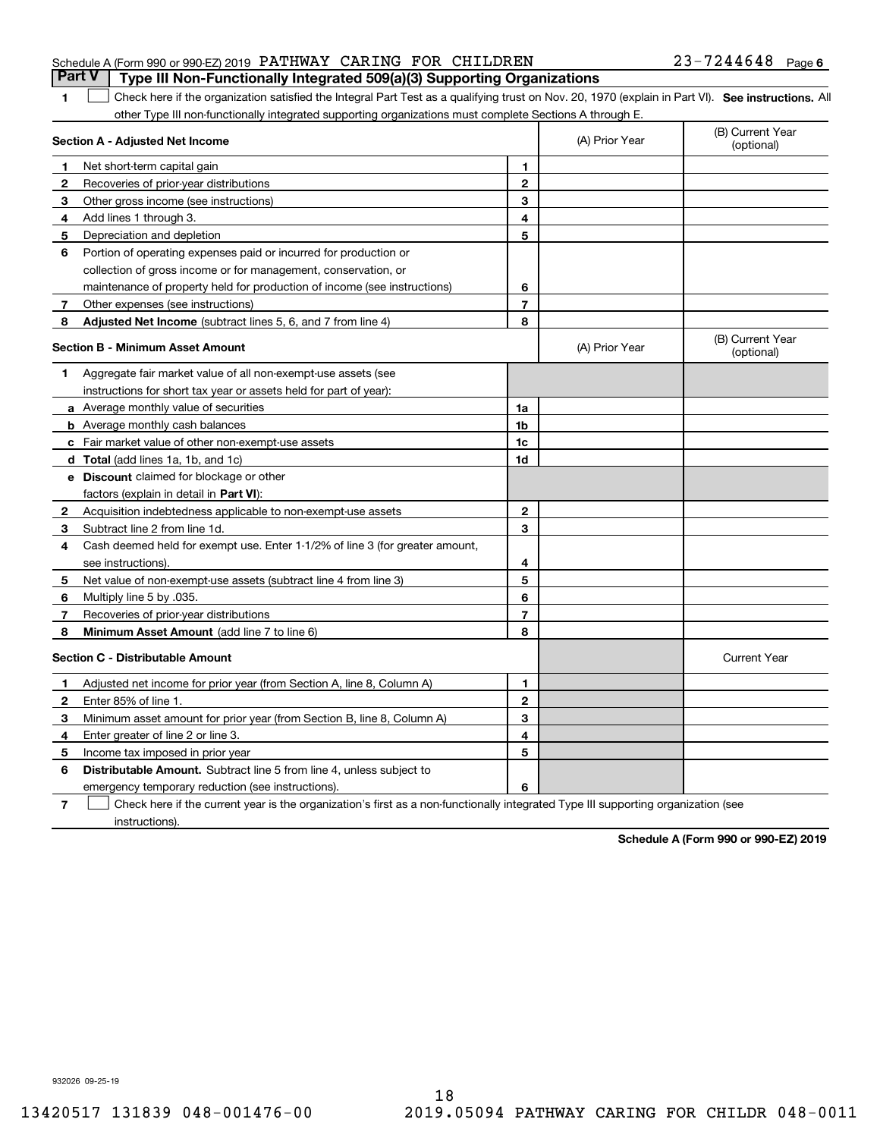|                                                                  |  | <b>Part V</b> Type III Non-Functionally Integrated 509(a)(3) Supporting Organizations |                       |  |
|------------------------------------------------------------------|--|---------------------------------------------------------------------------------------|-----------------------|--|
| Schedule A (Form 990 or 990-EZ) 2019 PATHWAY CARING FOR CHILDREN |  |                                                                                       | $23 - 7244648$ Page 6 |  |

1 Check here if the organization satisfied the Integral Part Test as a qualifying trust on Nov. 20, 1970 (explain in Part VI). See instructions. All other Type III non-functionally integrated supporting organizations must complete Sections A through E.

|              | Section A - Adjusted Net Income                                              |                | (A) Prior Year | (B) Current Year<br>(optional) |
|--------------|------------------------------------------------------------------------------|----------------|----------------|--------------------------------|
| 1            | Net short-term capital gain                                                  | 1              |                |                                |
| $\mathbf{2}$ | Recoveries of prior-year distributions                                       | $\mathbf{2}$   |                |                                |
| 3            | Other gross income (see instructions)                                        | 3              |                |                                |
| 4            | Add lines 1 through 3.                                                       | 4              |                |                                |
| 5            | Depreciation and depletion                                                   | 5              |                |                                |
| 6            | Portion of operating expenses paid or incurred for production or             |                |                |                                |
|              | collection of gross income or for management, conservation, or               |                |                |                                |
|              | maintenance of property held for production of income (see instructions)     | 6              |                |                                |
| 7            | Other expenses (see instructions)                                            | $\overline{7}$ |                |                                |
| 8            | Adjusted Net Income (subtract lines 5, 6, and 7 from line 4)                 | 8              |                |                                |
|              | <b>Section B - Minimum Asset Amount</b>                                      |                | (A) Prior Year | (B) Current Year<br>(optional) |
| 1            | Aggregate fair market value of all non-exempt-use assets (see                |                |                |                                |
|              | instructions for short tax year or assets held for part of year):            |                |                |                                |
|              | a Average monthly value of securities                                        | 1a             |                |                                |
|              | <b>b</b> Average monthly cash balances                                       | 1 <sub>b</sub> |                |                                |
|              | c Fair market value of other non-exempt-use assets                           | 1c             |                |                                |
|              | d Total (add lines 1a, 1b, and 1c)                                           | 1d             |                |                                |
|              | e Discount claimed for blockage or other                                     |                |                |                                |
|              | factors (explain in detail in Part VI):                                      |                |                |                                |
| 2            | Acquisition indebtedness applicable to non-exempt-use assets                 | $\mathbf{2}$   |                |                                |
| 3            | Subtract line 2 from line 1d.                                                | 3              |                |                                |
| 4            | Cash deemed held for exempt use. Enter 1-1/2% of line 3 (for greater amount, |                |                |                                |
|              | see instructions).                                                           | 4              |                |                                |
| 5            | Net value of non-exempt-use assets (subtract line 4 from line 3)             | 5              |                |                                |
| 6            | Multiply line 5 by .035.                                                     | 6              |                |                                |
| 7            | Recoveries of prior-year distributions                                       | 7              |                |                                |
| 8            | Minimum Asset Amount (add line 7 to line 6)                                  | 8              |                |                                |
|              | <b>Section C - Distributable Amount</b>                                      |                |                | <b>Current Year</b>            |
| 1            | Adjusted net income for prior year (from Section A, line 8, Column A)        | 1              |                |                                |
| $\mathbf{2}$ | Enter 85% of line 1                                                          | $\overline{2}$ |                |                                |
| з            | Minimum asset amount for prior year (from Section B, line 8, Column A)       | 3              |                |                                |
| 4            | Enter greater of line 2 or line 3.                                           | 4              |                |                                |
| 5            | Income tax imposed in prior year                                             | 5              |                |                                |
| 6            | Distributable Amount. Subtract line 5 from line 4, unless subject to         |                |                |                                |
|              | emergency temporary reduction (see instructions).                            | 6              |                |                                |
|              |                                                                              |                |                |                                |

**7**Check here if the current year is the organization's first as a non-functionally integrated Type III supporting organization (see instructions).

**Schedule A (Form 990 or 990-EZ) 2019**

932026 09-25-19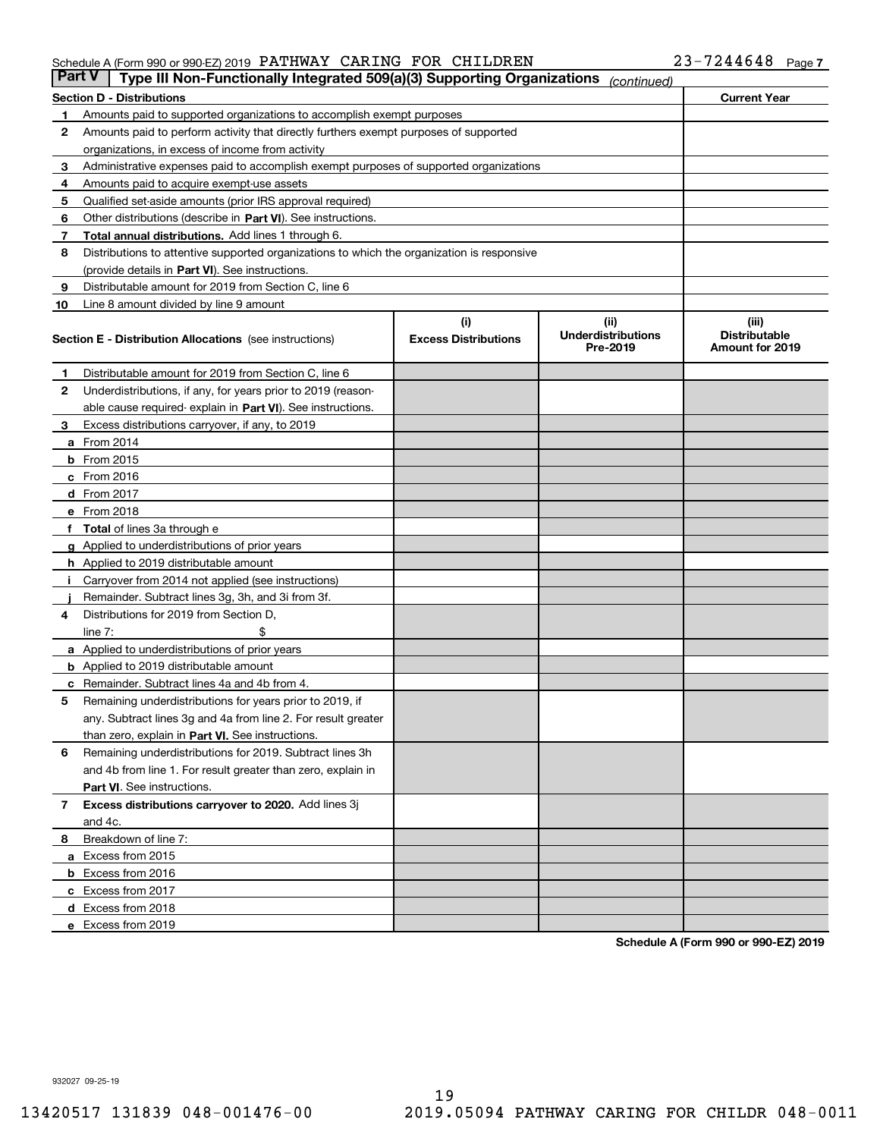#### Schedule A (Form 990 or 990-EZ) 2019 Page PATHWAY CARING FOR CHILDREN 23-7244648

| <b>Part V</b> | Type III Non-Functionally Integrated 509(a)(3) Supporting Organizations                    |                             | (continued)                           |                                         |
|---------------|--------------------------------------------------------------------------------------------|-----------------------------|---------------------------------------|-----------------------------------------|
|               | <b>Section D - Distributions</b>                                                           |                             |                                       | <b>Current Year</b>                     |
| 1             | Amounts paid to supported organizations to accomplish exempt purposes                      |                             |                                       |                                         |
| 2             | Amounts paid to perform activity that directly furthers exempt purposes of supported       |                             |                                       |                                         |
|               | organizations, in excess of income from activity                                           |                             |                                       |                                         |
| 3             | Administrative expenses paid to accomplish exempt purposes of supported organizations      |                             |                                       |                                         |
| 4             | Amounts paid to acquire exempt-use assets                                                  |                             |                                       |                                         |
| 5             | Qualified set-aside amounts (prior IRS approval required)                                  |                             |                                       |                                         |
| 6             | Other distributions (describe in Part VI). See instructions.                               |                             |                                       |                                         |
| 7             | <b>Total annual distributions.</b> Add lines 1 through 6.                                  |                             |                                       |                                         |
| 8             | Distributions to attentive supported organizations to which the organization is responsive |                             |                                       |                                         |
|               | (provide details in Part VI). See instructions.                                            |                             |                                       |                                         |
| 9             | Distributable amount for 2019 from Section C, line 6                                       |                             |                                       |                                         |
| 10            | Line 8 amount divided by line 9 amount                                                     |                             |                                       |                                         |
|               |                                                                                            | (i)                         | (iii)                                 | (iii)                                   |
|               | <b>Section E - Distribution Allocations</b> (see instructions)                             | <b>Excess Distributions</b> | <b>Underdistributions</b><br>Pre-2019 | <b>Distributable</b><br>Amount for 2019 |
| 1             | Distributable amount for 2019 from Section C, line 6                                       |                             |                                       |                                         |
| 2             | Underdistributions, if any, for years prior to 2019 (reason-                               |                             |                                       |                                         |
|               | able cause required- explain in Part VI). See instructions.                                |                             |                                       |                                         |
| З             | Excess distributions carryover, if any, to 2019                                            |                             |                                       |                                         |
|               | <b>a</b> From 2014                                                                         |                             |                                       |                                         |
|               | <b>b</b> From 2015                                                                         |                             |                                       |                                         |
|               | $c$ From 2016                                                                              |                             |                                       |                                         |
|               | d From 2017                                                                                |                             |                                       |                                         |
|               | e From 2018                                                                                |                             |                                       |                                         |
|               | Total of lines 3a through e                                                                |                             |                                       |                                         |
| g             | Applied to underdistributions of prior years                                               |                             |                                       |                                         |
|               | <b>h</b> Applied to 2019 distributable amount                                              |                             |                                       |                                         |
|               | Carryover from 2014 not applied (see instructions)                                         |                             |                                       |                                         |
|               | Remainder. Subtract lines 3g, 3h, and 3i from 3f.                                          |                             |                                       |                                         |
| 4             | Distributions for 2019 from Section D,                                                     |                             |                                       |                                         |
|               | line $7:$                                                                                  |                             |                                       |                                         |
|               | <b>a</b> Applied to underdistributions of prior years                                      |                             |                                       |                                         |
|               | <b>b</b> Applied to 2019 distributable amount                                              |                             |                                       |                                         |
|               | c Remainder. Subtract lines 4a and 4b from 4.                                              |                             |                                       |                                         |
| 5             | Remaining underdistributions for years prior to 2019, if                                   |                             |                                       |                                         |
|               | any. Subtract lines 3g and 4a from line 2. For result greater                              |                             |                                       |                                         |
|               | than zero, explain in Part VI. See instructions.                                           |                             |                                       |                                         |
| 6             | Remaining underdistributions for 2019. Subtract lines 3h                                   |                             |                                       |                                         |
|               | and 4b from line 1. For result greater than zero, explain in                               |                             |                                       |                                         |
|               | Part VI. See instructions.                                                                 |                             |                                       |                                         |
| 7             | Excess distributions carryover to 2020. Add lines 3j                                       |                             |                                       |                                         |
|               | and 4c.                                                                                    |                             |                                       |                                         |
| 8             | Breakdown of line 7:                                                                       |                             |                                       |                                         |
|               | a Excess from 2015                                                                         |                             |                                       |                                         |
|               | <b>b</b> Excess from 2016                                                                  |                             |                                       |                                         |
|               | c Excess from 2017                                                                         |                             |                                       |                                         |
|               | d Excess from 2018                                                                         |                             |                                       |                                         |
|               | e Excess from 2019                                                                         |                             |                                       |                                         |
|               |                                                                                            |                             |                                       |                                         |

**Schedule A (Form 990 or 990-EZ) 2019**

932027 09-25-19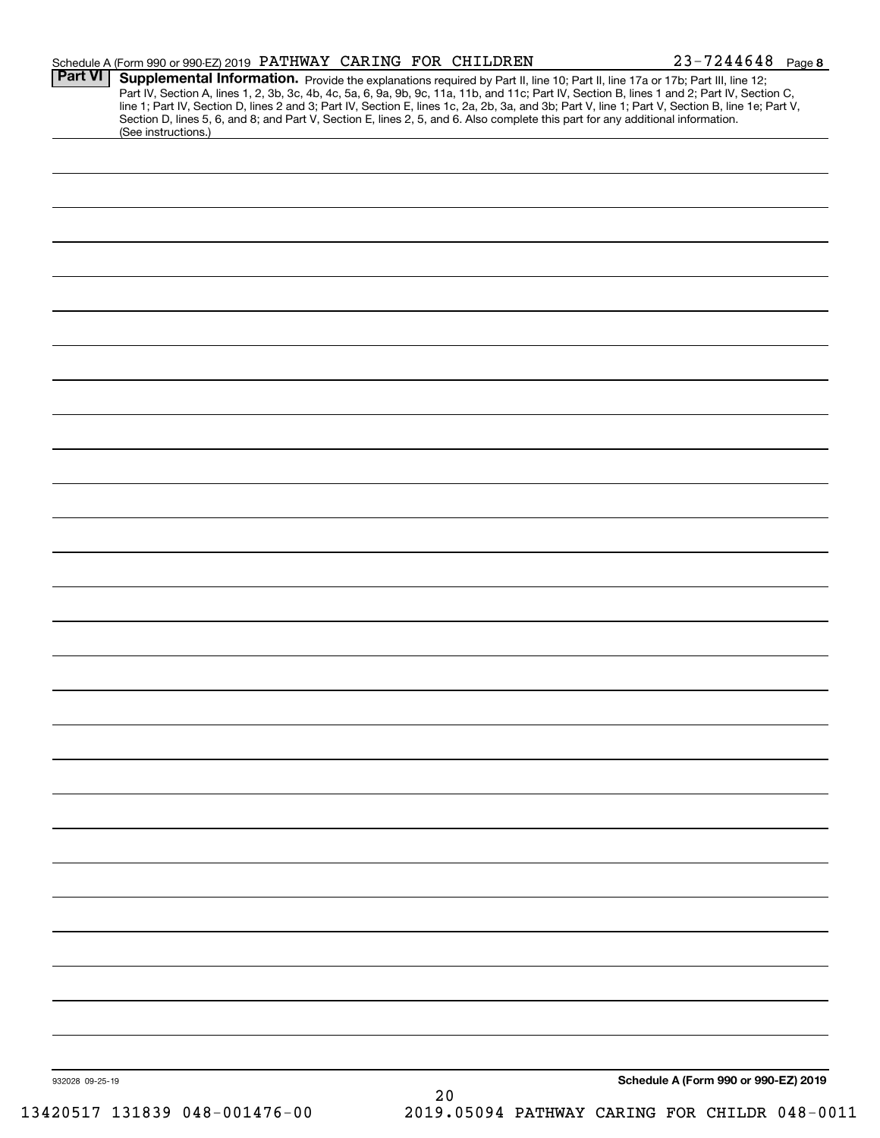|         | Schedule A (Form 990 or 990-EZ) 2019 PATHWAY CARING FOR CHILDREN                                                                                                                                                                                                                                                                                                                                                                                                                                                                                                                            | $23 - 7244648$ Page 8 |
|---------|---------------------------------------------------------------------------------------------------------------------------------------------------------------------------------------------------------------------------------------------------------------------------------------------------------------------------------------------------------------------------------------------------------------------------------------------------------------------------------------------------------------------------------------------------------------------------------------------|-----------------------|
| Part VI | Supplemental Information. Provide the explanations required by Part II, line 10; Part II, line 17a or 17b; Part III, line 12;<br>Part IV, Section A, lines 1, 2, 3b, 3c, 4b, 4c, 5a, 6, 9a, 9b, 9c, 11a, 11b, and 11c; Part IV, Section B, lines 1 and 2; Part IV, Section C,<br>line 1; Part IV, Section D, lines 2 and 3; Part IV, Section E, lines 1c, 2a, 2b, 3a, and 3b; Part V, line 1; Part V, Section B, line 1e; Part V,<br>Section D, lines 5, 6, and 8; and Part V, Section E, lines 2, 5, and 6. Also complete this part for any additional information.<br>(See instructions.) |                       |
|         |                                                                                                                                                                                                                                                                                                                                                                                                                                                                                                                                                                                             |                       |
|         |                                                                                                                                                                                                                                                                                                                                                                                                                                                                                                                                                                                             |                       |
|         |                                                                                                                                                                                                                                                                                                                                                                                                                                                                                                                                                                                             |                       |
|         |                                                                                                                                                                                                                                                                                                                                                                                                                                                                                                                                                                                             |                       |
|         |                                                                                                                                                                                                                                                                                                                                                                                                                                                                                                                                                                                             |                       |
|         |                                                                                                                                                                                                                                                                                                                                                                                                                                                                                                                                                                                             |                       |
|         |                                                                                                                                                                                                                                                                                                                                                                                                                                                                                                                                                                                             |                       |
|         |                                                                                                                                                                                                                                                                                                                                                                                                                                                                                                                                                                                             |                       |
|         |                                                                                                                                                                                                                                                                                                                                                                                                                                                                                                                                                                                             |                       |
|         |                                                                                                                                                                                                                                                                                                                                                                                                                                                                                                                                                                                             |                       |
|         |                                                                                                                                                                                                                                                                                                                                                                                                                                                                                                                                                                                             |                       |
|         |                                                                                                                                                                                                                                                                                                                                                                                                                                                                                                                                                                                             |                       |
|         |                                                                                                                                                                                                                                                                                                                                                                                                                                                                                                                                                                                             |                       |
|         |                                                                                                                                                                                                                                                                                                                                                                                                                                                                                                                                                                                             |                       |
|         |                                                                                                                                                                                                                                                                                                                                                                                                                                                                                                                                                                                             |                       |
|         |                                                                                                                                                                                                                                                                                                                                                                                                                                                                                                                                                                                             |                       |
|         |                                                                                                                                                                                                                                                                                                                                                                                                                                                                                                                                                                                             |                       |
|         |                                                                                                                                                                                                                                                                                                                                                                                                                                                                                                                                                                                             |                       |
|         |                                                                                                                                                                                                                                                                                                                                                                                                                                                                                                                                                                                             |                       |
|         |                                                                                                                                                                                                                                                                                                                                                                                                                                                                                                                                                                                             |                       |
|         |                                                                                                                                                                                                                                                                                                                                                                                                                                                                                                                                                                                             |                       |
|         |                                                                                                                                                                                                                                                                                                                                                                                                                                                                                                                                                                                             |                       |
|         |                                                                                                                                                                                                                                                                                                                                                                                                                                                                                                                                                                                             |                       |
|         |                                                                                                                                                                                                                                                                                                                                                                                                                                                                                                                                                                                             |                       |
|         |                                                                                                                                                                                                                                                                                                                                                                                                                                                                                                                                                                                             |                       |
|         |                                                                                                                                                                                                                                                                                                                                                                                                                                                                                                                                                                                             |                       |
|         |                                                                                                                                                                                                                                                                                                                                                                                                                                                                                                                                                                                             |                       |
|         |                                                                                                                                                                                                                                                                                                                                                                                                                                                                                                                                                                                             |                       |
|         |                                                                                                                                                                                                                                                                                                                                                                                                                                                                                                                                                                                             |                       |
|         |                                                                                                                                                                                                                                                                                                                                                                                                                                                                                                                                                                                             |                       |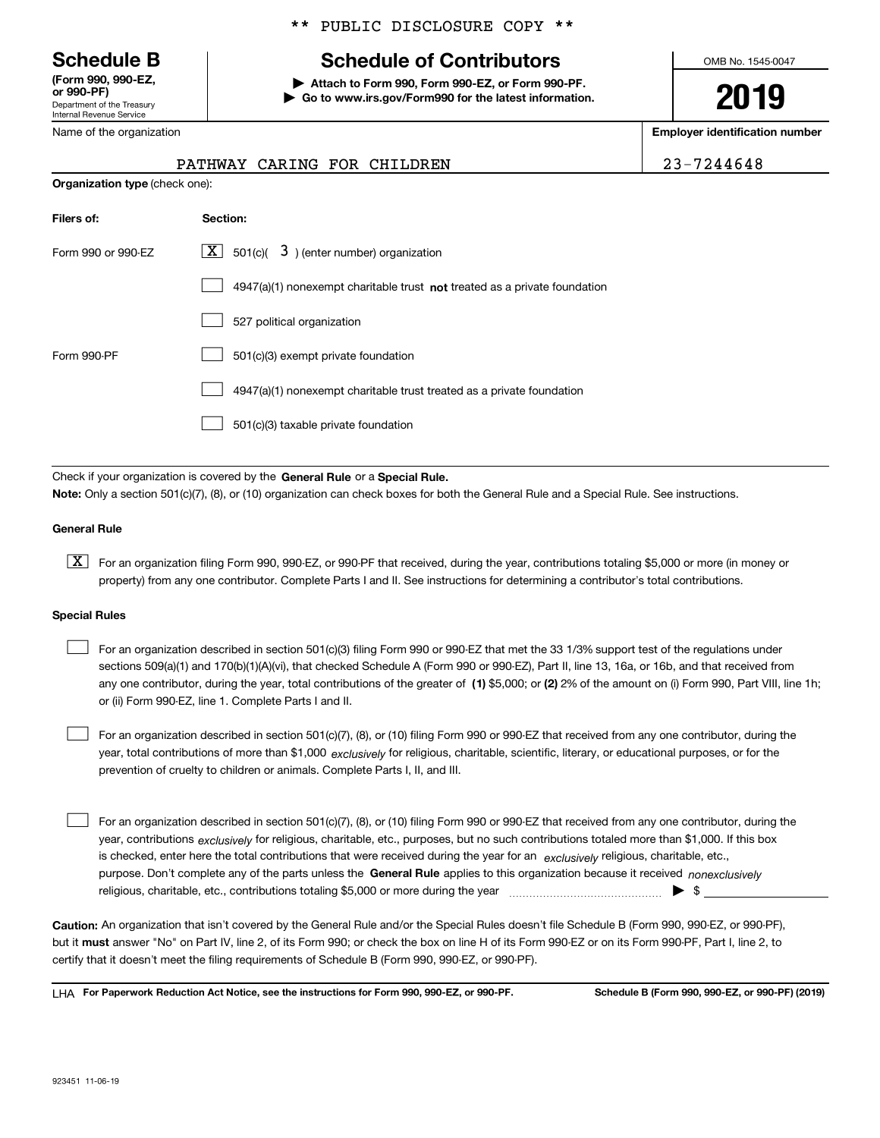Department of the Treasury Internal Revenue Service **(Form 990, 990-EZ, OOO-PF** 

# \*\* PUBLIC DISCLOSURE COPY \*\*

# **Schedule B Schedule of Contributors**

**| Attach to Form 990, Form 990-EZ, or Form 990-PF. | Go to www.irs.gov/Form990 for the latest information.** OMB No. 1545-0047

**2019**

**Employer identification number**

| <u>UI JJU-FIJ</u>          |
|----------------------------|
| Department of the Treasury |
| Internal Revenue Service   |
| Name of the organization   |

|                    | PATHWAY CARING FOR CHILDREN                                                        | 23-7244648 |  |  |  |  |
|--------------------|------------------------------------------------------------------------------------|------------|--|--|--|--|
|                    | <b>Organization type (check one):</b>                                              |            |  |  |  |  |
| Filers of:         | Section:                                                                           |            |  |  |  |  |
| Form 990 or 990-EZ | $ \mathbf{X} $ 501(c)( 3) (enter number) organization                              |            |  |  |  |  |
|                    | $4947(a)(1)$ nonexempt charitable trust <b>not</b> treated as a private foundation |            |  |  |  |  |
|                    | 527 political organization                                                         |            |  |  |  |  |
| Form 990-PF        | 501(c)(3) exempt private foundation                                                |            |  |  |  |  |
|                    | 4947(a)(1) nonexempt charitable trust treated as a private foundation              |            |  |  |  |  |
|                    | 501(c)(3) taxable private foundation                                               |            |  |  |  |  |

Check if your organization is covered by the **General Rule** or a **Special Rule. Note:**  Only a section 501(c)(7), (8), or (10) organization can check boxes for both the General Rule and a Special Rule. See instructions.

#### **General Rule**

 $\boxed{\textbf{X}}$  For an organization filing Form 990, 990-EZ, or 990-PF that received, during the year, contributions totaling \$5,000 or more (in money or property) from any one contributor. Complete Parts I and II. See instructions for determining a contributor's total contributions.

#### **Special Rules**

any one contributor, during the year, total contributions of the greater of  $\,$  (1) \$5,000; or **(2)** 2% of the amount on (i) Form 990, Part VIII, line 1h; For an organization described in section 501(c)(3) filing Form 990 or 990-EZ that met the 33 1/3% support test of the regulations under sections 509(a)(1) and 170(b)(1)(A)(vi), that checked Schedule A (Form 990 or 990-EZ), Part II, line 13, 16a, or 16b, and that received from or (ii) Form 990-EZ, line 1. Complete Parts I and II.  $\mathcal{L}^{\text{max}}$ 

year, total contributions of more than \$1,000 *exclusively* for religious, charitable, scientific, literary, or educational purposes, or for the For an organization described in section 501(c)(7), (8), or (10) filing Form 990 or 990-EZ that received from any one contributor, during the prevention of cruelty to children or animals. Complete Parts I, II, and III.  $\mathcal{L}^{\text{max}}$ 

purpose. Don't complete any of the parts unless the **General Rule** applies to this organization because it received *nonexclusively* year, contributions <sub>exclusively</sub> for religious, charitable, etc., purposes, but no such contributions totaled more than \$1,000. If this box is checked, enter here the total contributions that were received during the year for an  $\;$ exclusively religious, charitable, etc., For an organization described in section 501(c)(7), (8), or (10) filing Form 990 or 990-EZ that received from any one contributor, during the religious, charitable, etc., contributions totaling \$5,000 or more during the year  $\Box$ — $\Box$  =  $\Box$  $\mathcal{L}^{\text{max}}$ 

**Caution:**  An organization that isn't covered by the General Rule and/or the Special Rules doesn't file Schedule B (Form 990, 990-EZ, or 990-PF),  **must** but it answer "No" on Part IV, line 2, of its Form 990; or check the box on line H of its Form 990-EZ or on its Form 990-PF, Part I, line 2, to certify that it doesn't meet the filing requirements of Schedule B (Form 990, 990-EZ, or 990-PF).

**For Paperwork Reduction Act Notice, see the instructions for Form 990, 990-EZ, or 990-PF. Schedule B (Form 990, 990-EZ, or 990-PF) (2019)** LHA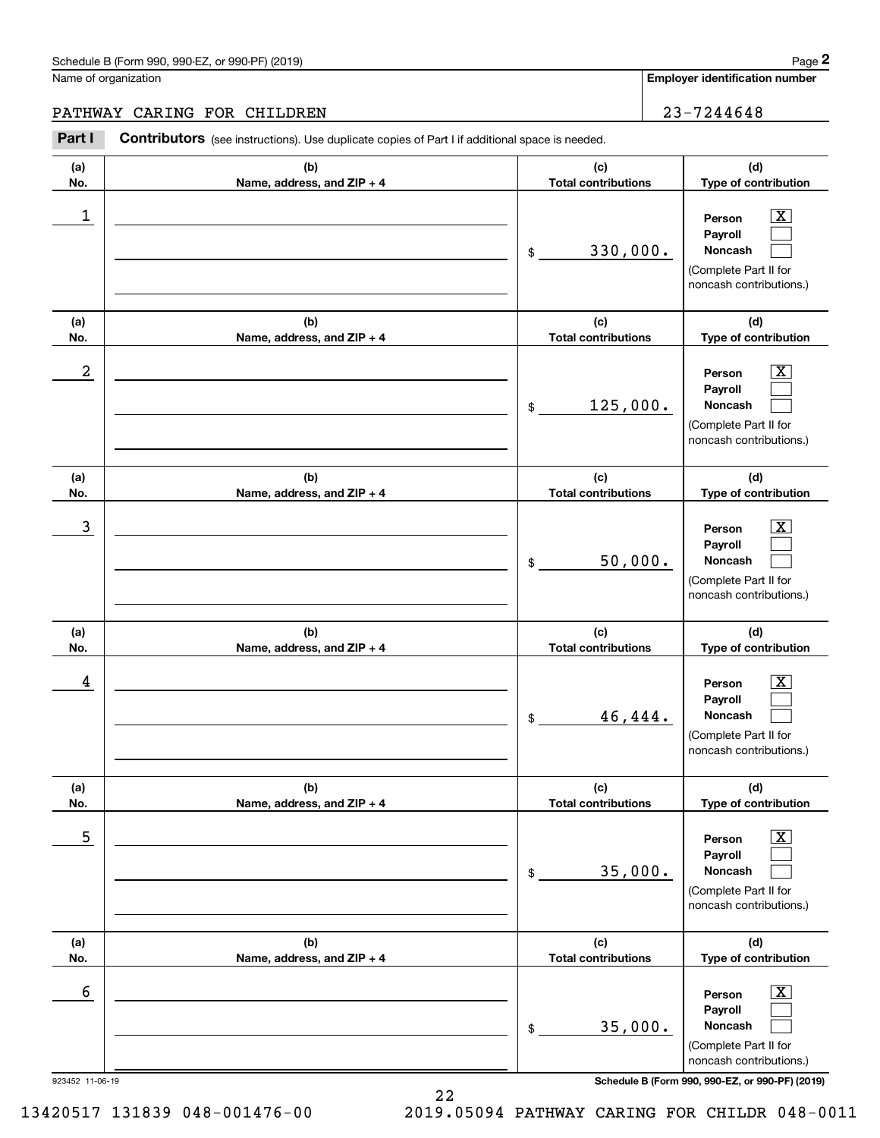#### PATHWAY CARING FOR CHILDREN 23-7244648

923452 11-06-19 **Schedule B (Form 990, 990-EZ, or 990-PF) (2019) (a)No.(b)Name, address, and ZIP + 4 (c)Total contributions (d)Type of contribution PersonPayrollNoncash (a)No.(b)Name, address, and ZIP + 4 (c)Total contributions (d)Type of contribution PersonPayrollNoncash (a)No.(b)Name, address, and ZIP + 4 (c)Total contributions (d)Type of contribution PersonPayrollNoncash (a) No.(b) Name, address, and ZIP + 4 (c) Total contributions (d) Type of contribution PersonPayrollNoncash (a) No.(b) Name, address, and ZIP + 4 (c) Total contributions (d) Type of contribution PersonPayrollNoncash(a) No.(b)Name, address, and ZIP + 4 (c) Total contributions (d)Type of contribution PersonPayrollNoncash** Contributors (see instructions). Use duplicate copies of Part I if additional space is needed. \$(Complete Part II for noncash contributions.) \$(Complete Part II for noncash contributions.) \$(Complete Part II for noncash contributions.) \$(Complete Part II for noncash contributions.) \$(Complete Part II for noncash contributions.) \$(Complete Part II for noncash contributions.) Chedule B (Form 990, 990-EZ, or 990-PF) (2019)<br> **2Part I 2Part I CONTIBUTOR CONTIVERY**<br> **2Part I Contributors** (see instructions). Use duplicate copies of Part I if additional space is needed.  $|X|$  $\mathcal{L}^{\text{max}}$  $\mathcal{L}^{\text{max}}$  $\boxed{\text{X}}$  $\mathcal{L}^{\text{max}}$  $\mathcal{L}^{\text{max}}$  $|X|$  $\mathcal{L}^{\text{max}}$  $\mathcal{L}^{\text{max}}$  $\boxed{\text{X}}$  $\mathcal{L}^{\text{max}}$  $\mathcal{L}^{\text{max}}$  $\boxed{\text{X}}$  $\mathcal{L}^{\text{max}}$  $\mathcal{L}^{\text{max}}$  $\boxed{\text{X}}$  $\mathcal{L}^{\text{max}}$  $\mathcal{L}^{\text{max}}$  $\begin{array}{c|c|c|c|c|c} 1 & \hspace{1.5cm} & \hspace{1.5cm} & \hspace{1.5cm} & \hspace{1.5cm} & \hspace{1.5cm} & \hspace{1.5cm} & \hspace{1.5cm} & \hspace{1.5cm} & \hspace{1.5cm} & \hspace{1.5cm} & \hspace{1.5cm} & \hspace{1.5cm} & \hspace{1.5cm} & \hspace{1.5cm} & \hspace{1.5cm} & \hspace{1.5cm} & \hspace{1.5cm} & \hspace{1.5cm} & \hspace{1.5cm} & \hspace{1.5cm} &$ 330,000.  $2$  | Person  $\overline{\text{X}}$ 125,000.  $\overline{3}$  | Person  $\overline{X}$ 50,000.  $4$  | Person  $\overline{\text{X}}$ 46,444.  $\sim$  5 | Person X 35,000.  $\sim$  6 | Person X 35,000.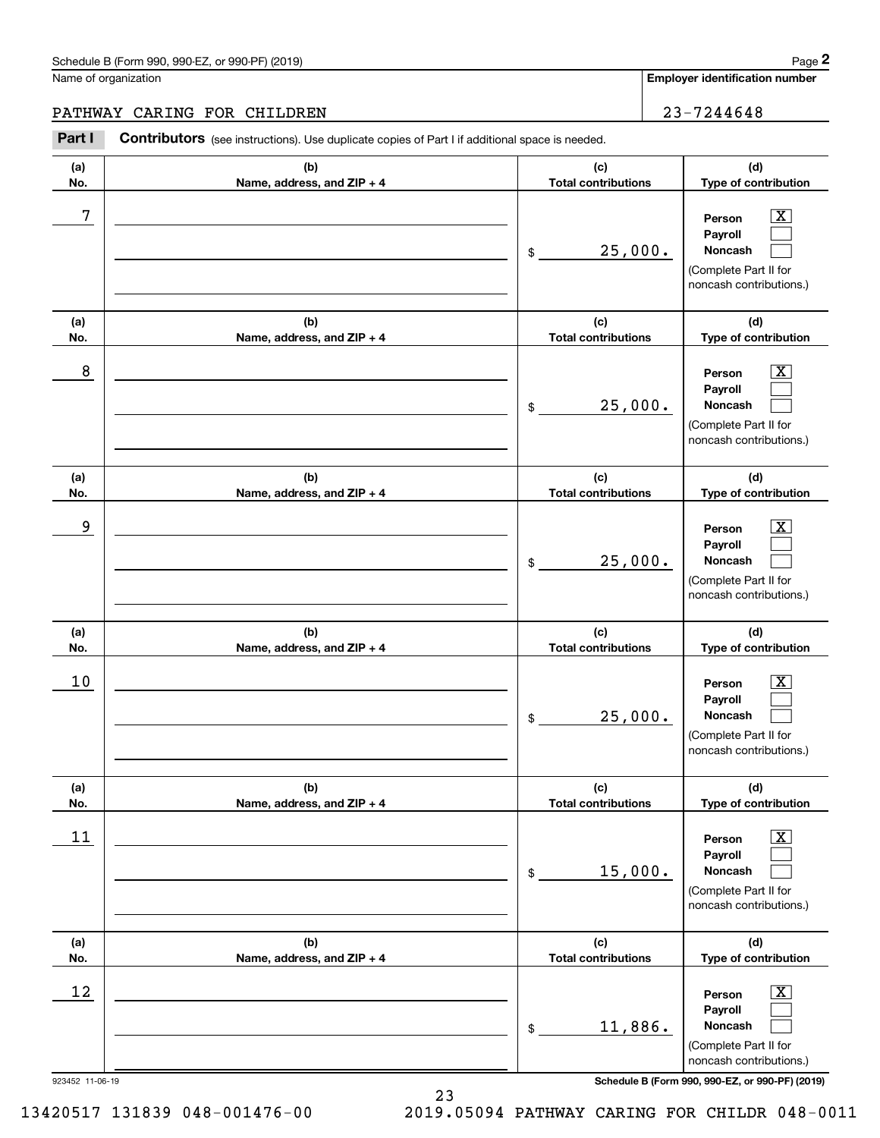#### PATHWAY CARING FOR CHILDREN 23-7244648

**(a)No.(b)Name, address, and ZIP + 4 (c)Total contributions (d)Type of contribution PersonPayrollNoncash (a)No.(b)Name, address, and ZIP + 4 (c)Total contributions (d)Type of contribution PersonPayrollNoncash (a)No.(b)Name, address, and ZIP + 4 (c)Total contributions (d)Type of contribution PersonPayrollNoncash (a) No.(b) Name, address, and ZIP + 4 (c) Total contributions (d) Type of contribution PersonPayrollNoncash (a) No.(b) Name, address, and ZIP + 4 (c) Total contributions (d) Type of contribution PersonPayrollNoncash(a) No.(b)Name, address, and ZIP + 4 (c) Total contributions (d)Type of contribution PersonPayrollNoncash** Contributors (see instructions). Use duplicate copies of Part I if additional space is needed. \$(Complete Part II for noncash contributions.) \$(Complete Part II for noncash contributions.) \$(Complete Part II for noncash contributions.) \$(Complete Part II for noncash contributions.) \$(Complete Part II for noncash contributions.) \$(Complete Part II for noncash contributions.) Chedule B (Form 990, 990-EZ, or 990-PF) (2019)<br> **2Part I 2Part I CONTIBUTOR CONTIVERY**<br> **2Part I Contributors** (see instructions). Use duplicate copies of Part I if additional space is needed.  $|X|$  $\mathcal{L}^{\text{max}}$  $\mathcal{L}^{\text{max}}$  $\boxed{\text{X}}$  $\mathcal{L}^{\text{max}}$  $\mathcal{L}^{\text{max}}$  $|X|$  $\mathcal{L}^{\text{max}}$  $\mathcal{L}^{\text{max}}$  $\boxed{\text{X}}$  $\mathcal{L}^{\text{max}}$  $\mathcal{L}^{\text{max}}$  $\boxed{\text{X}}$  $\mathcal{L}^{\text{max}}$  $\mathcal{L}^{\text{max}}$  $\boxed{\text{X}}$  $\mathcal{L}^{\text{max}}$  $\mathcal{L}^{\text{max}}$ 7 X 25,000. 8 X 25,000. example and the set of the set of the set of the set of the set of the set of the set of the set of the set of 25,000.  $10$  Person  $\overline{\text{X}}$ 25,000.  $11$  Person X 15,000.  $12$  Person X 11,886.

923452 11-06-19 **Schedule B (Form 990, 990-EZ, or 990-PF) (2019)**

13420517 131839 048-001476-00 2019.05094 PATHWAY CARING FOR CHILDR 048-0011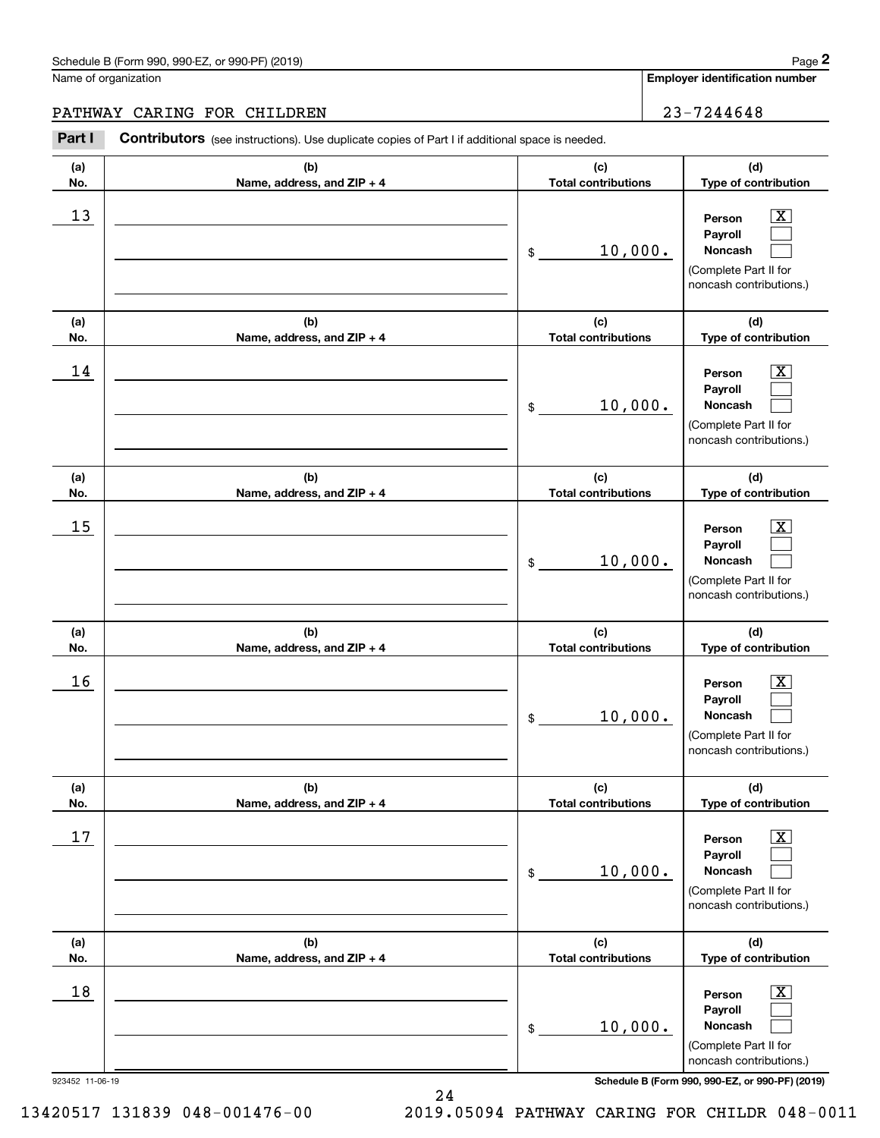# PATHWAY CARING FOR CHILDREN 23-7244648

|                 | Schedule B (Form 990, 990-EZ, or 990-PF) (2019)                                                       |                                   | Page 2                                                                                                      |
|-----------------|-------------------------------------------------------------------------------------------------------|-----------------------------------|-------------------------------------------------------------------------------------------------------------|
|                 | Name of organization                                                                                  |                                   | <b>Employer identification number</b>                                                                       |
|                 | PATHWAY CARING FOR CHILDREN                                                                           |                                   | 23-7244648                                                                                                  |
| Part I          | <b>Contributors</b> (see instructions). Use duplicate copies of Part I if additional space is needed. |                                   |                                                                                                             |
| (a)<br>No.      | (b)<br>Name, address, and ZIP + 4                                                                     | (c)<br><b>Total contributions</b> | (d)<br>Type of contribution                                                                                 |
| 13              |                                                                                                       | 10,000.<br>\$                     | $\overline{\text{X}}$<br>Person<br>Payroll<br>Noncash<br>(Complete Part II for<br>noncash contributions.)   |
| (a)<br>No.      | (b)<br>Name, address, and ZIP + 4                                                                     | (c)<br><b>Total contributions</b> | (d)<br>Type of contribution                                                                                 |
| 14              |                                                                                                       | 10,000.<br>\$                     | X<br>Person<br>Payroll<br>Noncash<br>(Complete Part II for<br>noncash contributions.)                       |
| (a)<br>No.      | (b)<br>Name, address, and ZIP + 4                                                                     | (c)<br><b>Total contributions</b> | (d)<br>Type of contribution                                                                                 |
| 15              |                                                                                                       | 10,000.<br>\$                     | X<br>Person<br>Payroll<br>Noncash<br>(Complete Part II for<br>noncash contributions.)                       |
| (a)<br>No.      | (b)<br>Name, address, and ZIP + 4                                                                     | (c)<br><b>Total contributions</b> | (d)<br>Type of contribution                                                                                 |
| 16              |                                                                                                       | 10,000.<br>\$                     | $\mathbf{X}$<br>Person<br>Payroll<br>Noncash<br>(Complete Part II for<br>noncash contributions.)            |
| (a)<br>No.      | (b)<br>Name, address, and ZIP + 4                                                                     | (c)<br><b>Total contributions</b> | (d)<br>Type of contribution                                                                                 |
| 17              |                                                                                                       | 10,000.<br>\$                     | $\overline{\mathbf{X}}$<br>Person<br>Payroll<br>Noncash<br>(Complete Part II for<br>noncash contributions.) |
| (a)<br>No.      | (b)<br>Name, address, and ZIP + 4                                                                     | (c)<br><b>Total contributions</b> | (d)<br>Type of contribution                                                                                 |
| 18              |                                                                                                       | 10,000.<br>\$                     | $\boxed{\text{X}}$<br>Person<br>Payroll<br>Noncash<br>(Complete Part II for<br>noncash contributions.)      |
| 923452 11-06-19 |                                                                                                       |                                   | Schedule B (Form 990, 990-EZ, or 990-PF) (2019)                                                             |

```
 13420517 131839 048-001476-00 2019.05094 PATHWAY CARING FOR CHILDR 048-0011
```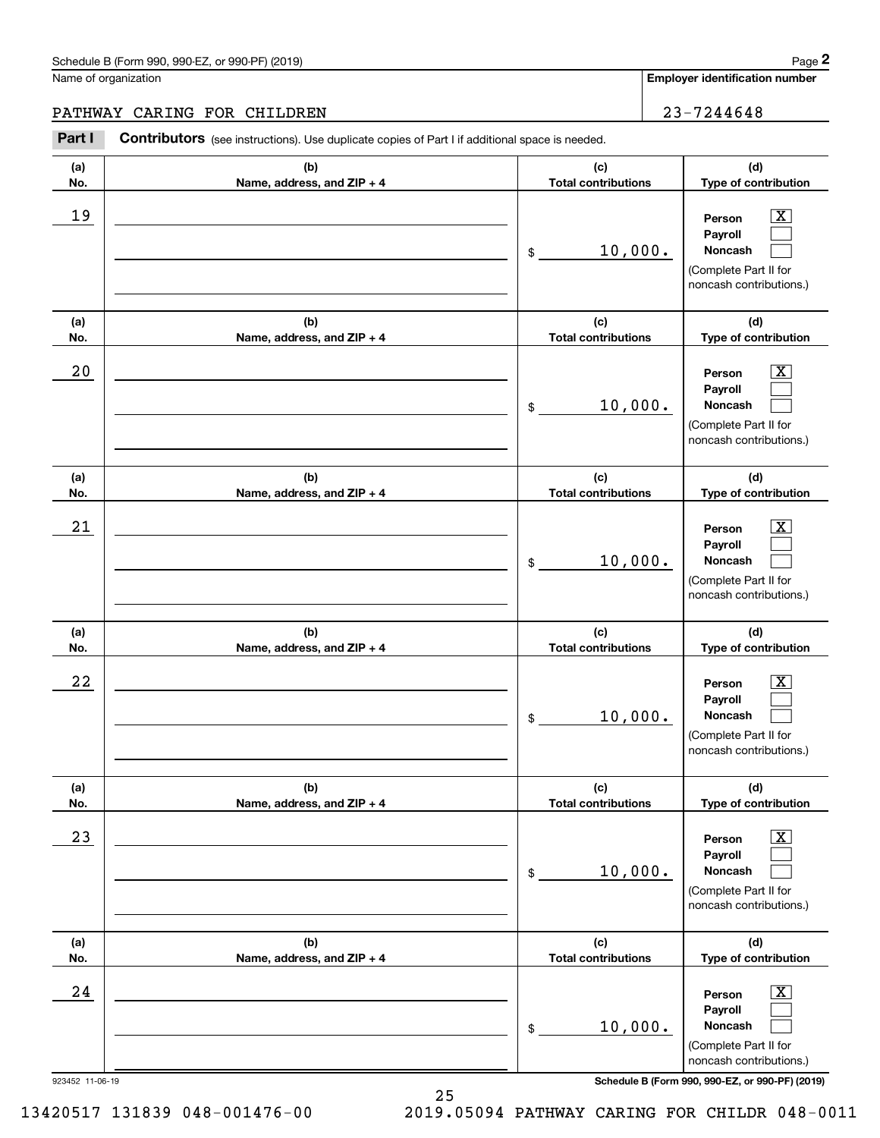# PATHWAY CARING FOR CHILDREN 23-7244648

|                 | Schedule B (Form 990, 990-EZ, or 990-PF) (2019)                                                       |                                   | Page 2                                                                                                             |
|-----------------|-------------------------------------------------------------------------------------------------------|-----------------------------------|--------------------------------------------------------------------------------------------------------------------|
|                 | Name of organization                                                                                  |                                   | Employer identification number                                                                                     |
|                 | PATHWAY CARING FOR CHILDREN                                                                           |                                   | 23-7244648                                                                                                         |
| Part I          | <b>Contributors</b> (see instructions). Use duplicate copies of Part I if additional space is needed. |                                   |                                                                                                                    |
| (a)<br>No.      | (b)<br>Name, address, and ZIP + 4                                                                     | (c)<br><b>Total contributions</b> | (d)<br>Type of contribution                                                                                        |
| 19              |                                                                                                       | 10,000.<br>\$                     | $\overline{\mathbf{X}}$<br>Person<br>Payroll<br><b>Noncash</b><br>(Complete Part II for<br>noncash contributions.) |
| (a)<br>No.      | (b)<br>Name, address, and ZIP + 4                                                                     | (c)<br><b>Total contributions</b> | (d)<br>Type of contribution                                                                                        |
| 20              |                                                                                                       | 10,000.<br>\$                     | $\overline{\mathbf{X}}$<br>Person<br>Payroll<br><b>Noncash</b><br>(Complete Part II for<br>noncash contributions.) |
| (a)<br>No.      | (b)<br>Name, address, and ZIP + 4                                                                     | (c)<br><b>Total contributions</b> | (d)<br>Type of contribution                                                                                        |
| 21              |                                                                                                       | 10,000.<br>\$                     | $\overline{\mathbf{X}}$<br>Person<br>Payroll<br>Noncash<br>(Complete Part II for<br>noncash contributions.)        |
| (a)<br>No.      | (b)<br>Name, address, and ZIP + 4                                                                     | (c)<br><b>Total contributions</b> | (d)<br>Type of contribution                                                                                        |
| 22              |                                                                                                       | 10,000.<br>\$                     | $\mathbf{X}$<br>Person<br>Payroll<br>Noncash<br>(Complete Part II for<br>noncash contributions.)                   |
| (a)<br>No.      | (b)<br>Name, address, and ZIP + 4                                                                     | (c)<br><b>Total contributions</b> | (d)<br>Type of contribution                                                                                        |
| 23              |                                                                                                       | 10,000.<br>\$                     | $\overline{\mathbf{X}}$<br>Person<br>Payroll<br>Noncash<br>(Complete Part II for<br>noncash contributions.)        |
| (a)<br>No.      | (b)<br>Name, address, and ZIP + 4                                                                     | (c)<br><b>Total contributions</b> | (d)<br>Type of contribution                                                                                        |
| 24              |                                                                                                       | 10,000.<br>\$                     | $\overline{\mathbf{X}}$<br>Person<br>Payroll<br>Noncash<br>(Complete Part II for<br>noncash contributions.)        |
| 923452 11-06-19 |                                                                                                       |                                   | Schedule B (Form 990, 990-EZ, or 990-PF) (2019)                                                                    |

```
 13420517 131839 048-001476-00 2019.05094 PATHWAY CARING FOR CHILDR 048-0011
```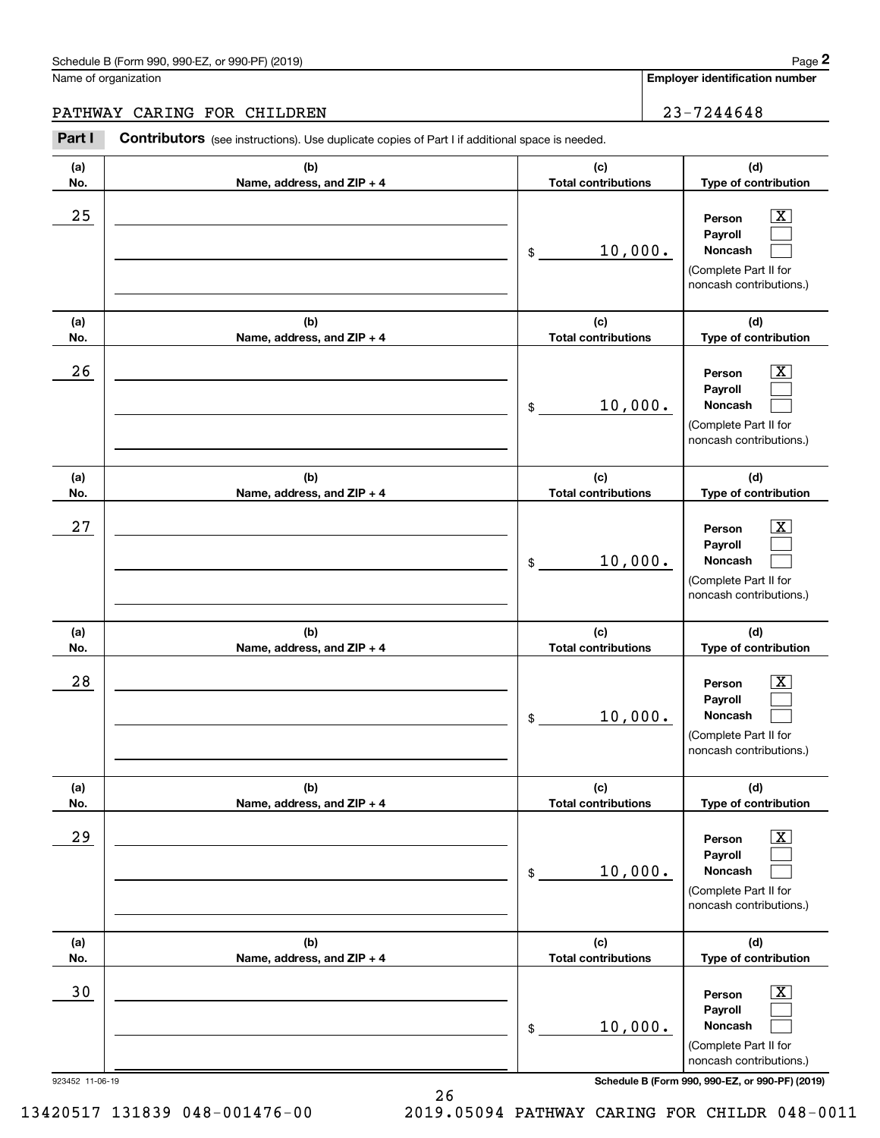# PATHWAY CARING FOR CHILDREN 23-7244648

| Name of organization<br>PATHWAY CARING FOR CHILDREN<br>Part I<br><b>Contributors</b> (see instructions). Use duplicate copies of Part I if additional space is needed.<br>(a)<br>(b)<br>No.<br>Name, address, and ZIP + 4<br>25<br>(a)<br>(b)<br>No.<br>Name, address, and ZIP + 4<br>26 | (c)<br><b>Total contributions</b><br>10,000.<br>\$<br>(c)<br><b>Total contributions</b><br>10,000.<br>\$ | Employer identification number<br>23-7244648<br>(d)<br>Type of contribution<br>$\overline{\mathbf{X}}$<br>Person<br>Payroll<br><b>Noncash</b><br>(Complete Part II for<br>noncash contributions.)<br>(d)<br>Type of contribution |
|------------------------------------------------------------------------------------------------------------------------------------------------------------------------------------------------------------------------------------------------------------------------------------------|----------------------------------------------------------------------------------------------------------|----------------------------------------------------------------------------------------------------------------------------------------------------------------------------------------------------------------------------------|
|                                                                                                                                                                                                                                                                                          |                                                                                                          |                                                                                                                                                                                                                                  |
|                                                                                                                                                                                                                                                                                          |                                                                                                          |                                                                                                                                                                                                                                  |
|                                                                                                                                                                                                                                                                                          |                                                                                                          |                                                                                                                                                                                                                                  |
|                                                                                                                                                                                                                                                                                          |                                                                                                          |                                                                                                                                                                                                                                  |
|                                                                                                                                                                                                                                                                                          |                                                                                                          |                                                                                                                                                                                                                                  |
|                                                                                                                                                                                                                                                                                          |                                                                                                          |                                                                                                                                                                                                                                  |
|                                                                                                                                                                                                                                                                                          |                                                                                                          | $\overline{\mathbf{X}}$<br>Person<br>Payroll<br><b>Noncash</b><br>(Complete Part II for<br>noncash contributions.)                                                                                                               |
| (a)<br>(b)<br>No.<br>Name, address, and ZIP + 4                                                                                                                                                                                                                                          | (c)<br><b>Total contributions</b>                                                                        | (d)<br>Type of contribution                                                                                                                                                                                                      |
| 27                                                                                                                                                                                                                                                                                       | 10,000.<br>\$                                                                                            | $\overline{\mathbf{X}}$<br>Person<br>Payroll<br>Noncash<br>(Complete Part II for<br>noncash contributions.)                                                                                                                      |
| (a)<br>(b)<br>No.<br>Name, address, and ZIP + 4                                                                                                                                                                                                                                          | (c)<br><b>Total contributions</b>                                                                        | (d)<br>Type of contribution                                                                                                                                                                                                      |
| 28                                                                                                                                                                                                                                                                                       | 10,000.<br>\$                                                                                            | $\mathbf{X}$<br>Person<br>Payroll<br>Noncash<br>(Complete Part II for<br>noncash contributions.)                                                                                                                                 |
| (b)<br>(a)<br>No.<br>Name, address, and ZIP + 4                                                                                                                                                                                                                                          | (c)<br><b>Total contributions</b>                                                                        | (d)<br>Type of contribution                                                                                                                                                                                                      |
| 29                                                                                                                                                                                                                                                                                       | 10,000.<br>\$                                                                                            | $\overline{\mathbf{X}}$<br>Person<br>Payroll<br>Noncash<br>(Complete Part II for<br>noncash contributions.)                                                                                                                      |
| (a)<br>(b)<br>No.<br>Name, address, and ZIP + 4                                                                                                                                                                                                                                          | (c)<br><b>Total contributions</b>                                                                        | (d)<br>Type of contribution                                                                                                                                                                                                      |
| 30                                                                                                                                                                                                                                                                                       | 10,000.<br>\$                                                                                            | $\overline{\mathbf{X}}$<br>Person<br>Payroll<br>Noncash<br>(Complete Part II for<br>noncash contributions.)                                                                                                                      |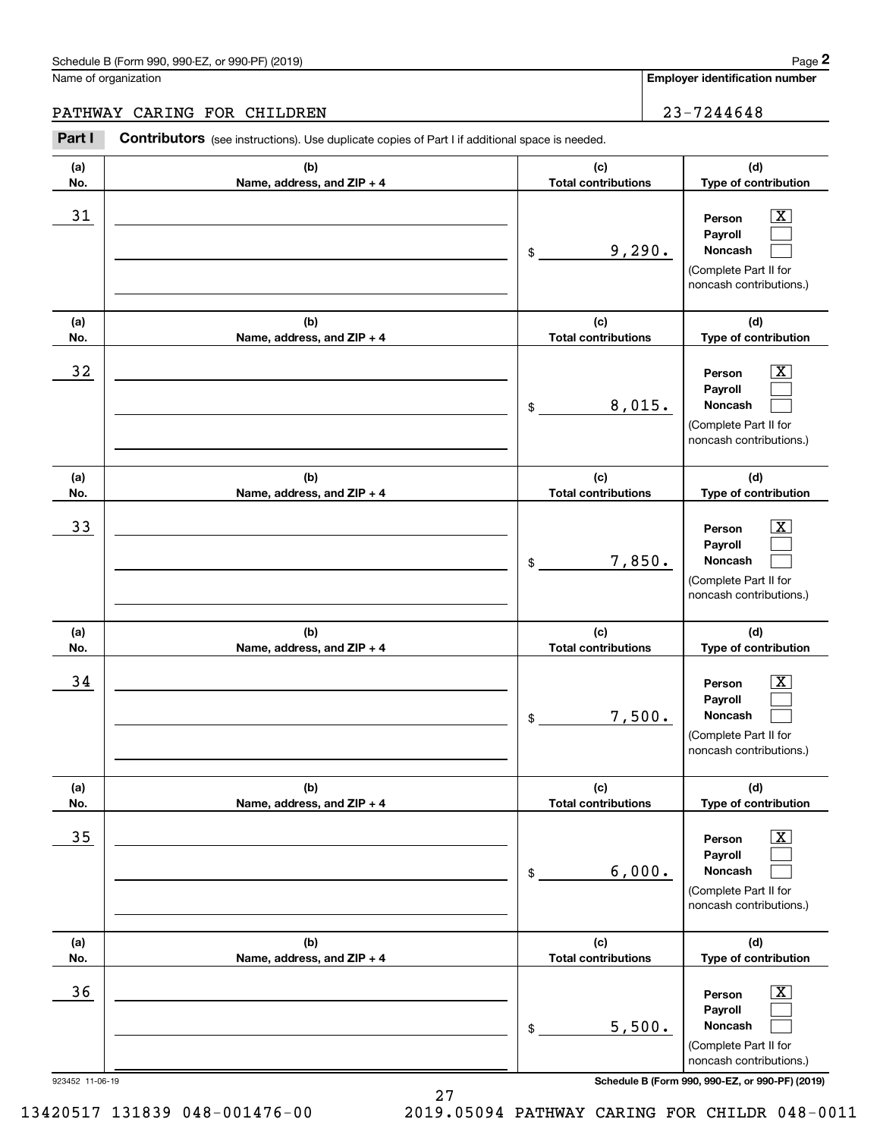#### Schedule B (Form 990, 990-EZ, or 990-PF) (2019) **Page 2** Page 1 and 2011 **Page 2** Page 2 **Page 2** Page 1 and 2011 **Page 2**

Name of organization

**(a)No.(b)Name, address, and ZIP + 4 (c)Total contributions (d)Type of contribution PersonPayrollNoncash (a)No.(b)Name, address, and ZIP + 4 (c)Total contributions (d)Type of contribution PersonPayrollNoncash (a)No.(b)Name, address, and ZIP + 4 (c)Total contributions (d)Type of contribution PersonPayrollNoncash (a) No.(b)Name, address, and ZIP + 4 (c) Total contributions (d) Type of contribution PersonPayrollNoncash(a) No.(b)Name, address, and ZIP + 4 (c) Total contributions (d) Type of contribution PersonPayrollNoncash (a) No.(b)Name, address, and ZIP + 4 (c) Total contributions (d)Type of contribution PersonPayrollNoncash Contributors** (see instructions). Use duplicate copies of Part I if additional space is needed. \$(Complete Part II for noncash contributions.) \$(Complete Part II for noncash contributions.) \$(Complete Part II for noncash contributions.) \$(Complete Part II for noncash contributions.) \$(Complete Part II for noncash contributions.) \$(Complete Part II for Chedule B (Form 990, 990-EZ, or 990-PF) (2019)<br> **2Part I 2Part I CONTIBUTOR CONTIVERY**<br> **2Part I Contributors** (see instructions). Use duplicate copies of Part I if additional space is needed.  $|X|$  $\mathcal{L}^{\text{max}}$  $\mathcal{L}^{\text{max}}$  $\boxed{\text{X}}$  $\mathcal{L}^{\text{max}}$  $\mathcal{L}^{\text{max}}$  $|X|$  $\mathcal{L}^{\text{max}}$  $\mathcal{L}^{\text{max}}$  $\boxed{\text{X}}$  $\mathcal{L}^{\text{max}}$  $\mathcal{L}^{\text{max}}$  $\boxed{\text{X}}$  $\mathcal{L}^{\text{max}}$  $\mathcal{L}^{\text{max}}$  $\boxed{\text{X}}$  $\mathcal{L}^{\text{max}}$  $\mathcal{L}^{\text{max}}$ 31 Person X 9,290.  $32$  | Person  $\overline{\text{X}}$ 8,015. 33 Person X 7,850.  $34$  | Person  $\overline{\text{X}}$ 7,500.  $35$  | Person  $\overline{\text{X}}$ 6,000.  $36$  Person X 5,500. PATHWAY CARING FOR CHILDREN 23-7244648

923452 11-06-19 **Schedule B (Form 990, 990-EZ, or 990-PF) (2019)**

noncash contributions.)

13420517 131839 048-001476-00 2019.05094 PATHWAY CARING FOR CHILDR 048-0011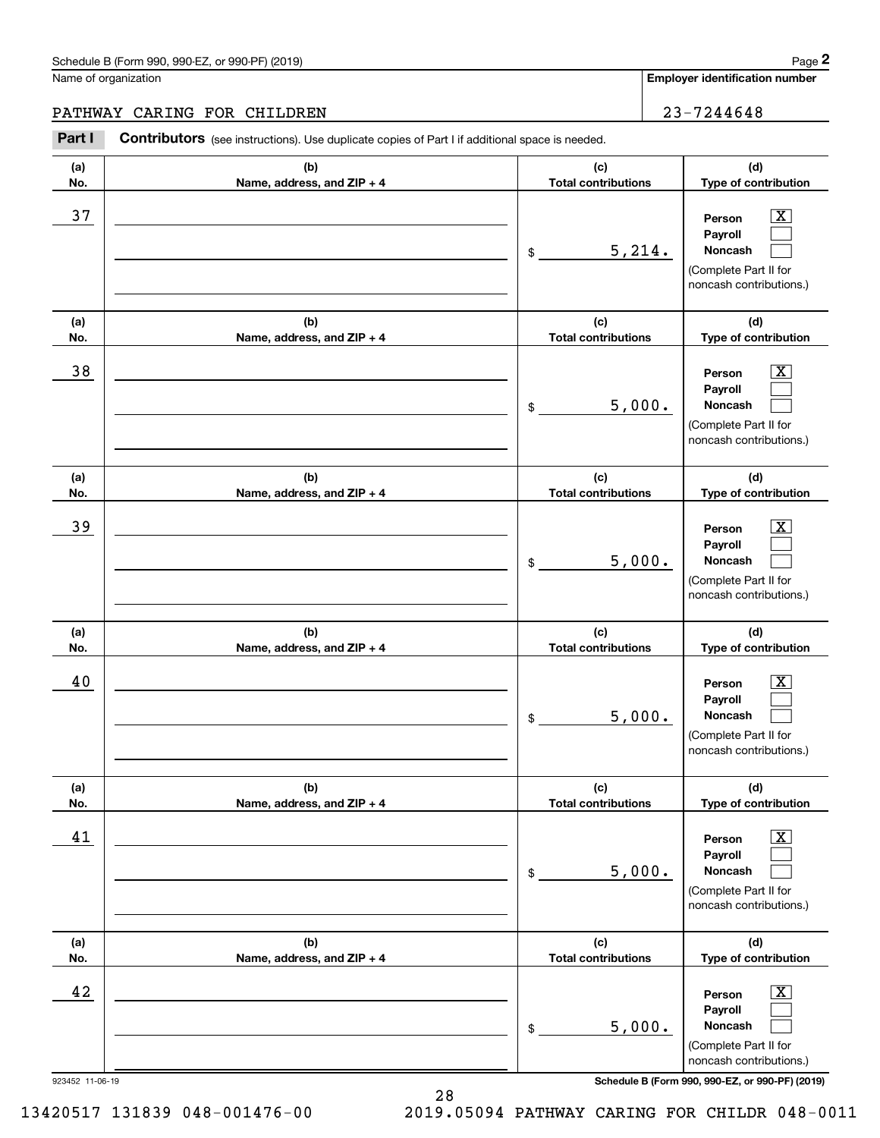#### PATHWAY CARING FOR CHILDREN 23-7244648

923452 11-06-19 **Schedule B (Form 990, 990-EZ, or 990-PF) (2019) (a)No.(b)Name, address, and ZIP + 4 (c)Total contributions (d)Type of contribution PersonPayrollNoncash (a)No.(b)Name, address, and ZIP + 4 (c)Total contributions (d)Type of contribution PersonPayrollNoncash (a)No.(b)Name, address, and ZIP + 4 (c)Total contributions (d)Type of contribution PersonPayrollNoncash (a) No.(b)Name, address, and ZIP + 4 (c) Total contributions (d) Type of contribution PersonPayrollNoncash(a) No.(b)Name, address, and ZIP + 4 (c) Total contributions (d) Type of contribution PersonPayrollNoncash (a) No.(b)Name, address, and ZIP + 4 (c) Total contributions (d)Type of contribution PersonPayrollNoncash Contributors** (see instructions). Use duplicate copies of Part I if additional space is needed. \$(Complete Part II for noncash contributions.) \$(Complete Part II for noncash contributions.) \$(Complete Part II for noncash contributions.) \$(Complete Part II for noncash contributions.) \$(Complete Part II for noncash contributions.) \$(Complete Part II for noncash contributions.) Chedule B (Form 990, 990-EZ, or 990-PF) (2019)<br> **2Part I 2Part I CONTIBUTOR CONTIVERY**<br> **2Part I Contributors** (see instructions). Use duplicate copies of Part I if additional space is needed.  $|X|$  $\mathcal{L}^{\text{max}}$  $\mathcal{L}^{\text{max}}$  $\boxed{\text{X}}$  $\mathcal{L}^{\text{max}}$  $\mathcal{L}^{\text{max}}$  $|X|$  $\mathcal{L}^{\text{max}}$  $\mathcal{L}^{\text{max}}$  $\boxed{\text{X}}$  $\mathcal{L}^{\text{max}}$  $\mathcal{L}^{\text{max}}$  $\boxed{\text{X}}$  $\mathcal{L}^{\text{max}}$  $\mathcal{L}^{\text{max}}$  $\boxed{\text{X}}$  $\mathcal{L}^{\text{max}}$  $\mathcal{L}^{\text{max}}$ 37 X 5,214. 38 X 5,000. 39 X 5,000. 40 Person X 5,000. 41 | Person X 5,000. 42 Person X 5,000.

28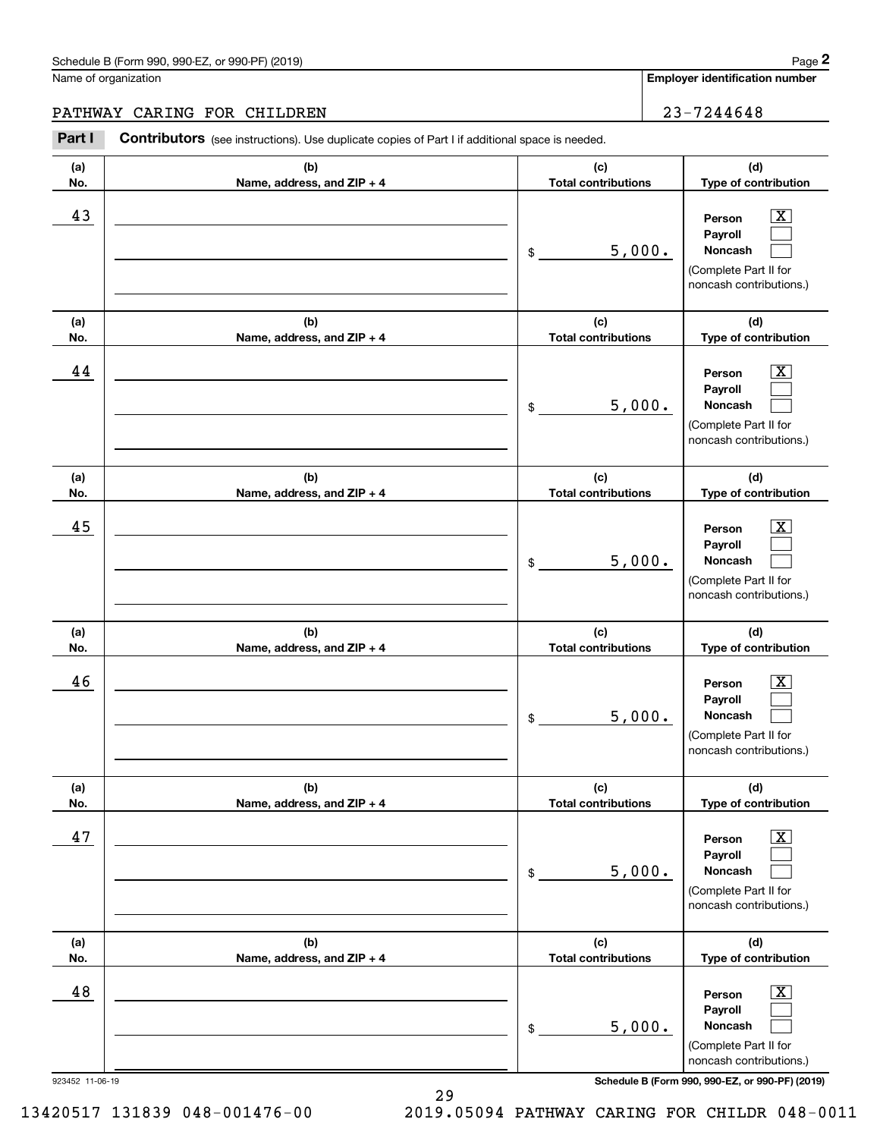#### Schedule B (Form 990, 990-EZ, or 990-PF) (2019) **Page 2** and the state of the state of the state of the state of the state of the state of the state of the state of the state of the state of the state of the state of the s

Name of organization

**Employer identification number**

#### PATHWAY CARING FOR CHILDREN 23-7244648

923452 11-06-19 **Schedule B (Form 990, 990-EZ, or 990-PF) (2019) (a)No.(b)Name, address, and ZIP + 4 (c)Total contributions (d)Type of contribution PersonPayrollNoncash (a)No.(b)Name, address, and ZIP + 4 (c)Total contributions (d)Type of contribution PersonPayrollNoncash (a)No.(b)Name, address, and ZIP + 4 (c)Total contributions (d)Type of contribution PersonPayrollNoncash (a) No.(b) Name, address, and ZIP + 4 (c) Total contributions (d) Type of contribution PersonPayrollNoncash (a) No.(b) Name, address, and ZIP + 4 (c) Total contributions (d) Type of contribution PersonPayrollNoncash(a) No.(b)Name, address, and ZIP + 4 (c) Total contributions (d)Type of contribution PersonPayrollNoncash Contributors** (see instructions). Use duplicate copies of Part I if additional space is needed. \$(Complete Part II for noncash contributions.) \$(Complete Part II for noncash contributions.) \$(Complete Part II for noncash contributions.) \$(Complete Part II for noncash contributions.) \$(Complete Part II for noncash contributions.) \$(Complete Part II for noncash contributions.) Chedule B (Form 990, 990-EZ, or 990-PF) (2019)<br> **2Part I 2Part I CONTIBUTOR CONTIVERY**<br> **2Part I Contributors** (see instructions). Use duplicate copies of Part I if additional space is needed.  $|X|$  $\mathcal{L}^{\text{max}}$  $\mathcal{L}^{\text{max}}$  $\boxed{\text{X}}$  $\mathcal{L}^{\text{max}}$  $\mathcal{L}^{\text{max}}$  $|X|$  $\mathcal{L}^{\text{max}}$  $\mathcal{L}^{\text{max}}$  $\boxed{\text{X}}$  $\mathcal{L}^{\text{max}}$  $\mathcal{L}^{\text{max}}$  $\boxed{\text{X}}$  $\mathcal{L}^{\text{max}}$  $\mathcal{L}^{\text{max}}$  $\boxed{\text{X}}$  $\mathcal{L}^{\text{max}}$  $\mathcal{L}^{\text{max}}$ 43 Person X 5,000. 44 X 5,000. 45 X 5,000. 46 X 5,000. 47 X 5,000. 48 X 5,000.

13420517 131839 048-001476-00 2019.05094 PATHWAY CARING FOR CHILDR 048-0011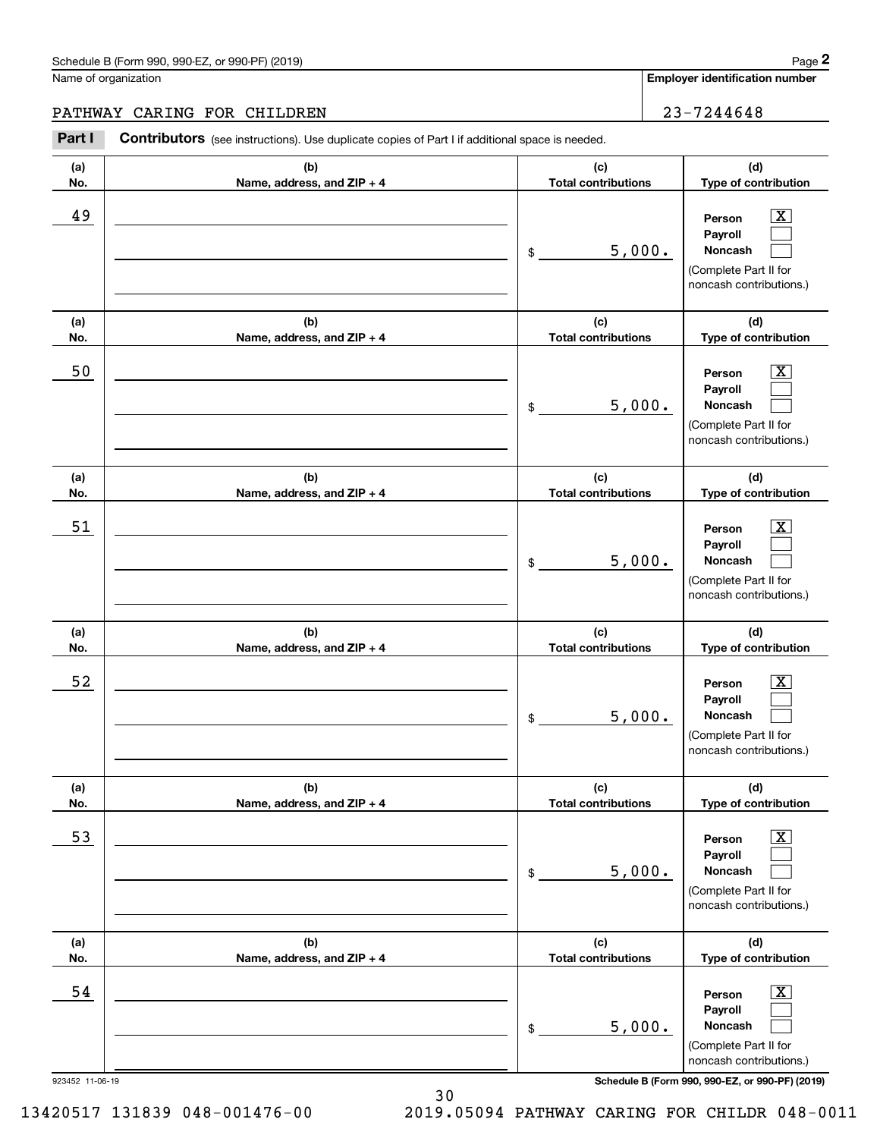#### Schedule B (Form 990, 990-EZ, or 990-PF) (2019) **Page 2** Page 1 and 2011 **Page 2** Page 2 **Page 2** Page 1 and 2011 **Page 2**

Name of organization

**(a)No.(b)Name, address, and ZIP + 4 (c)Total contributions (d)Type of contribution PersonPayrollNoncash (a)No.(b)Name, address, and ZIP + 4 (c)Total contributions (d)Type of contribution PersonPayrollNoncash (a)No.(b)Name, address, and ZIP + 4 (c)Total contributions (d)Type of contribution PersonPayrollNoncash (a) No.(b) Name, address, and ZIP + 4 (c) Total contributions (d) Type of contribution PersonPayrollNoncash (a) No.(b) Name, address, and ZIP + 4 (c) Total contributions (d) Type of contribution PersonPayrollNoncash (a) No.(b)Name, address, and ZIP + 4 (c) Total contributions (d)Type of contribution PersonPayrollNoncash Contributors** (see instructions). Use duplicate copies of Part I if additional space is needed. \$(Complete Part II for noncash contributions.) \$(Complete Part II for noncash contributions.) \$(Complete Part II for noncash contributions.) \$(Complete Part II for noncash contributions.) \$(Complete Part II for noncash contributions.) \$(Complete Part II for Chedule B (Form 990, 990-EZ, or 990-PF) (2019)<br> **2Part I 2Part I CONTIBUTOR CONTIVERY**<br> **2Part I Contributors** (see instructions). Use duplicate copies of Part I if additional space is needed.  $|X|$  $\mathcal{L}^{\text{max}}$  $\mathcal{L}^{\text{max}}$  $\boxed{\text{X}}$  $\mathcal{L}^{\text{max}}$  $\mathcal{L}^{\text{max}}$  $|X|$  $\mathcal{L}^{\text{max}}$  $\mathcal{L}^{\text{max}}$  $\boxed{\text{X}}$  $\mathcal{L}^{\text{max}}$  $\mathcal{L}^{\text{max}}$  $\boxed{\text{X}}$  $\mathcal{L}^{\text{max}}$  $\mathcal{L}^{\text{max}}$  $\boxed{\text{X}}$  $\mathcal{L}^{\text{max}}$  $\mathcal{L}^{\text{max}}$ 49 X 5,000. 50 Person X 5,000. 51 X 5,000. 52 | Person X 5,000. 53 | Person X 5,000. 54 X 5,000. PATHWAY CARING FOR CHILDREN 23-7244648

923452 11-06-19 **Schedule B (Form 990, 990-EZ, or 990-PF) (2019)**

noncash contributions.)

13420517 131839 048-001476-00 2019.05094 PATHWAY CARING FOR CHILDR 048-0011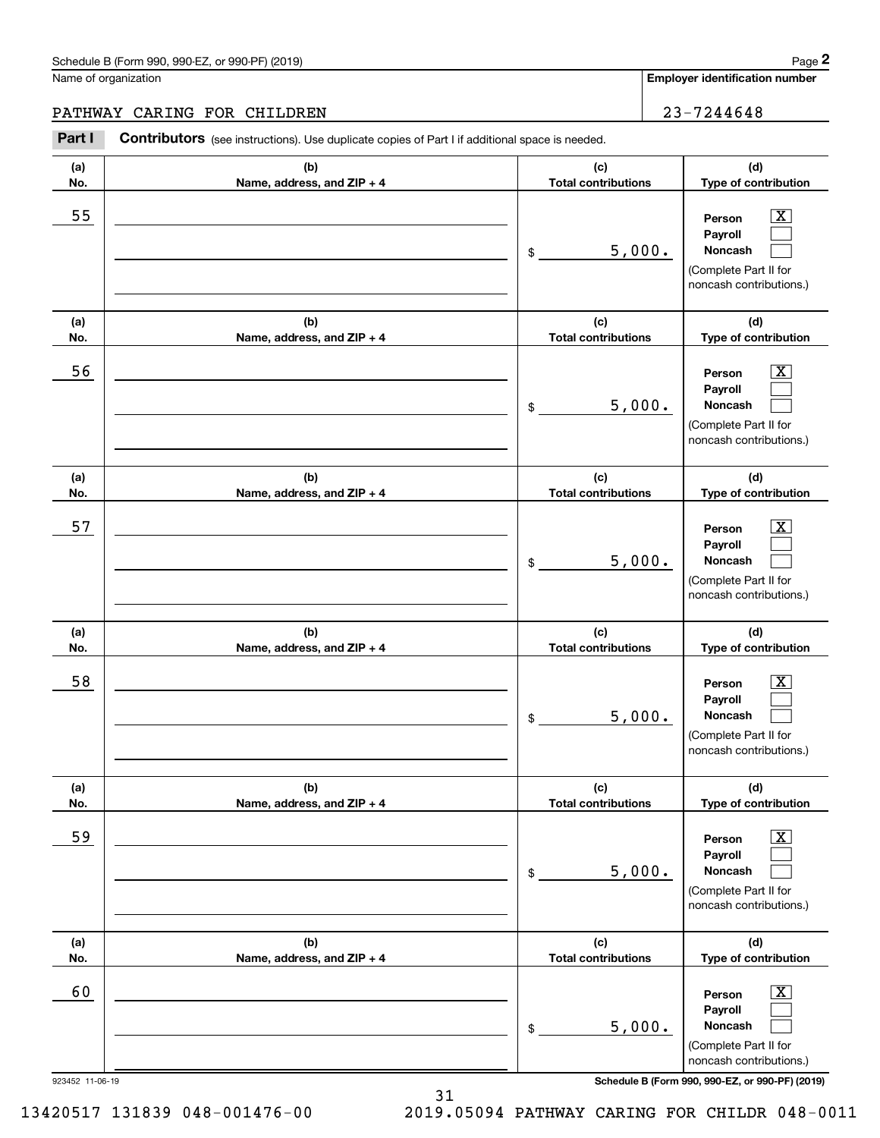# PATHWAY CARING FOR CHILDREN 23-7244648

|                 | Schedule B (Form 990, 990-EZ, or 990-PF) (2019)                                                       |                                   |        | Page 2                                                                                                      |
|-----------------|-------------------------------------------------------------------------------------------------------|-----------------------------------|--------|-------------------------------------------------------------------------------------------------------------|
|                 | Name of organization                                                                                  |                                   |        | Employer identification number                                                                              |
|                 | PATHWAY CARING FOR CHILDREN                                                                           |                                   |        | 23-7244648                                                                                                  |
| Part I          | <b>Contributors</b> (see instructions). Use duplicate copies of Part I if additional space is needed. |                                   |        |                                                                                                             |
| (a)<br>No.      | (b)<br>Name, address, and ZIP + 4                                                                     | (c)<br><b>Total contributions</b> |        | (d)<br>Type of contribution                                                                                 |
| 55              |                                                                                                       | \$                                | 5,000. | $\overline{\mathbf{X}}$<br>Person<br>Payroll<br>Noncash<br>(Complete Part II for<br>noncash contributions.) |
| (a)<br>No.      | (b)<br>Name, address, and ZIP + 4                                                                     | (c)<br><b>Total contributions</b> |        | (d)<br>Type of contribution                                                                                 |
| 56              |                                                                                                       | \$                                | 5,000. | $\overline{\mathbf{X}}$<br>Person<br>Payroll<br>Noncash<br>(Complete Part II for<br>noncash contributions.) |
| (a)<br>No.      | (b)<br>Name, address, and ZIP + 4                                                                     | (c)<br><b>Total contributions</b> |        | (d)<br>Type of contribution                                                                                 |
| 57              |                                                                                                       | \$                                | 5,000. | $\overline{\text{X}}$<br>Person<br>Payroll<br>Noncash<br>(Complete Part II for<br>noncash contributions.)   |
| (a)<br>No.      | (b)<br>Name, address, and ZIP + 4                                                                     | (c)<br><b>Total contributions</b> |        | (d)<br>Type of contribution                                                                                 |
| 58              |                                                                                                       | \$                                | 5,000. | $\mathbf{X}$<br>Person<br>Payroll<br>Noncash<br>(Complete Part II for<br>noncash contributions.)            |
| (a)<br>No.      | (b)<br>Name, address, and ZIP + 4                                                                     | (c)<br><b>Total contributions</b> |        | (d)<br>Type of contribution                                                                                 |
| 59              |                                                                                                       | \$                                | 5,000. | $\overline{\mathbf{X}}$<br>Person<br>Payroll<br>Noncash<br>(Complete Part II for<br>noncash contributions.) |
| (a)<br>No.      | (b)<br>Name, address, and ZIP + 4                                                                     | (c)<br><b>Total contributions</b> |        | (d)<br>Type of contribution                                                                                 |
| 60              |                                                                                                       | \$                                | 5,000. | $\overline{\mathbf{X}}$<br>Person<br>Payroll<br>Noncash<br>(Complete Part II for<br>noncash contributions.) |
| 923452 11-06-19 |                                                                                                       |                                   |        | Schedule B (Form 990, 990-EZ, or 990-PF) (2019)                                                             |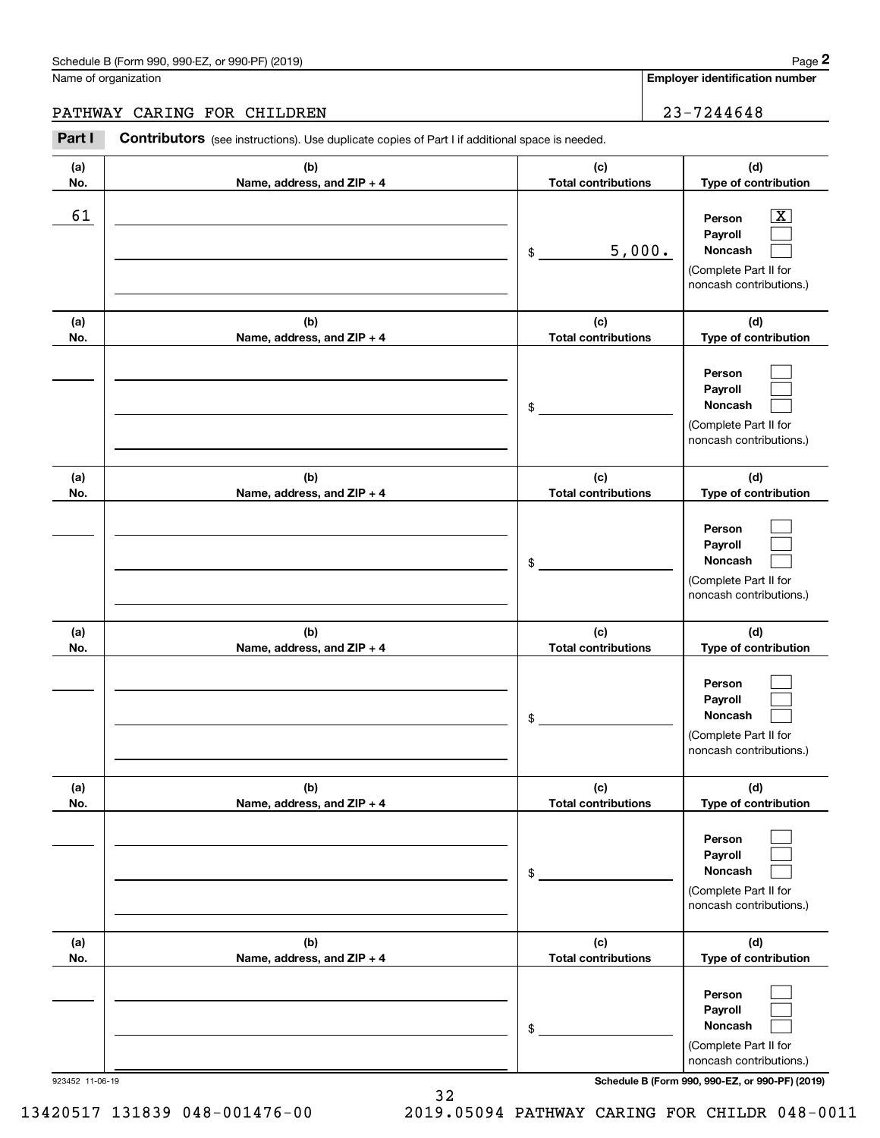# PATHWAY CARING FOR CHILDREN 23-7244648

|            | Schedule B (Form 990, 990-EZ, or 990-PF) (2019)                                                |                                   |        | Page 2                                                                                                      |
|------------|------------------------------------------------------------------------------------------------|-----------------------------------|--------|-------------------------------------------------------------------------------------------------------------|
|            | Name of organization                                                                           |                                   |        | <b>Employer identification number</b>                                                                       |
|            | PATHWAY CARING FOR CHILDREN                                                                    |                                   |        | 23-7244648                                                                                                  |
| Part I     | Contributors (see instructions). Use duplicate copies of Part I if additional space is needed. |                                   |        |                                                                                                             |
| (a)<br>No. | (b)<br>Name, address, and ZIP + 4                                                              | (c)<br><b>Total contributions</b> |        | (d)<br>Type of contribution                                                                                 |
| 61         |                                                                                                | \$                                | 5,000. | $\overline{\mathbf{X}}$<br>Person<br>Payroll<br>Noncash<br>(Complete Part II for<br>noncash contributions.) |
| (a)<br>No. | (b)<br>Name, address, and ZIP + 4                                                              | (c)<br><b>Total contributions</b> |        | (d)<br>Type of contribution                                                                                 |
|            |                                                                                                | \$                                |        | Person<br>Payroll<br>Noncash<br>(Complete Part II for<br>noncash contributions.)                            |
| (a)<br>No. | (b)<br>Name, address, and ZIP + 4                                                              | (c)<br><b>Total contributions</b> |        | (d)<br>Type of contribution                                                                                 |
|            |                                                                                                | \$                                |        | Person<br>Payroll<br>Noncash<br>(Complete Part II for<br>noncash contributions.)                            |
| (a)<br>No. | (b)<br>Name, address, and ZIP + 4                                                              | (c)<br><b>Total contributions</b> |        | (d)<br>Type of contribution                                                                                 |
|            |                                                                                                | \$                                |        | Person<br>Payroll<br>Noncash<br>(Complete Part II for<br>noncash contributions.)                            |
| (a)<br>No. | (b)<br>Name, address, and ZIP + 4                                                              | (c)<br><b>Total contributions</b> |        | (d)<br>Type of contribution                                                                                 |
|            |                                                                                                | \$                                |        | Person<br>Payroll<br>Noncash<br>(Complete Part II for<br>noncash contributions.)                            |
| (a)<br>No. | (b)<br>Name, address, and ZIP + 4                                                              | (c)<br><b>Total contributions</b> |        | (d)<br>Type of contribution                                                                                 |
|            |                                                                                                | \$                                |        | Person<br>Payroll<br>Noncash<br>(Complete Part II for<br>noncash contributions.)                            |

923452 11-06-19 **Schedule B (Form 990, 990-EZ, or 990-PF) (2019)**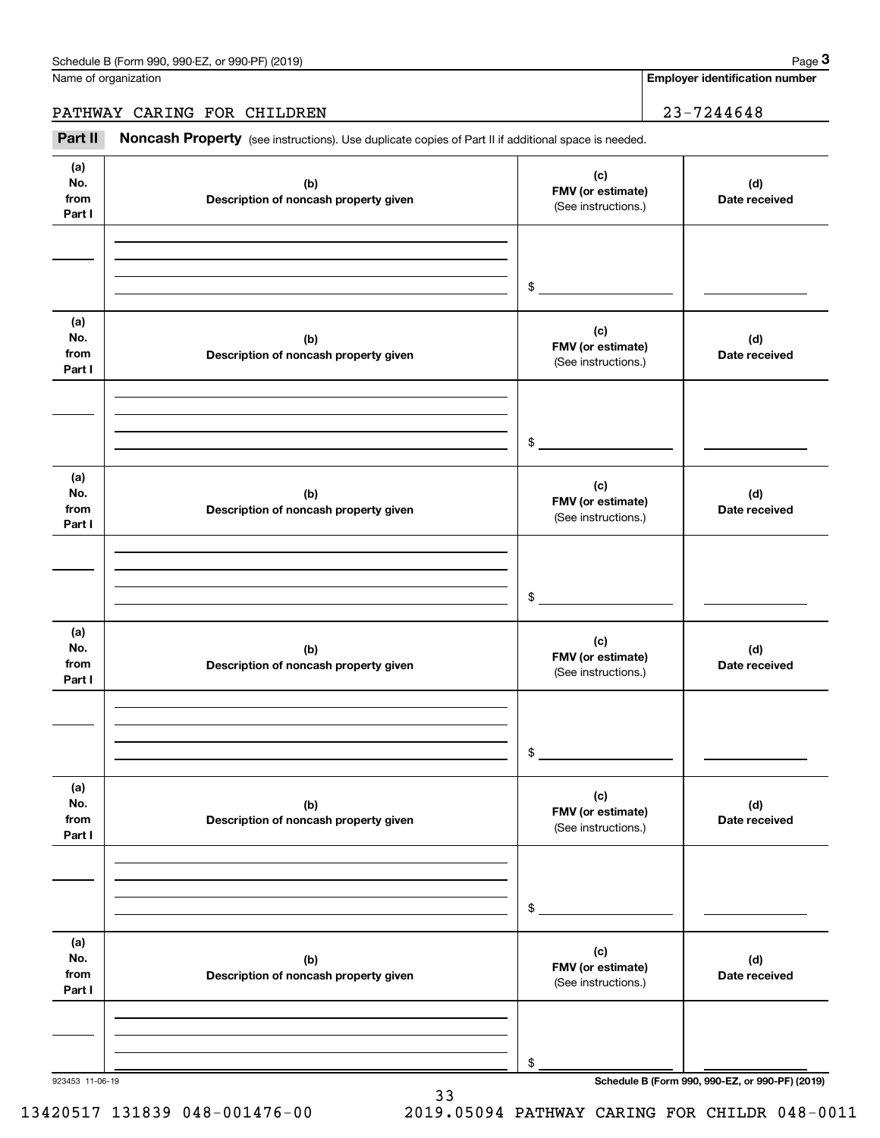PATHWAY CARING FOR CHILDREN 23-7244648

Chedule B (Form 990, 990-EZ, or 990-PF) (2019)<br> **23-7244648**<br> **23-7244648**<br> **23-7244648**<br> **123-7244648**<br>
Part II **Noncash Property** (see instructions). Use duplicate copies of Part II if additional space is needed.

| (a)<br>No.<br>from<br>Part I | (b)<br>Description of noncash property given | (c)<br>FMV (or estimate)<br>(See instructions.) | (d)<br>Date received |
|------------------------------|----------------------------------------------|-------------------------------------------------|----------------------|
|                              |                                              | $\frac{1}{2}$                                   |                      |
| (a)<br>No.<br>from<br>Part I | (b)<br>Description of noncash property given | (c)<br>FMV (or estimate)<br>(See instructions.) | (d)<br>Date received |
|                              |                                              | $\frac{1}{2}$                                   |                      |
| (a)<br>No.<br>from<br>Part I | (b)<br>Description of noncash property given | (c)<br>FMV (or estimate)<br>(See instructions.) | (d)<br>Date received |
|                              |                                              | $\frac{1}{2}$                                   |                      |
| (a)<br>No.<br>from<br>Part I | (b)<br>Description of noncash property given | (c)<br>FMV (or estimate)<br>(See instructions.) | (d)<br>Date received |
|                              |                                              | $\frac{1}{2}$                                   |                      |
| (a)<br>No.<br>from<br>Part I | (b)<br>Description of noncash property given | (c)<br>FMV (or estimate)<br>(See instructions.) | (d)<br>Date received |
|                              |                                              | \$                                              |                      |
| (a)<br>No.<br>from<br>Part I | (b)<br>Description of noncash property given | (c)<br>FMV (or estimate)<br>(See instructions.) | (d)<br>Date received |
|                              |                                              | \$                                              |                      |

33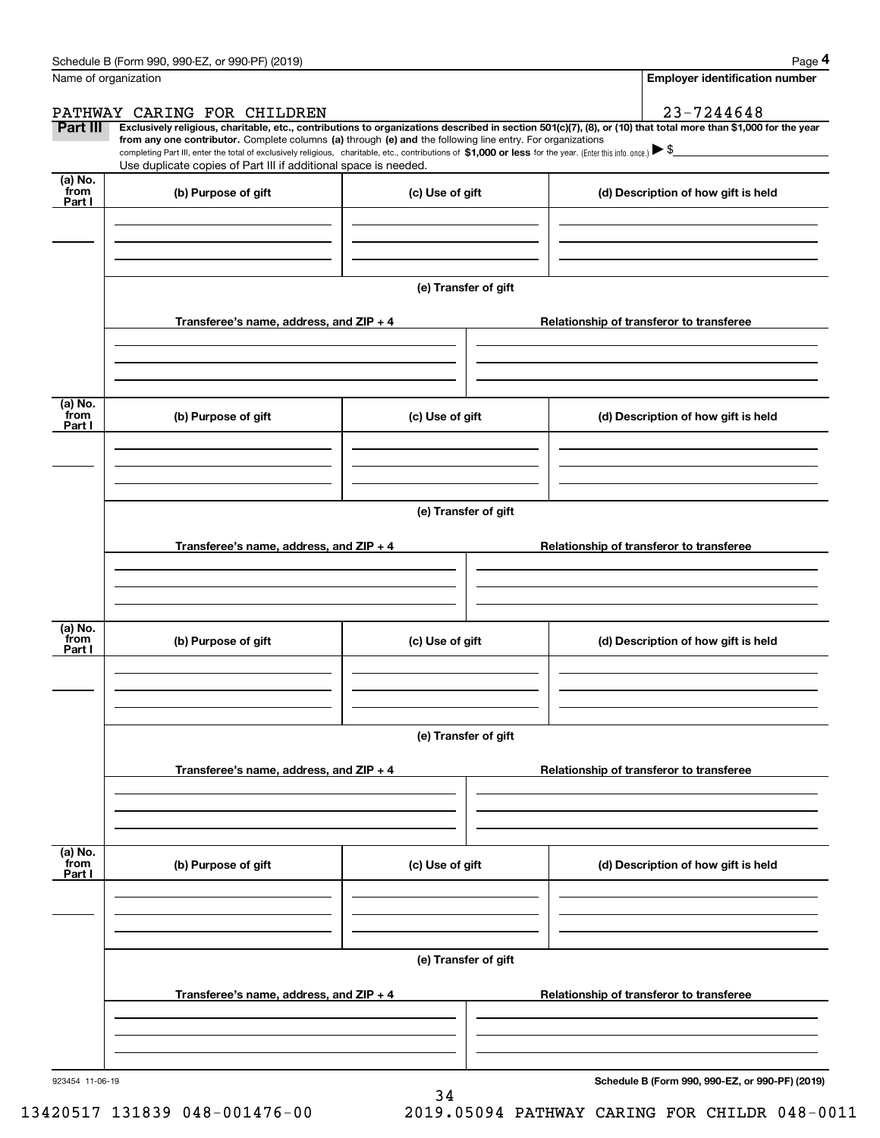|                           | Schedule B (Form 990, 990-EZ, or 990-PF) (2019)                                                                                                                                                                                                                                                                                                                                                                                                                   |                      |  | Page 4                                   |  |  |  |  |  |  |
|---------------------------|-------------------------------------------------------------------------------------------------------------------------------------------------------------------------------------------------------------------------------------------------------------------------------------------------------------------------------------------------------------------------------------------------------------------------------------------------------------------|----------------------|--|------------------------------------------|--|--|--|--|--|--|
|                           | Name of organization                                                                                                                                                                                                                                                                                                                                                                                                                                              |                      |  | <b>Employer identification number</b>    |  |  |  |  |  |  |
|                           | PATHWAY CARING FOR CHILDREN                                                                                                                                                                                                                                                                                                                                                                                                                                       |                      |  | 23-7244648                               |  |  |  |  |  |  |
| Part III                  | Exclusively religious, charitable, etc., contributions to organizations described in section 501(c)(7), (8), or (10) that total more than \$1,000 for the year<br>from any one contributor. Complete columns (a) through (e) and the following line entry. For organizations<br>completing Part III, enter the total of exclusively religious, charitable, etc., contributions of \$1,000 or less for the year. (Enter this info. once.) $\blacktriangleright$ \$ |                      |  |                                          |  |  |  |  |  |  |
|                           | Use duplicate copies of Part III if additional space is needed.                                                                                                                                                                                                                                                                                                                                                                                                   |                      |  |                                          |  |  |  |  |  |  |
| (a) No.<br>from<br>Part I | (b) Purpose of gift                                                                                                                                                                                                                                                                                                                                                                                                                                               | (c) Use of gift      |  | (d) Description of how gift is held      |  |  |  |  |  |  |
|                           |                                                                                                                                                                                                                                                                                                                                                                                                                                                                   |                      |  |                                          |  |  |  |  |  |  |
|                           |                                                                                                                                                                                                                                                                                                                                                                                                                                                                   | (e) Transfer of gift |  |                                          |  |  |  |  |  |  |
|                           | Transferee's name, address, and ZIP + 4                                                                                                                                                                                                                                                                                                                                                                                                                           |                      |  | Relationship of transferor to transferee |  |  |  |  |  |  |
| (a) No.<br>from<br>Part I | (b) Purpose of gift                                                                                                                                                                                                                                                                                                                                                                                                                                               | (c) Use of gift      |  | (d) Description of how gift is held      |  |  |  |  |  |  |
|                           |                                                                                                                                                                                                                                                                                                                                                                                                                                                                   |                      |  |                                          |  |  |  |  |  |  |
|                           |                                                                                                                                                                                                                                                                                                                                                                                                                                                                   | (e) Transfer of gift |  |                                          |  |  |  |  |  |  |
|                           | Transferee's name, address, and ZIP + 4                                                                                                                                                                                                                                                                                                                                                                                                                           |                      |  | Relationship of transferor to transferee |  |  |  |  |  |  |
| (a) No.<br>from           | (b) Purpose of gift                                                                                                                                                                                                                                                                                                                                                                                                                                               | (c) Use of gift      |  | (d) Description of how gift is held      |  |  |  |  |  |  |
| Part I                    |                                                                                                                                                                                                                                                                                                                                                                                                                                                                   |                      |  |                                          |  |  |  |  |  |  |
|                           |                                                                                                                                                                                                                                                                                                                                                                                                                                                                   | (e) Transfer of gift |  |                                          |  |  |  |  |  |  |
|                           | Transferee's name, address, and $ZIP + 4$                                                                                                                                                                                                                                                                                                                                                                                                                         |                      |  | Relationship of transferor to transferee |  |  |  |  |  |  |
|                           |                                                                                                                                                                                                                                                                                                                                                                                                                                                                   |                      |  |                                          |  |  |  |  |  |  |
| (a) No.<br>from<br>Part I | (b) Purpose of gift                                                                                                                                                                                                                                                                                                                                                                                                                                               | (c) Use of gift      |  | (d) Description of how gift is held      |  |  |  |  |  |  |
|                           |                                                                                                                                                                                                                                                                                                                                                                                                                                                                   |                      |  |                                          |  |  |  |  |  |  |
|                           | (e) Transfer of gift                                                                                                                                                                                                                                                                                                                                                                                                                                              |                      |  |                                          |  |  |  |  |  |  |
|                           | Transferee's name, address, and $ZIP + 4$                                                                                                                                                                                                                                                                                                                                                                                                                         |                      |  | Relationship of transferor to transferee |  |  |  |  |  |  |
|                           |                                                                                                                                                                                                                                                                                                                                                                                                                                                                   |                      |  |                                          |  |  |  |  |  |  |

34

923454 11-06-19

**Schedule B (Form 990, 990-EZ, or 990-PF) (2019)**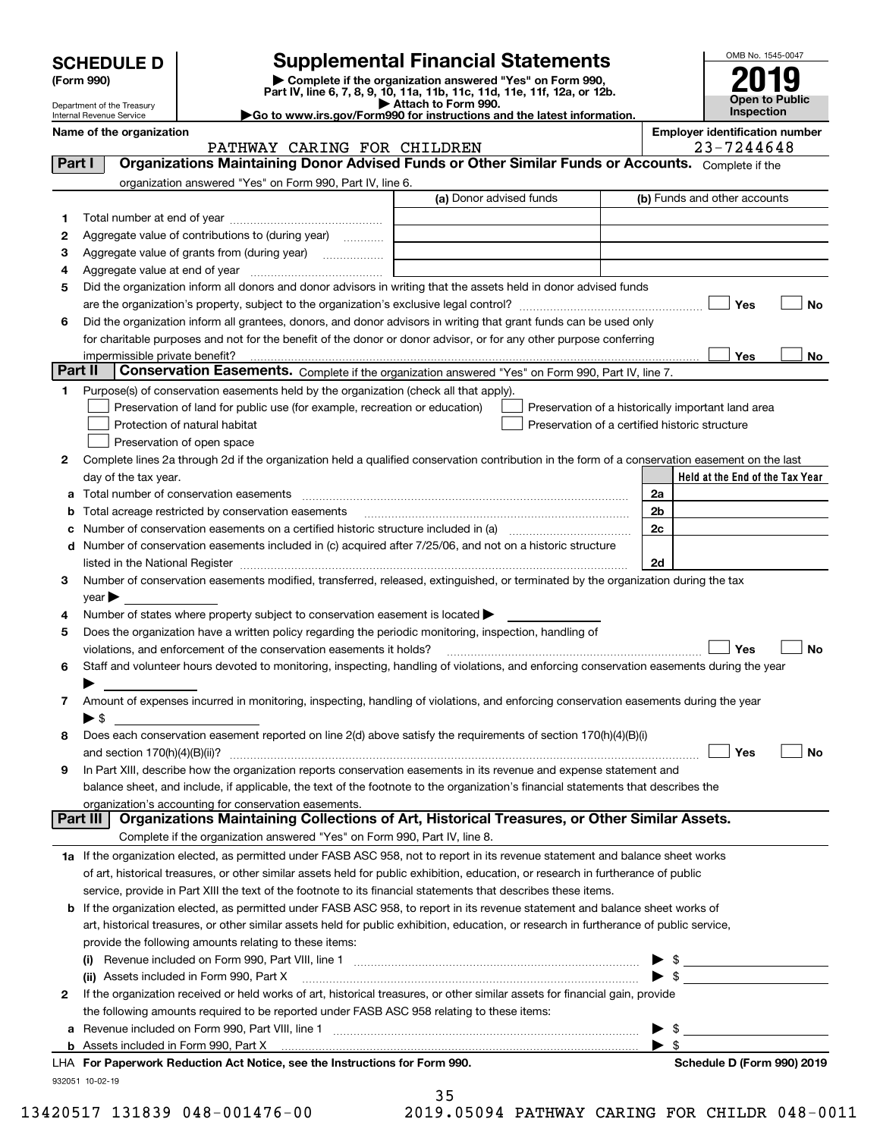| <b>SCHEDULE D</b> |  |
|-------------------|--|
|-------------------|--|

| (Form 990) |  |
|------------|--|
|------------|--|

# **Supplemental Financial Statements**

(Form 990)<br>
Pepartment of the Treasury<br>
Department of the Treasury<br>
Department of the Treasury<br>
Department of the Treasury<br> **Co to www.irs.gov/Form990 for instructions and the latest information.**<br> **Co to www.irs.gov/Form9** 



Department of the Treasury Internal Revenue Service

### PATHWAY CARING FOR CHILDREN 1999 23-7244648

**Name of the organization Employer identification number**

| Part I   | Organizations Maintaining Donor Advised Funds or Other Similar Funds or Accounts. Complete if the                                                                                                                             |                         |                                                    |
|----------|-------------------------------------------------------------------------------------------------------------------------------------------------------------------------------------------------------------------------------|-------------------------|----------------------------------------------------|
|          | organization answered "Yes" on Form 990, Part IV, line 6.                                                                                                                                                                     |                         |                                                    |
|          |                                                                                                                                                                                                                               | (a) Donor advised funds | (b) Funds and other accounts                       |
| 1        |                                                                                                                                                                                                                               |                         |                                                    |
| 2        | Aggregate value of contributions to (during year)                                                                                                                                                                             |                         |                                                    |
| 3        | Aggregate value of grants from (during year)                                                                                                                                                                                  |                         |                                                    |
| 4        |                                                                                                                                                                                                                               |                         |                                                    |
| 5        | Did the organization inform all donors and donor advisors in writing that the assets held in donor advised funds                                                                                                              |                         |                                                    |
|          |                                                                                                                                                                                                                               |                         | Yes<br>No                                          |
| 6        | Did the organization inform all grantees, donors, and donor advisors in writing that grant funds can be used only                                                                                                             |                         |                                                    |
|          | for charitable purposes and not for the benefit of the donor or donor advisor, or for any other purpose conferring                                                                                                            |                         |                                                    |
|          | impermissible private benefit?                                                                                                                                                                                                |                         | Yes<br>No                                          |
| Part II  | Conservation Easements. Complete if the organization answered "Yes" on Form 990, Part IV, line 7.                                                                                                                             |                         |                                                    |
| 1        | Purpose(s) of conservation easements held by the organization (check all that apply).                                                                                                                                         |                         |                                                    |
|          | Preservation of land for public use (for example, recreation or education)                                                                                                                                                    |                         | Preservation of a historically important land area |
|          | Protection of natural habitat                                                                                                                                                                                                 |                         | Preservation of a certified historic structure     |
|          | Preservation of open space                                                                                                                                                                                                    |                         |                                                    |
| 2        | Complete lines 2a through 2d if the organization held a qualified conservation contribution in the form of a conservation easement on the last                                                                                |                         | Held at the End of the Tax Year                    |
|          | day of the tax year.                                                                                                                                                                                                          |                         | 2a                                                 |
|          | <b>b</b> Total acreage restricted by conservation easements                                                                                                                                                                   |                         | 2 <sub>b</sub>                                     |
| c        | Number of conservation easements on a certified historic structure included in (a) manufacture included in (a)                                                                                                                |                         | 2c                                                 |
|          | d Number of conservation easements included in (c) acquired after 7/25/06, and not on a historic structure                                                                                                                    |                         |                                                    |
|          | listed in the National Register [11, 1200] [12] The National Register [11, 1200] [12] The National Register [11, 1200] [12] The National Register [11, 1200] [12] The National Register [11, 1200] [12] The National Register |                         | 2d                                                 |
| з        | Number of conservation easements modified, transferred, released, extinguished, or terminated by the organization during the tax                                                                                              |                         |                                                    |
|          | $\mathsf{year}$                                                                                                                                                                                                               |                         |                                                    |
| 4        | Number of states where property subject to conservation easement is located >                                                                                                                                                 |                         |                                                    |
| 5        | Does the organization have a written policy regarding the periodic monitoring, inspection, handling of                                                                                                                        |                         |                                                    |
|          | violations, and enforcement of the conservation easements it holds?                                                                                                                                                           |                         | Yes<br>No                                          |
| 6        | Staff and volunteer hours devoted to monitoring, inspecting, handling of violations, and enforcing conservation easements during the year                                                                                     |                         |                                                    |
|          |                                                                                                                                                                                                                               |                         |                                                    |
| 7        | Amount of expenses incurred in monitoring, inspecting, handling of violations, and enforcing conservation easements during the year                                                                                           |                         |                                                    |
|          | $\blacktriangleright$ \$                                                                                                                                                                                                      |                         |                                                    |
| 8        | Does each conservation easement reported on line 2(d) above satisfy the requirements of section 170(h)(4)(B)(i)                                                                                                               |                         |                                                    |
|          |                                                                                                                                                                                                                               |                         | Yes<br>No                                          |
| 9        | In Part XIII, describe how the organization reports conservation easements in its revenue and expense statement and                                                                                                           |                         |                                                    |
|          | balance sheet, and include, if applicable, the text of the footnote to the organization's financial statements that describes the                                                                                             |                         |                                                    |
| Part III | organization's accounting for conservation easements.<br>Organizations Maintaining Collections of Art, Historical Treasures, or Other Similar Assets.                                                                         |                         |                                                    |
|          | Complete if the organization answered "Yes" on Form 990, Part IV, line 8.                                                                                                                                                     |                         |                                                    |
|          | 1a If the organization elected, as permitted under FASB ASC 958, not to report in its revenue statement and balance sheet works                                                                                               |                         |                                                    |
|          | of art, historical treasures, or other similar assets held for public exhibition, education, or research in furtherance of public                                                                                             |                         |                                                    |
|          | service, provide in Part XIII the text of the footnote to its financial statements that describes these items.                                                                                                                |                         |                                                    |
|          | <b>b</b> If the organization elected, as permitted under FASB ASC 958, to report in its revenue statement and balance sheet works of                                                                                          |                         |                                                    |
|          | art, historical treasures, or other similar assets held for public exhibition, education, or research in furtherance of public service,                                                                                       |                         |                                                    |
|          | provide the following amounts relating to these items:                                                                                                                                                                        |                         |                                                    |
|          |                                                                                                                                                                                                                               |                         | $\blacktriangleright$ \$                           |
|          | (ii) Assets included in Form 990, Part X                                                                                                                                                                                      |                         | $\blacktriangleright$ s                            |
| 2        | If the organization received or held works of art, historical treasures, or other similar assets for financial gain, provide                                                                                                  |                         |                                                    |
|          | the following amounts required to be reported under FASB ASC 958 relating to these items:                                                                                                                                     |                         |                                                    |
|          | a Revenue included on Form 990, Part VIII, line 1 [2000] [2000] [2000] [2000] [3000] [3000] [3000] [3000] [3000                                                                                                               |                         | $\blacktriangleright$ s                            |
|          |                                                                                                                                                                                                                               |                         | $\blacktriangleright$ s                            |
|          | LHA For Paperwork Reduction Act Notice, see the Instructions for Form 990.                                                                                                                                                    |                         | Schedule D (Form 990) 2019                         |
|          | 932051 10-02-19                                                                                                                                                                                                               |                         |                                                    |

35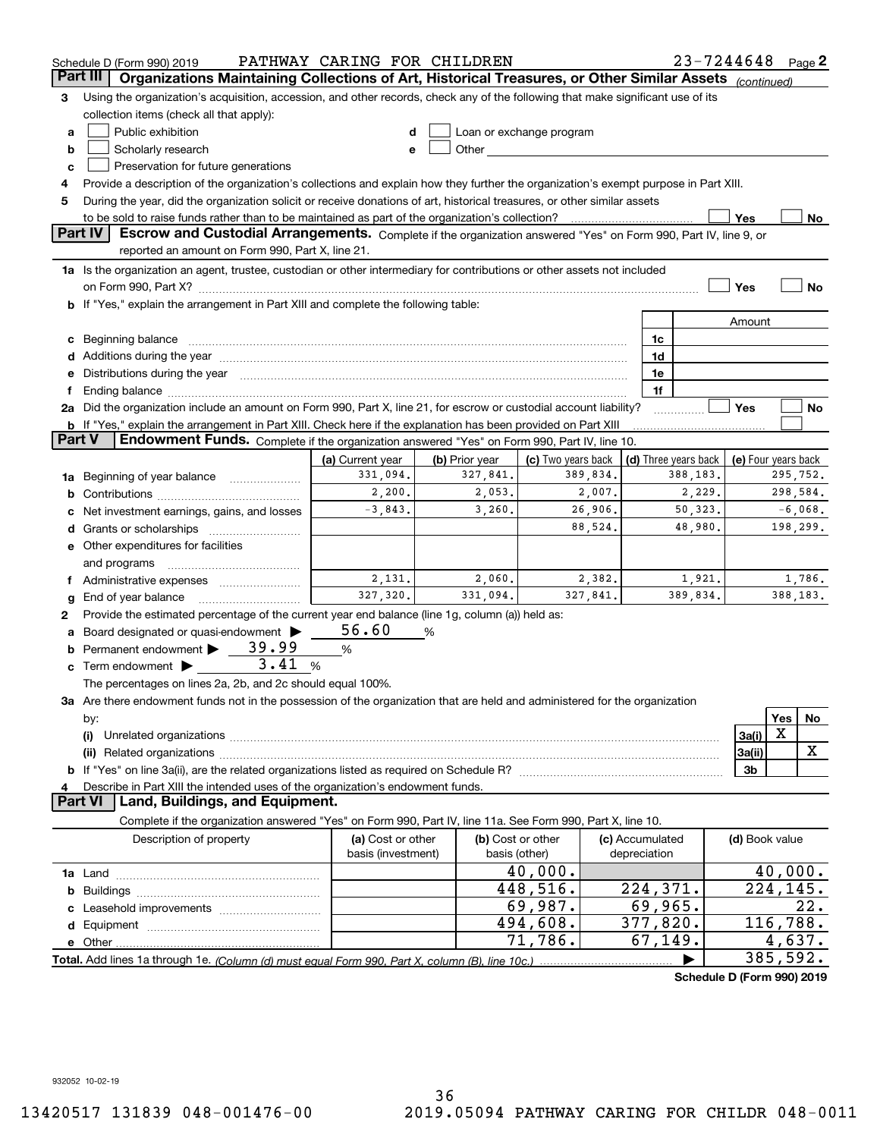|        | $23 - 7244648$ Page 2<br>PATHWAY CARING FOR CHILDREN<br>Schedule D (Form 990) 2019                                                                                                                                             |                    |                |                                                                                                                                                                                                                               |                 |                            |                     |          |           |  |
|--------|--------------------------------------------------------------------------------------------------------------------------------------------------------------------------------------------------------------------------------|--------------------|----------------|-------------------------------------------------------------------------------------------------------------------------------------------------------------------------------------------------------------------------------|-----------------|----------------------------|---------------------|----------|-----------|--|
|        | Part III<br>Organizations Maintaining Collections of Art, Historical Treasures, or Other Similar Assets (continued)                                                                                                            |                    |                |                                                                                                                                                                                                                               |                 |                            |                     |          |           |  |
| з      | Using the organization's acquisition, accession, and other records, check any of the following that make significant use of its                                                                                                |                    |                |                                                                                                                                                                                                                               |                 |                            |                     |          |           |  |
|        | collection items (check all that apply):                                                                                                                                                                                       |                    |                |                                                                                                                                                                                                                               |                 |                            |                     |          |           |  |
| a      | Public exhibition                                                                                                                                                                                                              |                    |                | Loan or exchange program                                                                                                                                                                                                      |                 |                            |                     |          |           |  |
| b      | Scholarly research                                                                                                                                                                                                             | e                  |                | Other and the contract of the contract of the contract of the contract of the contract of the contract of the contract of the contract of the contract of the contract of the contract of the contract of the contract of the |                 |                            |                     |          |           |  |
| с      | Preservation for future generations                                                                                                                                                                                            |                    |                |                                                                                                                                                                                                                               |                 |                            |                     |          |           |  |
| 4      | Provide a description of the organization's collections and explain how they further the organization's exempt purpose in Part XIII.                                                                                           |                    |                |                                                                                                                                                                                                                               |                 |                            |                     |          |           |  |
| 5      | During the year, did the organization solicit or receive donations of art, historical treasures, or other similar assets                                                                                                       |                    |                |                                                                                                                                                                                                                               |                 |                            |                     |          |           |  |
|        | to be sold to raise funds rather than to be maintained as part of the organization's collection?<br>Yes<br>No                                                                                                                  |                    |                |                                                                                                                                                                                                                               |                 |                            |                     |          |           |  |
|        | <b>Part IV</b><br>Escrow and Custodial Arrangements. Complete if the organization answered "Yes" on Form 990, Part IV, line 9, or                                                                                              |                    |                |                                                                                                                                                                                                                               |                 |                            |                     |          |           |  |
|        | reported an amount on Form 990, Part X, line 21.                                                                                                                                                                               |                    |                |                                                                                                                                                                                                                               |                 |                            |                     |          |           |  |
|        | 1a Is the organization an agent, trustee, custodian or other intermediary for contributions or other assets not included                                                                                                       |                    |                |                                                                                                                                                                                                                               |                 |                            |                     |          |           |  |
|        | on Form 990, Part X? <b>William Constitution Constitution</b> Construction Construction Construction Constitution Cons                                                                                                         |                    |                |                                                                                                                                                                                                                               |                 |                            | Yes                 |          | No        |  |
|        | <b>b</b> If "Yes," explain the arrangement in Part XIII and complete the following table:                                                                                                                                      |                    |                |                                                                                                                                                                                                                               |                 |                            |                     |          |           |  |
|        |                                                                                                                                                                                                                                |                    |                |                                                                                                                                                                                                                               |                 |                            | Amount              |          |           |  |
|        | c Beginning balance measurements are all the state of the state of the state of the state of the state of the state of the state of the state of the state of the state of the state of the state of the state of the state of |                    |                |                                                                                                                                                                                                                               |                 | 1c                         |                     |          |           |  |
|        |                                                                                                                                                                                                                                |                    |                |                                                                                                                                                                                                                               |                 | 1d                         |                     |          |           |  |
|        | e Distributions during the year manufactured and continuum and contained and the year manufactured and contained and the year manufactured and contained and contained and contained and contained and contained and contained |                    |                |                                                                                                                                                                                                                               |                 | 1e                         |                     |          |           |  |
| f.     | Ending balance manufacture contract contract contract contract contract contract contract contract contract contract contract contract contract contract contract contract contract contract contract contract contract contra |                    |                |                                                                                                                                                                                                                               |                 | 1f                         |                     |          |           |  |
|        | 2a Did the organization include an amount on Form 990, Part X, line 21, for escrow or custodial account liability?                                                                                                             |                    |                |                                                                                                                                                                                                                               |                 |                            | Yes                 |          | No        |  |
|        | <b>b</b> If "Yes," explain the arrangement in Part XIII. Check here if the explanation has been provided on Part XIII                                                                                                          |                    |                |                                                                                                                                                                                                                               |                 |                            |                     |          |           |  |
| Part V | Endowment Funds. Complete if the organization answered "Yes" on Form 990, Part IV, line 10.                                                                                                                                    |                    |                |                                                                                                                                                                                                                               |                 |                            |                     |          |           |  |
|        |                                                                                                                                                                                                                                | (a) Current year   | (b) Prior year | (c) Two years back                                                                                                                                                                                                            |                 | (d) Three years back       | (e) Four years back |          |           |  |
|        | 1a Beginning of year balance                                                                                                                                                                                                   | 331,094.           | 327,841.       | 389,834.                                                                                                                                                                                                                      |                 | 388,183.                   |                     |          | 295,752.  |  |
| b      |                                                                                                                                                                                                                                | 2,200.             | 2,053.         | 2,007.                                                                                                                                                                                                                        |                 | 2,229.                     |                     |          | 298,584.  |  |
|        | Net investment earnings, gains, and losses                                                                                                                                                                                     | $-3,843.$          | 3,260.         | 26,906.                                                                                                                                                                                                                       |                 | 50,323.                    |                     |          | $-6,068.$ |  |
|        |                                                                                                                                                                                                                                |                    |                | 88,524.                                                                                                                                                                                                                       |                 | 48,980.                    |                     |          | 198,299.  |  |
|        | e Other expenditures for facilities                                                                                                                                                                                            |                    |                |                                                                                                                                                                                                                               |                 |                            |                     |          |           |  |
|        | and programs                                                                                                                                                                                                                   |                    |                |                                                                                                                                                                                                                               |                 |                            |                     |          |           |  |
|        | f Administrative expenses <i></i>                                                                                                                                                                                              | 2,131.             | 2,060.         | 2,382.                                                                                                                                                                                                                        |                 | 1,921.                     |                     |          | 1,786.    |  |
| g      | End of year balance                                                                                                                                                                                                            | 327,320.           | 331,094.       | 327,841.                                                                                                                                                                                                                      |                 | 389,834.                   |                     |          | 388,183.  |  |
| 2      | Provide the estimated percentage of the current year end balance (line 1g, column (a)) held as:                                                                                                                                |                    |                |                                                                                                                                                                                                                               |                 |                            |                     |          |           |  |
| а      | Board designated or quasi-endowment                                                                                                                                                                                            | 56.60              | %              |                                                                                                                                                                                                                               |                 |                            |                     |          |           |  |
|        | <b>b</b> Permanent endowment $\triangleright$ 39.99                                                                                                                                                                            | $\%$               |                |                                                                                                                                                                                                                               |                 |                            |                     |          |           |  |
|        | 3.41<br>$\mathbf c$ Term endowment $\blacktriangleright$                                                                                                                                                                       | %                  |                |                                                                                                                                                                                                                               |                 |                            |                     |          |           |  |
|        | The percentages on lines 2a, 2b, and 2c should equal 100%.                                                                                                                                                                     |                    |                |                                                                                                                                                                                                                               |                 |                            |                     |          |           |  |
|        | 3a Are there endowment funds not in the possession of the organization that are held and administered for the organization                                                                                                     |                    |                |                                                                                                                                                                                                                               |                 |                            |                     |          |           |  |
|        | by:                                                                                                                                                                                                                            |                    |                |                                                                                                                                                                                                                               |                 |                            |                     | Yes      | No.       |  |
|        | (i)                                                                                                                                                                                                                            |                    |                |                                                                                                                                                                                                                               |                 |                            | 3a(i)               | X        |           |  |
|        | 3a(ii)                                                                                                                                                                                                                         |                    |                |                                                                                                                                                                                                                               |                 |                            |                     |          | x         |  |
|        |                                                                                                                                                                                                                                |                    |                |                                                                                                                                                                                                                               |                 |                            | 3b                  |          |           |  |
| 4      | Describe in Part XIII the intended uses of the organization's endowment funds.                                                                                                                                                 |                    |                |                                                                                                                                                                                                                               |                 |                            |                     |          |           |  |
|        | <b>Part VI</b><br>Land, Buildings, and Equipment.                                                                                                                                                                              |                    |                |                                                                                                                                                                                                                               |                 |                            |                     |          |           |  |
|        | Complete if the organization answered "Yes" on Form 990, Part IV, line 11a. See Form 990, Part X, line 10.                                                                                                                     |                    |                |                                                                                                                                                                                                                               |                 |                            |                     |          |           |  |
|        | Description of property                                                                                                                                                                                                        | (a) Cost or other  |                | (b) Cost or other                                                                                                                                                                                                             | (c) Accumulated |                            | (d) Book value      |          |           |  |
|        |                                                                                                                                                                                                                                | basis (investment) |                | basis (other)                                                                                                                                                                                                                 | depreciation    |                            |                     |          |           |  |
|        |                                                                                                                                                                                                                                |                    |                | 40,000.                                                                                                                                                                                                                       |                 |                            |                     |          | 40,000.   |  |
| b      |                                                                                                                                                                                                                                |                    |                | 448,516.                                                                                                                                                                                                                      |                 | 224,371.                   |                     | 224,145. |           |  |
|        |                                                                                                                                                                                                                                |                    |                | 69,987.                                                                                                                                                                                                                       |                 | 69,965.                    |                     |          | 22.       |  |
|        |                                                                                                                                                                                                                                |                    |                | 494,608.                                                                                                                                                                                                                      |                 | 377,820.                   |                     | 116,788. |           |  |
|        |                                                                                                                                                                                                                                |                    |                | 71,786.                                                                                                                                                                                                                       |                 | 67, 149.                   |                     | 4,637.   |           |  |
|        |                                                                                                                                                                                                                                |                    |                |                                                                                                                                                                                                                               |                 |                            |                     | 385,592. |           |  |
|        |                                                                                                                                                                                                                                |                    |                |                                                                                                                                                                                                                               |                 | Schedule D (Form 990) 2019 |                     |          |           |  |

932052 10-02-19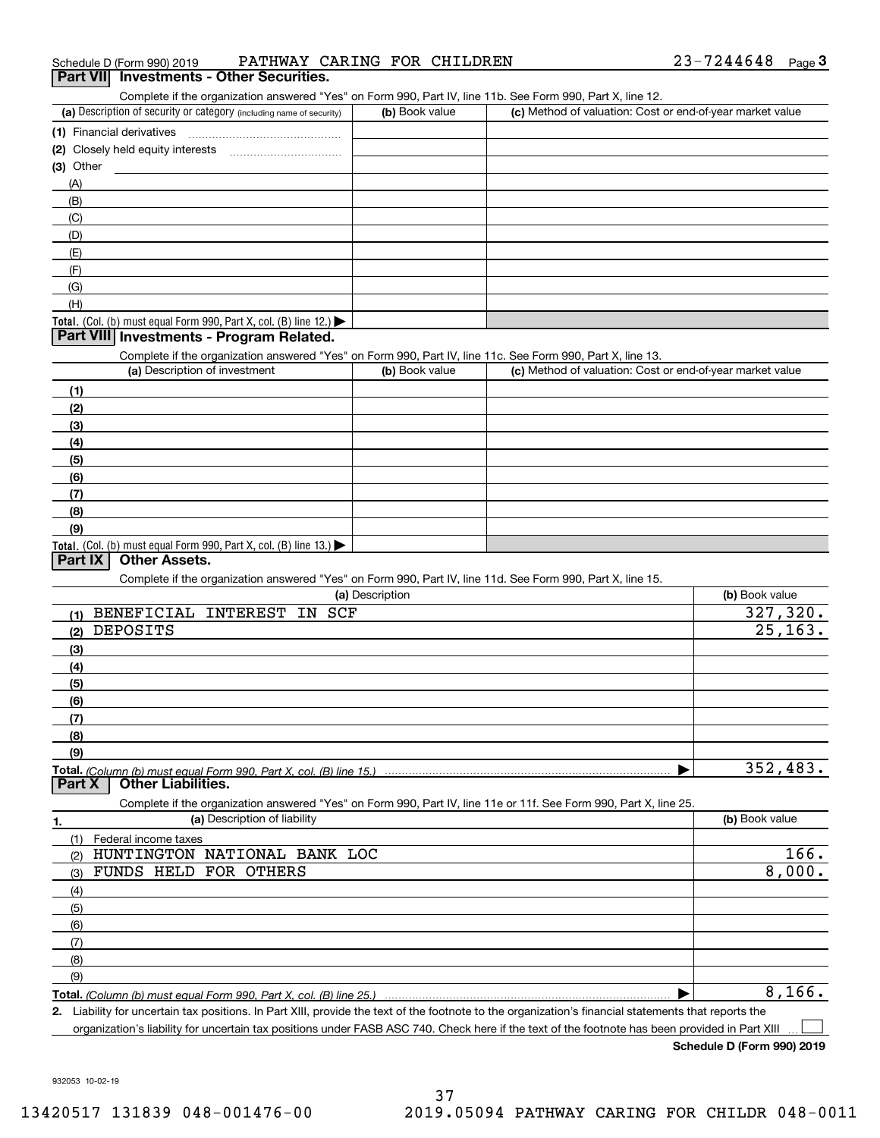| 23-7244648<br>PATHWAY CARING FOR CHILDREN<br>Schedule D (Form 990) 2019 |  | Page |
|-------------------------------------------------------------------------|--|------|
|-------------------------------------------------------------------------|--|------|

# **Part VII Investments - Other Securities.**

Complete if the organization answered "Yes" on Form 990, Part IV, line 11b. See Form 990, Part X, line 12.

| (a) Description of security or category (including name of security)                          | (b) Book value | (c) Method of valuation: Cost or end-of-year market value |
|-----------------------------------------------------------------------------------------------|----------------|-----------------------------------------------------------|
| (1) Financial derivatives                                                                     |                |                                                           |
| (2) Closely held equity interests                                                             |                |                                                           |
| $(3)$ Other                                                                                   |                |                                                           |
| (A)                                                                                           |                |                                                           |
| (B)                                                                                           |                |                                                           |
| (C)                                                                                           |                |                                                           |
| (D)                                                                                           |                |                                                           |
| (E)                                                                                           |                |                                                           |
| (F)                                                                                           |                |                                                           |
| (G)                                                                                           |                |                                                           |
| (H)                                                                                           |                |                                                           |
| <b>Total.</b> (Col. (b) must equal Form 990, Part X, col. (B) line 12.) $\blacktriangleright$ |                |                                                           |

#### **Part VIII Investments - Program Related.**

Complete if the organization answered "Yes" on Form 990, Part IV, line 11c. See Form 990, Part X, line 13.

| (a) Description of investment                                       | (b) Book value | (c) Method of valuation: Cost or end-of-year market value |
|---------------------------------------------------------------------|----------------|-----------------------------------------------------------|
| (1)                                                                 |                |                                                           |
| (2)                                                                 |                |                                                           |
| $\frac{1}{2}$                                                       |                |                                                           |
| (4)                                                                 |                |                                                           |
| (5)                                                                 |                |                                                           |
| (6)                                                                 |                |                                                           |
| (7)                                                                 |                |                                                           |
| (8)                                                                 |                |                                                           |
| (9)                                                                 |                |                                                           |
| Total. (Col. (b) must equal Form 990, Part X, col. (B) line $13$ .) |                |                                                           |

### **Part IX Other Assets.**

Complete if the organization answered "Yes" on Form 990, Part IV, line 11d. See Form 990, Part X, line 15.

| (a) Description                                                                                                   | (b) Book value |
|-------------------------------------------------------------------------------------------------------------------|----------------|
| <b>BENEFICIAL</b><br>SCF<br><b>INTEREST</b><br>IN<br>(1)                                                          | 327,320.       |
| DEPOSITS<br>(2)                                                                                                   | 25, 163.       |
| (3)                                                                                                               |                |
| (4)                                                                                                               |                |
| (5)                                                                                                               |                |
| (6)                                                                                                               |                |
| (7)                                                                                                               |                |
| (8)                                                                                                               |                |
| (9)                                                                                                               |                |
| Total. (Column (b) must equal Form 990, Part X, col. (B) line 15.)                                                | 352,483.       |
| <b>Other Liabilities.</b><br>Part X                                                                               |                |
| Complete if the organization answered "Yes" on Form 990, Part IV, line 11e or 11f. See Form 990, Part X, line 25. |                |
| (a) Description of liability<br>1.                                                                                | (b) Book value |
| Federal income taxes<br>(1)                                                                                       |                |
| HUNTINGTON<br>NATIONAL BANK LOC<br>(2)                                                                            | 166.           |
| <b>FUNDS HELD</b><br><b>OTHERS</b><br>FOR<br>(3)                                                                  | 8,000.         |
| (4)                                                                                                               |                |
| (5)                                                                                                               |                |
| (6)                                                                                                               |                |
| (7)                                                                                                               |                |
| (8)                                                                                                               |                |
| (9)                                                                                                               |                |
| Total. (Column (b) must equal Form 990. Part X, col. (B) line 25.)                                                | 8,166.         |

**Total.**  *(Column (b) must equal Form 990, Part X, col. (B) line 25.)*

**2.** Liability for uncertain tax positions. In Part XIII, provide the text of the footnote to the organization's financial statements that reports the organization's liability for uncertain tax positions under FASB ASC 740. Check here if the text of the footnote has been provided in Part XIII  $\mathcal{L}^{\text{max}}$ 

**Schedule D (Form 990) 2019**

932053 10-02-19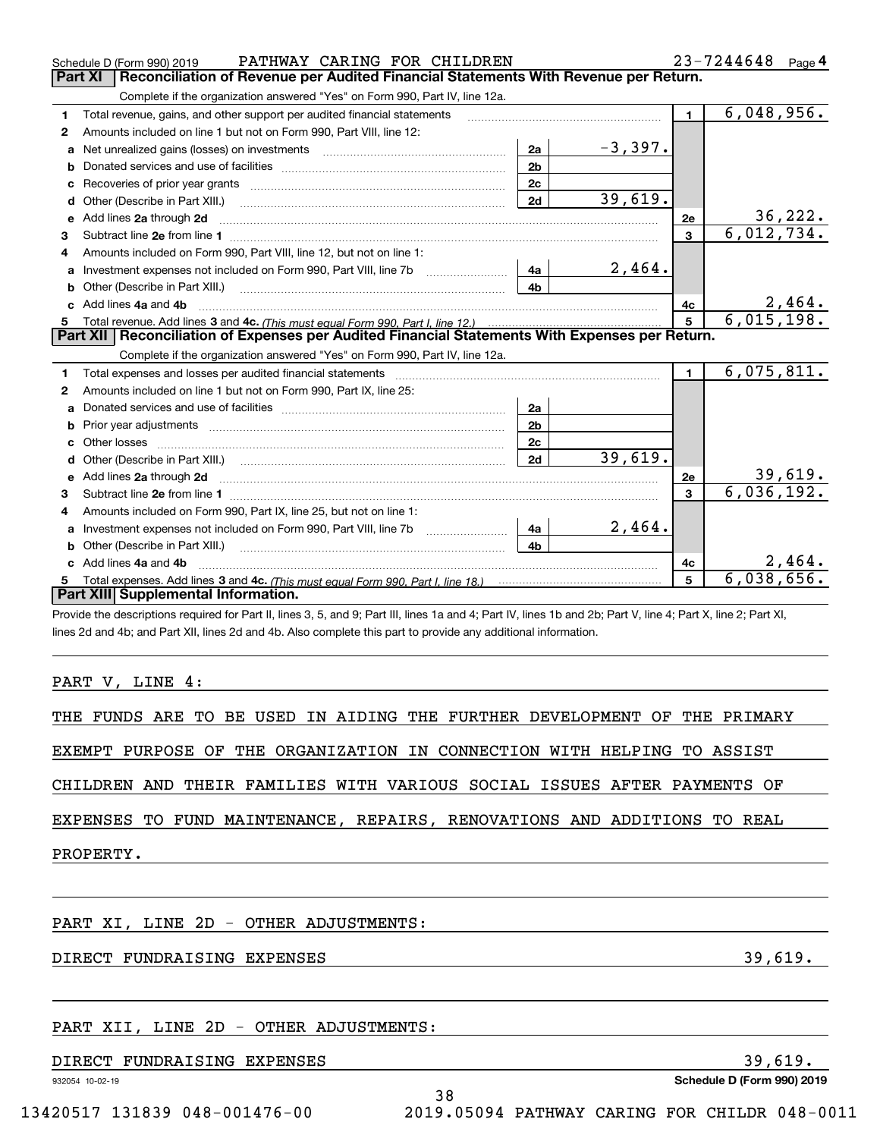|    | PATHWAY CARING FOR CHILDREN<br>Schedule D (Form 990) 2019                                                                                                   |              | $23 - 7244648$ Page 4 |                             |                            |  |  |  |  |  |
|----|-------------------------------------------------------------------------------------------------------------------------------------------------------------|--------------|-----------------------|-----------------------------|----------------------------|--|--|--|--|--|
|    | Part XI<br>Reconciliation of Revenue per Audited Financial Statements With Revenue per Return.                                                              |              |                       |                             |                            |  |  |  |  |  |
|    | Complete if the organization answered "Yes" on Form 990, Part IV, line 12a.                                                                                 |              |                       |                             |                            |  |  |  |  |  |
| 1  | Total revenue, gains, and other support per audited financial statements                                                                                    | $\mathbf{1}$ | 6,048,956.            |                             |                            |  |  |  |  |  |
| 2  | Amounts included on line 1 but not on Form 990, Part VIII, line 12:                                                                                         |              |                       |                             |                            |  |  |  |  |  |
| a  | 2a<br>Net unrealized gains (losses) on investments [11] matter contracts and the unrealized gains (losses) on investments                                   |              | $-3,397.$             |                             |                            |  |  |  |  |  |
| b  | 2 <sub>b</sub>                                                                                                                                              |              |                       |                             |                            |  |  |  |  |  |
| c  | 2c                                                                                                                                                          |              |                       |                             |                            |  |  |  |  |  |
| d  | 2d<br>Other (Describe in Part XIII.) <b>COLOGIST:</b> (2010)                                                                                                |              | 39,619.               |                             |                            |  |  |  |  |  |
| е  | Add lines 2a through 2d                                                                                                                                     |              |                       | 2e                          | $\frac{36,222}{6,012,734}$ |  |  |  |  |  |
| 3  |                                                                                                                                                             |              |                       | $\mathbf{3}$                |                            |  |  |  |  |  |
| 4  | Amounts included on Form 990. Part VIII. line 12, but not on line 1:                                                                                        |              |                       |                             |                            |  |  |  |  |  |
| a  | 4a<br>Investment expenses not included on Form 990, Part VIII, line 7b [111] [11] Investment expenses not included on Form 990, Part VIII, line 7b          |              | 2,464.                |                             |                            |  |  |  |  |  |
|    | 4b                                                                                                                                                          |              |                       |                             |                            |  |  |  |  |  |
| c. | Add lines 4a and 4b                                                                                                                                         |              | 4c                    | $\frac{2,464}{6,015,198}$   |                            |  |  |  |  |  |
|    |                                                                                                                                                             |              |                       | $5\phantom{.0}$             |                            |  |  |  |  |  |
|    | Part XII   Reconciliation of Expenses per Audited Financial Statements With Expenses per Return.                                                            |              |                       |                             |                            |  |  |  |  |  |
|    | Complete if the organization answered "Yes" on Form 990, Part IV, line 12a.                                                                                 |              |                       |                             |                            |  |  |  |  |  |
| 1  | Total expenses and losses per audited financial statements                                                                                                  |              |                       | $\mathbf{1}$                | 6,075,811.                 |  |  |  |  |  |
| 2  | Amounts included on line 1 but not on Form 990, Part IX, line 25:                                                                                           |              |                       |                             |                            |  |  |  |  |  |
| a  | 2a                                                                                                                                                          |              |                       |                             |                            |  |  |  |  |  |
| b  | 2 <sub>b</sub>                                                                                                                                              |              |                       |                             |                            |  |  |  |  |  |
| c  | 2c                                                                                                                                                          |              |                       |                             |                            |  |  |  |  |  |
|    | 2d                                                                                                                                                          |              | 39,619.               |                             |                            |  |  |  |  |  |
| e  | Add lines 2a through 2d                                                                                                                                     |              | 2e                    | $\frac{39,619}{6,036,192.}$ |                            |  |  |  |  |  |
| 3  |                                                                                                                                                             |              | $\mathbf{3}$          |                             |                            |  |  |  |  |  |
|    | Amounts included on Form 990, Part IX, line 25, but not on line 1:                                                                                          |              |                       |                             |                            |  |  |  |  |  |
| a  | 4a<br>Investment expenses not included on Form 990, Part VIII, line 7b                                                                                      |              | 2,464.                |                             |                            |  |  |  |  |  |
| b  | 4 <sub>b</sub><br>Other (Describe in Part XIII.)                                                                                                            |              |                       |                             |                            |  |  |  |  |  |
| C  | Add lines 4a and 4b                                                                                                                                         | 4с           | 2,464.                |                             |                            |  |  |  |  |  |
| 5  |                                                                                                                                                             |              |                       | 5                           | 6,038,656.                 |  |  |  |  |  |
|    | Part XIII Supplemental Information.                                                                                                                         |              |                       |                             |                            |  |  |  |  |  |
|    | Duraide the decembrises usuained for Dark II. Rose O. F. and O. Dark III. Rose de and A. Dark IV. Rose dh. and Oh, Dark V. Rose A. Dark V. Rose O. Dark VI. |              |                       |                             |                            |  |  |  |  |  |

Provide the descriptions required for Part II, lines 3, 5, and 9; Part III, lines 1a and 4; Part IV, lines 1b and 2b; Part V, line 4; Part X, line 2; Part XI, lines 2d and 4b; and Part XII, lines 2d and 4b. Also complete this part to provide any additional information.

#### PART V, LINE 4:

|  |  |  |  |  |  |  |  |  |  | THE FUNDS ARE TO BE USED IN AIDING THE FURTHER DEVELOPMENT OF THE PRIMARY |  |  |  |
|--|--|--|--|--|--|--|--|--|--|---------------------------------------------------------------------------|--|--|--|
|--|--|--|--|--|--|--|--|--|--|---------------------------------------------------------------------------|--|--|--|

EXEMPT PURPOSE OF THE ORGANIZATION IN CONNECTION WITH HELPING TO ASSIST

CHILDREN AND THEIR FAMILIES WITH VARIOUS SOCIAL ISSUES AFTER PAYMENTS OF

EXPENSES TO FUND MAINTENANCE, REPAIRS, RENOVATIONS AND ADDITIONS TO REAL

PROPERTY.

# PART XI, LINE 2D - OTHER ADJUSTMENTS:

## DIRECT FUNDRAISING EXPENSES 39,619.

# PART XII, LINE 2D - OTHER ADJUSTMENTS:

## DIRECT FUNDRAISING EXPENSES 39,619.

932054 10-02-19

**Schedule D (Form 990) 2019**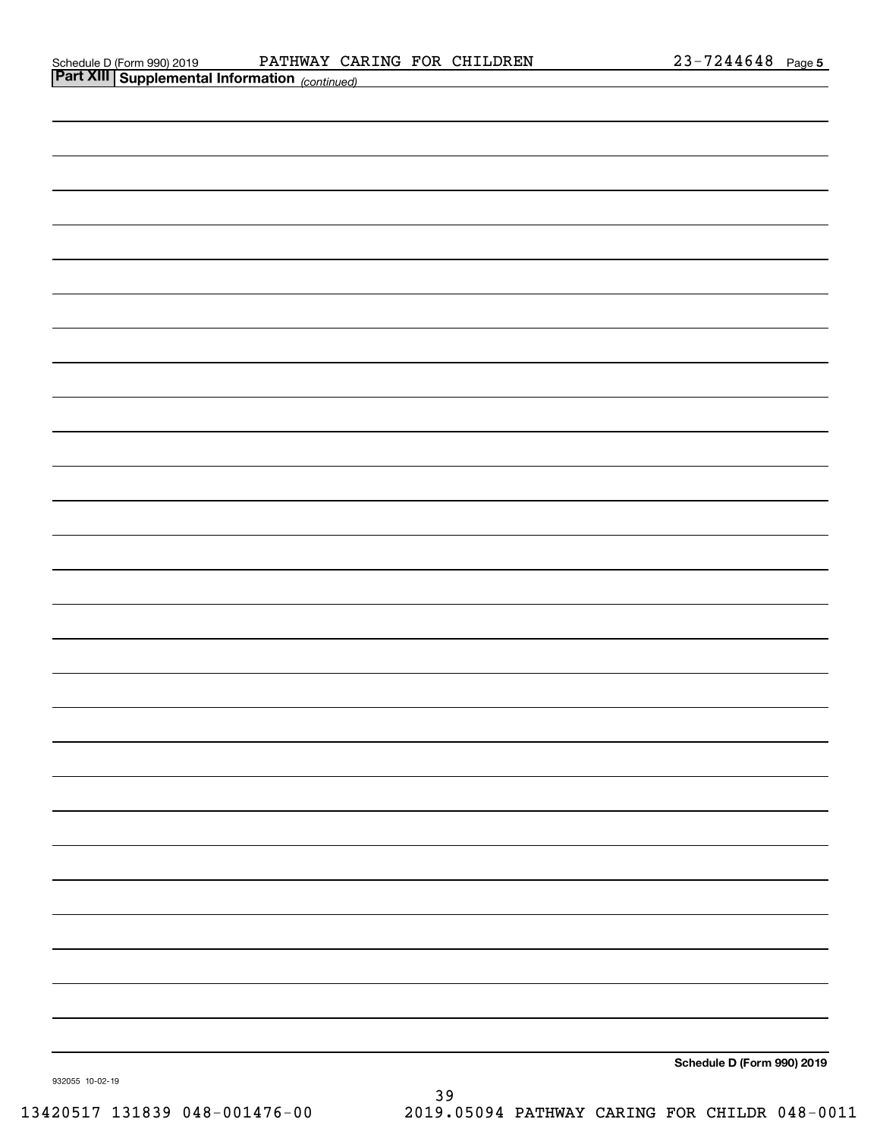| <b>Part XIII Supplemental Information</b> (continued) |  |                            |
|-------------------------------------------------------|--|----------------------------|
|                                                       |  |                            |
|                                                       |  |                            |
|                                                       |  |                            |
|                                                       |  |                            |
|                                                       |  |                            |
|                                                       |  |                            |
|                                                       |  |                            |
|                                                       |  |                            |
|                                                       |  |                            |
|                                                       |  |                            |
|                                                       |  |                            |
|                                                       |  |                            |
|                                                       |  |                            |
|                                                       |  |                            |
|                                                       |  |                            |
|                                                       |  |                            |
|                                                       |  |                            |
|                                                       |  |                            |
|                                                       |  |                            |
|                                                       |  |                            |
|                                                       |  |                            |
|                                                       |  |                            |
|                                                       |  |                            |
|                                                       |  |                            |
|                                                       |  |                            |
|                                                       |  |                            |
|                                                       |  |                            |
|                                                       |  |                            |
|                                                       |  | Schedule D (Form 990) 2019 |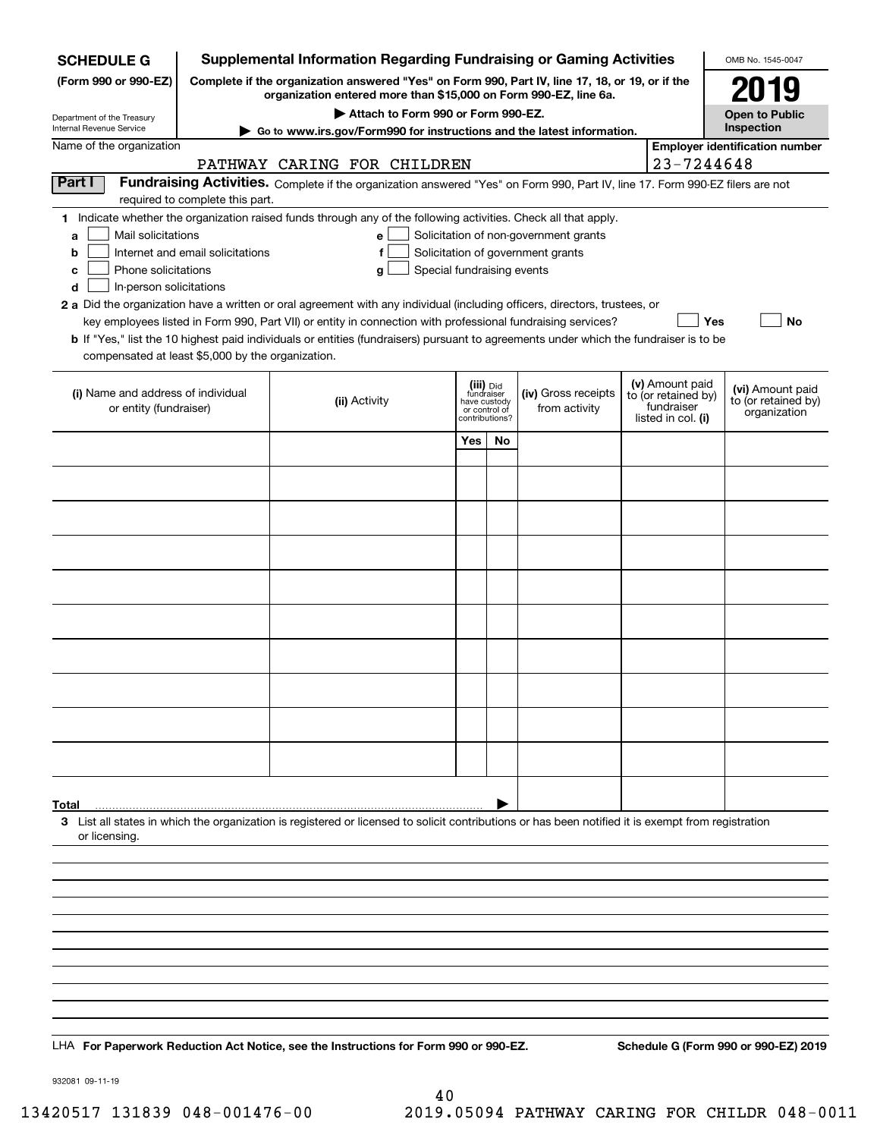| <b>SCHEDULE G</b>                                                                                                                                                                    | <b>Supplemental Information Regarding Fundraising or Gaming Activities</b>                                                                                          |                                                                                                                                                    |                                                 |                         |                                      | OMB No. 1545-0047                      |                                       |                                      |
|--------------------------------------------------------------------------------------------------------------------------------------------------------------------------------------|---------------------------------------------------------------------------------------------------------------------------------------------------------------------|----------------------------------------------------------------------------------------------------------------------------------------------------|-------------------------------------------------|-------------------------|--------------------------------------|----------------------------------------|---------------------------------------|--------------------------------------|
| (Form 990 or 990-EZ)                                                                                                                                                                 | Complete if the organization answered "Yes" on Form 990, Part IV, line 17, 18, or 19, or if the<br>organization entered more than \$15,000 on Form 990-EZ, line 6a. |                                                                                                                                                    |                                                 |                         |                                      |                                        | 2019                                  |                                      |
|                                                                                                                                                                                      | Attach to Form 990 or Form 990-EZ.                                                                                                                                  |                                                                                                                                                    |                                                 |                         |                                      |                                        | <b>Open to Public</b>                 |                                      |
| Department of the Treasury<br>Internal Revenue Service                                                                                                                               | Go to www.irs.gov/Form990 for instructions and the latest information.                                                                                              |                                                                                                                                                    |                                                 |                         |                                      |                                        | Inspection                            |                                      |
| Name of the organization                                                                                                                                                             |                                                                                                                                                                     |                                                                                                                                                    |                                                 |                         |                                      |                                        | <b>Employer identification number</b> |                                      |
| 23-7244648<br>PATHWAY CARING FOR CHILDREN<br>Part I<br>Fundraising Activities. Complete if the organization answered "Yes" on Form 990, Part IV, line 17. Form 990-EZ filers are not |                                                                                                                                                                     |                                                                                                                                                    |                                                 |                         |                                      |                                        |                                       |                                      |
|                                                                                                                                                                                      | required to complete this part.                                                                                                                                     |                                                                                                                                                    |                                                 |                         |                                      |                                        |                                       |                                      |
|                                                                                                                                                                                      |                                                                                                                                                                     | 1 Indicate whether the organization raised funds through any of the following activities. Check all that apply.                                    |                                                 |                         |                                      |                                        |                                       |                                      |
| b                                                                                                                                                                                    | Mail solicitations<br>Solicitation of non-government grants<br>e l<br>a<br>Solicitation of government grants<br>Internet and email solicitations<br>f               |                                                                                                                                                    |                                                 |                         |                                      |                                        |                                       |                                      |
| Phone solicitations<br>с                                                                                                                                                             |                                                                                                                                                                     | Special fundraising events<br>g                                                                                                                    |                                                 |                         |                                      |                                        |                                       |                                      |
| d<br>In-person solicitations                                                                                                                                                         |                                                                                                                                                                     |                                                                                                                                                    |                                                 |                         |                                      |                                        |                                       |                                      |
|                                                                                                                                                                                      |                                                                                                                                                                     | 2 a Did the organization have a written or oral agreement with any individual (including officers, directors, trustees, or                         |                                                 |                         |                                      |                                        |                                       |                                      |
|                                                                                                                                                                                      |                                                                                                                                                                     | key employees listed in Form 990, Part VII) or entity in connection with professional fundraising services?                                        |                                                 |                         |                                      |                                        | Yes                                   | No                                   |
| compensated at least \$5,000 by the organization.                                                                                                                                    |                                                                                                                                                                     | <b>b</b> If "Yes," list the 10 highest paid individuals or entities (fundraisers) pursuant to agreements under which the fundraiser is to be       |                                                 |                         |                                      |                                        |                                       |                                      |
|                                                                                                                                                                                      |                                                                                                                                                                     |                                                                                                                                                    |                                                 |                         |                                      |                                        |                                       |                                      |
| (i) Name and address of individual                                                                                                                                                   |                                                                                                                                                                     |                                                                                                                                                    |                                                 | (iii) Did<br>fundraiser | (iv) Gross receipts<br>from activity | (v) Amount paid<br>to (or retained by) | (vi) Amount paid                      |                                      |
| or entity (fundraiser)                                                                                                                                                               |                                                                                                                                                                     | (ii) Activity                                                                                                                                      | have custody<br>or control of<br>contributions? |                         |                                      |                                        | fundraiser<br>listed in col. (i)      | to (or retained by)<br>organization  |
|                                                                                                                                                                                      |                                                                                                                                                                     |                                                                                                                                                    | Yes                                             | No                      |                                      |                                        |                                       |                                      |
|                                                                                                                                                                                      |                                                                                                                                                                     |                                                                                                                                                    |                                                 |                         |                                      |                                        |                                       |                                      |
|                                                                                                                                                                                      |                                                                                                                                                                     |                                                                                                                                                    |                                                 |                         |                                      |                                        |                                       |                                      |
|                                                                                                                                                                                      |                                                                                                                                                                     |                                                                                                                                                    |                                                 |                         |                                      |                                        |                                       |                                      |
|                                                                                                                                                                                      |                                                                                                                                                                     |                                                                                                                                                    |                                                 |                         |                                      |                                        |                                       |                                      |
|                                                                                                                                                                                      |                                                                                                                                                                     |                                                                                                                                                    |                                                 |                         |                                      |                                        |                                       |                                      |
|                                                                                                                                                                                      |                                                                                                                                                                     |                                                                                                                                                    |                                                 |                         |                                      |                                        |                                       |                                      |
|                                                                                                                                                                                      |                                                                                                                                                                     |                                                                                                                                                    |                                                 |                         |                                      |                                        |                                       |                                      |
|                                                                                                                                                                                      |                                                                                                                                                                     |                                                                                                                                                    |                                                 |                         |                                      |                                        |                                       |                                      |
|                                                                                                                                                                                      |                                                                                                                                                                     |                                                                                                                                                    |                                                 |                         |                                      |                                        |                                       |                                      |
|                                                                                                                                                                                      |                                                                                                                                                                     |                                                                                                                                                    |                                                 |                         |                                      |                                        |                                       |                                      |
|                                                                                                                                                                                      |                                                                                                                                                                     |                                                                                                                                                    |                                                 |                         |                                      |                                        |                                       |                                      |
|                                                                                                                                                                                      |                                                                                                                                                                     |                                                                                                                                                    |                                                 |                         |                                      |                                        |                                       |                                      |
|                                                                                                                                                                                      |                                                                                                                                                                     |                                                                                                                                                    |                                                 |                         |                                      |                                        |                                       |                                      |
|                                                                                                                                                                                      |                                                                                                                                                                     |                                                                                                                                                    |                                                 |                         |                                      |                                        |                                       |                                      |
|                                                                                                                                                                                      |                                                                                                                                                                     |                                                                                                                                                    |                                                 |                         |                                      |                                        |                                       |                                      |
|                                                                                                                                                                                      |                                                                                                                                                                     |                                                                                                                                                    |                                                 |                         |                                      |                                        |                                       |                                      |
| Total                                                                                                                                                                                |                                                                                                                                                                     |                                                                                                                                                    |                                                 |                         |                                      |                                        |                                       |                                      |
|                                                                                                                                                                                      |                                                                                                                                                                     | 3 List all states in which the organization is registered or licensed to solicit contributions or has been notified it is exempt from registration |                                                 |                         |                                      |                                        |                                       |                                      |
| or licensing.                                                                                                                                                                        |                                                                                                                                                                     |                                                                                                                                                    |                                                 |                         |                                      |                                        |                                       |                                      |
|                                                                                                                                                                                      |                                                                                                                                                                     |                                                                                                                                                    |                                                 |                         |                                      |                                        |                                       |                                      |
|                                                                                                                                                                                      |                                                                                                                                                                     |                                                                                                                                                    |                                                 |                         |                                      |                                        |                                       |                                      |
|                                                                                                                                                                                      |                                                                                                                                                                     |                                                                                                                                                    |                                                 |                         |                                      |                                        |                                       |                                      |
|                                                                                                                                                                                      |                                                                                                                                                                     |                                                                                                                                                    |                                                 |                         |                                      |                                        |                                       |                                      |
|                                                                                                                                                                                      |                                                                                                                                                                     |                                                                                                                                                    |                                                 |                         |                                      |                                        |                                       |                                      |
|                                                                                                                                                                                      |                                                                                                                                                                     |                                                                                                                                                    |                                                 |                         |                                      |                                        |                                       |                                      |
|                                                                                                                                                                                      |                                                                                                                                                                     |                                                                                                                                                    |                                                 |                         |                                      |                                        |                                       |                                      |
|                                                                                                                                                                                      |                                                                                                                                                                     |                                                                                                                                                    |                                                 |                         |                                      |                                        |                                       |                                      |
|                                                                                                                                                                                      |                                                                                                                                                                     |                                                                                                                                                    |                                                 |                         |                                      |                                        |                                       |                                      |
|                                                                                                                                                                                      |                                                                                                                                                                     | LHA For Paperwork Reduction Act Notice, see the Instructions for Form 990 or 990-EZ.                                                               |                                                 |                         |                                      |                                        |                                       | Schedule G (Form 990 or 990-EZ) 2019 |

932081 09-11-19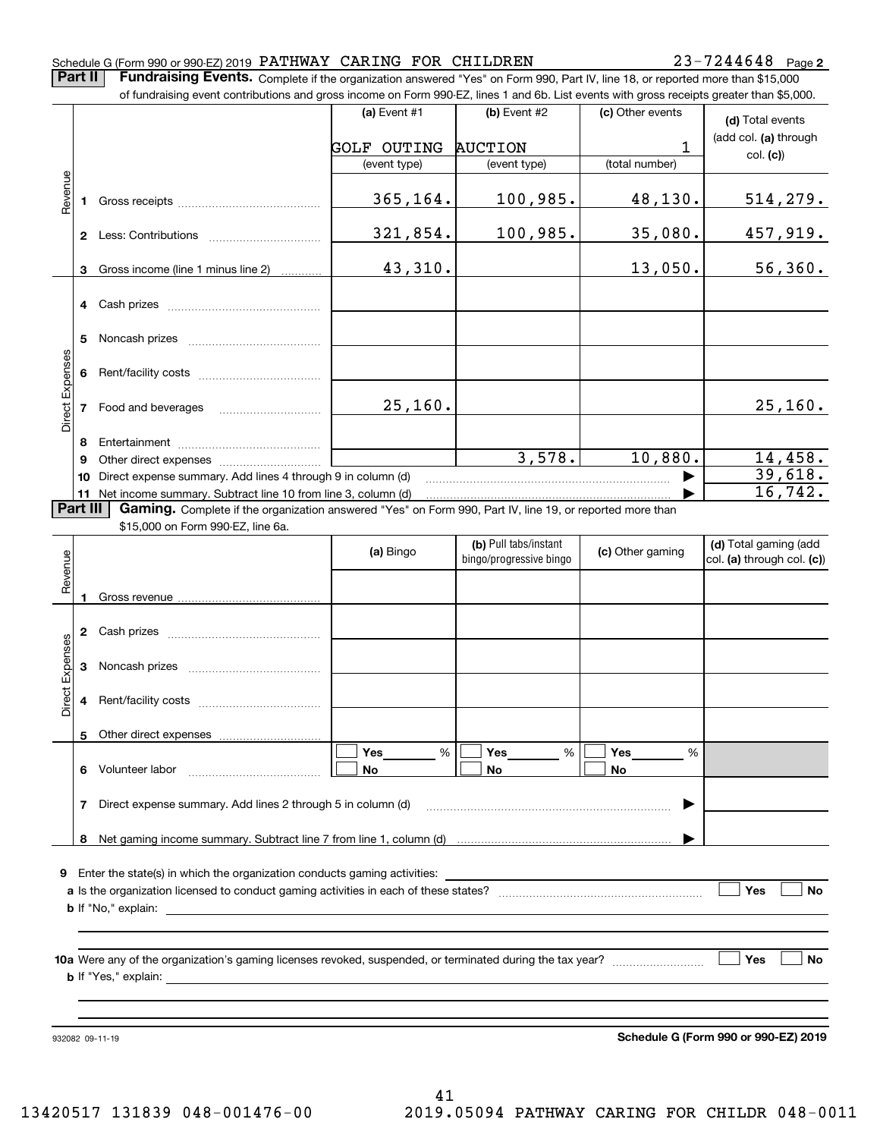#### Schedule G (Form 990 or 990-EZ) 2019 Page PATHWAY CARING FOR CHILDREN 23-7244648

**2**

**Part II** | Fundraising Events. Complete if the organization answered "Yes" on Form 990, Part IV, line 18, or reported more than \$15,000 of fundraising event contributions and gross income on Form 990-EZ, lines 1 and 6b. List events with gross receipts greater than \$5,000.

|                 |    | or iuridraising event contributions and gross income on Form 990-EZ, lines T and 6D. List events with gross receipts greater than \$5,000.    |                    |                         |                  |                                      |
|-----------------|----|-----------------------------------------------------------------------------------------------------------------------------------------------|--------------------|-------------------------|------------------|--------------------------------------|
|                 |    |                                                                                                                                               | (a) Event $#1$     | $(b)$ Event #2          | (c) Other events | (d) Total events                     |
|                 |    |                                                                                                                                               | <b>GOLF OUTING</b> | <b>AUCTION</b>          | 1                | (add col. (a) through                |
|                 |    |                                                                                                                                               | (event type)       | (event type)            | (total number)   | col. (c)                             |
| Revenue         | 1. |                                                                                                                                               | 365,164.           | 100,985.                | 48,130.          | 514, 279.                            |
|                 |    |                                                                                                                                               | 321,854.           | 100,985.                | 35,080.          | 457,919.                             |
|                 | 3  | Gross income (line 1 minus line 2)                                                                                                            | 43,310.            |                         | 13,050.          | 56,360.                              |
|                 |    | 4 Cash prizes                                                                                                                                 |                    |                         |                  |                                      |
|                 | 5  |                                                                                                                                               |                    |                         |                  |                                      |
| Direct Expenses | 6  |                                                                                                                                               |                    |                         |                  |                                      |
|                 | 7  | Food and beverages                                                                                                                            | 25, 160.           |                         |                  | 25, 160.                             |
|                 | 8  |                                                                                                                                               |                    |                         |                  |                                      |
|                 | 9  |                                                                                                                                               |                    | 3,578.                  | 10,880.          | 14, 458.                             |
|                 | 10 | Direct expense summary. Add lines 4 through 9 in column (d)                                                                                   |                    |                         |                  | 39,618.                              |
|                 |    | 11 Net income summary. Subtract line 10 from line 3, column (d)                                                                               |                    |                         |                  | $\overline{1}6$ ,742.                |
| Part III        |    | Gaming. Complete if the organization answered "Yes" on Form 990, Part IV, line 19, or reported more than<br>\$15,000 on Form 990-EZ, line 6a. |                    |                         |                  |                                      |
|                 |    |                                                                                                                                               |                    | (b) Pull tabs/instant   |                  | (d) Total gaming (add                |
| Revenue         |    |                                                                                                                                               | (a) Bingo          | bingo/progressive bingo | (c) Other gaming | col. (a) through col. (c))           |
|                 | 1  |                                                                                                                                               |                    |                         |                  |                                      |
|                 |    |                                                                                                                                               |                    |                         |                  |                                      |
|                 | 3  |                                                                                                                                               |                    |                         |                  |                                      |
| Direct Expenses | 4  |                                                                                                                                               |                    |                         |                  |                                      |
|                 |    | 5 Other direct expenses                                                                                                                       |                    |                         |                  |                                      |
|                 |    |                                                                                                                                               | Yes<br>%           | Yes<br>%                | Yes<br>%         |                                      |
|                 | 6  | Volunteer labor                                                                                                                               | No                 | No                      | No               |                                      |
|                 | 7  | Direct expense summary. Add lines 2 through 5 in column (d)                                                                                   |                    |                         |                  |                                      |
|                 | 8  |                                                                                                                                               |                    |                         |                  |                                      |
|                 |    |                                                                                                                                               |                    |                         |                  |                                      |
| 9               |    | Enter the state(s) in which the organization conducts gaming activities:                                                                      |                    |                         |                  | Yes<br>No                            |
|                 |    |                                                                                                                                               |                    |                         |                  |                                      |
|                 |    |                                                                                                                                               |                    |                         |                  |                                      |
|                 |    |                                                                                                                                               |                    |                         |                  |                                      |
|                 |    | <b>b</b> If "Yes," explain: <b>b</b> If "Yes," explain:                                                                                       |                    |                         |                  | ∣ Yes<br>No                          |
|                 |    |                                                                                                                                               |                    |                         |                  |                                      |
|                 |    |                                                                                                                                               |                    |                         |                  |                                      |
|                 |    | 932082 09-11-19                                                                                                                               |                    |                         |                  | Schedule G (Form 990 or 990-EZ) 2019 |

**Schedule G (Form 990 or 990-EZ) 2019**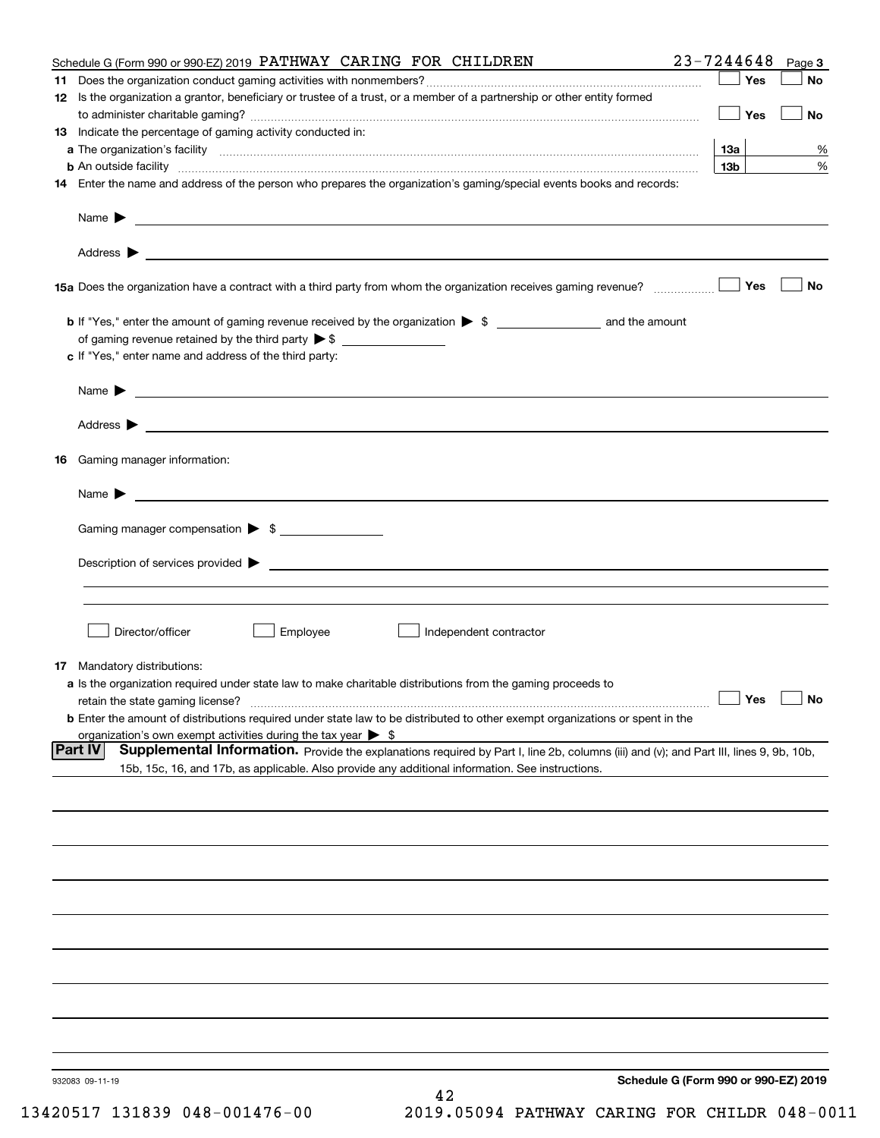|    | Schedule G (Form 990 or 990-EZ) 2019 PATHWAY CARING FOR CHILDREN                                                                                                                                                                           | 23-7244648                           | Page 3    |
|----|--------------------------------------------------------------------------------------------------------------------------------------------------------------------------------------------------------------------------------------------|--------------------------------------|-----------|
|    |                                                                                                                                                                                                                                            |                                      | Yes<br>No |
|    | 12 Is the organization a grantor, beneficiary or trustee of a trust, or a member of a partnership or other entity formed                                                                                                                   |                                      | Yes<br>No |
|    | <b>13</b> Indicate the percentage of gaming activity conducted in:                                                                                                                                                                         |                                      |           |
|    |                                                                                                                                                                                                                                            | 13а                                  | %         |
|    | <b>b</b> An outside facility <b>contained an according to the contract of the contract of the contract of the contract of the contract of the contract of the contract of the contract of the contract of the contract of the contrac</b>  | 13 <sub>b</sub>                      | %         |
|    | 14 Enter the name and address of the person who prepares the organization's gaming/special events books and records:                                                                                                                       |                                      |           |
|    |                                                                                                                                                                                                                                            |                                      |           |
|    |                                                                                                                                                                                                                                            |                                      |           |
|    |                                                                                                                                                                                                                                            |                                      | No<br>Yes |
|    |                                                                                                                                                                                                                                            |                                      |           |
|    | of gaming revenue retained by the third party $\triangleright$ \$                                                                                                                                                                          |                                      |           |
|    | c If "Yes," enter name and address of the third party:                                                                                                                                                                                     |                                      |           |
|    | <u> 1989 - Andrea Stadt Britain, amerikansk politiker (d. 1989)</u><br>Name $\blacktriangleright$                                                                                                                                          |                                      |           |
|    |                                                                                                                                                                                                                                            |                                      |           |
| 16 | Gaming manager information:                                                                                                                                                                                                                |                                      |           |
|    | $Name \rightarrow$                                                                                                                                                                                                                         |                                      |           |
|    | Gaming manager compensation > \$                                                                                                                                                                                                           |                                      |           |
|    |                                                                                                                                                                                                                                            |                                      |           |
|    |                                                                                                                                                                                                                                            |                                      |           |
|    |                                                                                                                                                                                                                                            |                                      |           |
|    | Director/officer<br>Employee<br>Independent contractor                                                                                                                                                                                     |                                      |           |
|    | <b>17</b> Mandatory distributions:                                                                                                                                                                                                         |                                      |           |
|    | a Is the organization required under state law to make charitable distributions from the gaming proceeds to                                                                                                                                |                                      |           |
|    | retain the state gaming license?                                                                                                                                                                                                           | $\Box$ Yes                           | $\Box$ No |
|    | <b>b</b> Enter the amount of distributions required under state law to be distributed to other exempt organizations or spent in the                                                                                                        |                                      |           |
|    | organization's own exempt activities during the tax year $\triangleright$ \$<br><b>Part IV</b>                                                                                                                                             |                                      |           |
|    | Supplemental Information. Provide the explanations required by Part I, line 2b, columns (iii) and (v); and Part III, lines 9, 9b, 10b,<br>15b, 15c, 16, and 17b, as applicable. Also provide any additional information. See instructions. |                                      |           |
|    |                                                                                                                                                                                                                                            |                                      |           |
|    |                                                                                                                                                                                                                                            |                                      |           |
|    |                                                                                                                                                                                                                                            |                                      |           |
|    |                                                                                                                                                                                                                                            |                                      |           |
|    |                                                                                                                                                                                                                                            |                                      |           |
|    |                                                                                                                                                                                                                                            |                                      |           |
|    |                                                                                                                                                                                                                                            |                                      |           |
|    |                                                                                                                                                                                                                                            |                                      |           |
|    |                                                                                                                                                                                                                                            |                                      |           |
|    | 932083 09-11-19                                                                                                                                                                                                                            | Schedule G (Form 990 or 990-EZ) 2019 |           |
|    | 42                                                                                                                                                                                                                                         |                                      |           |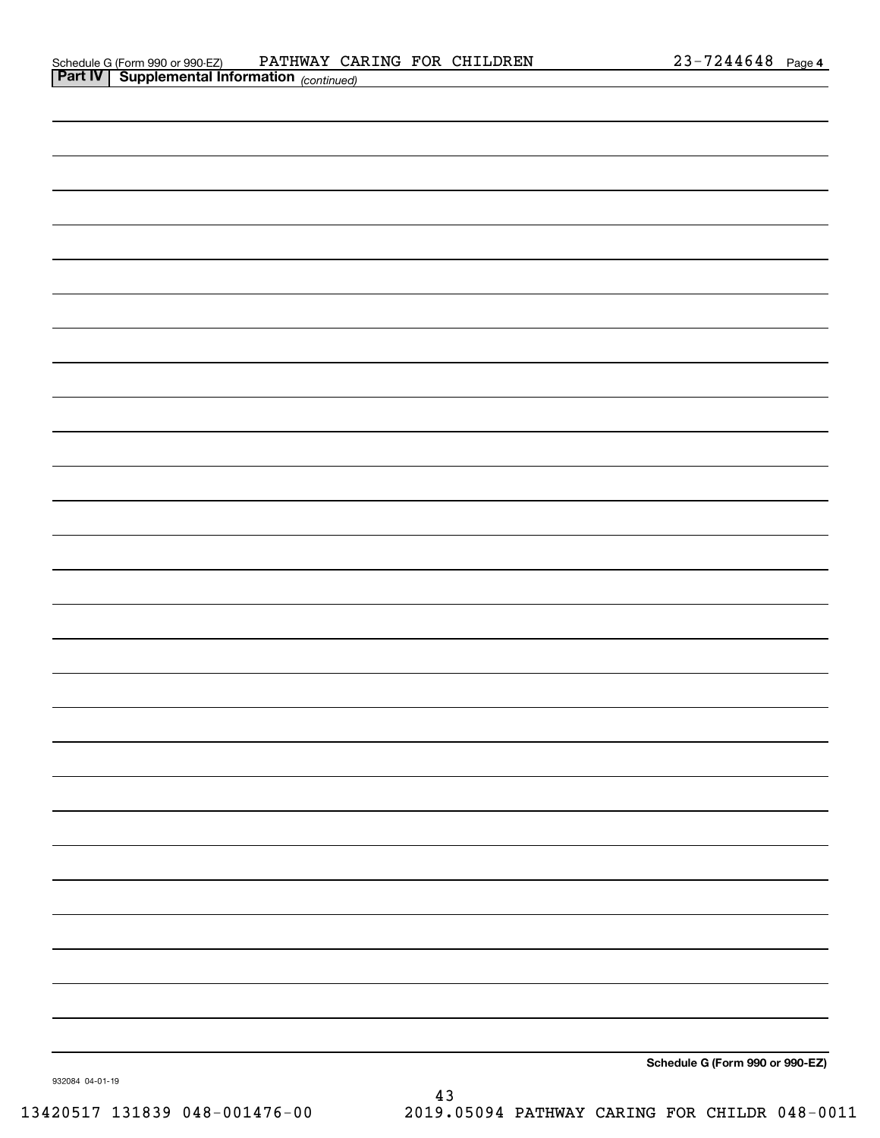| <b>Part IV   Supplemental Information (continued)</b> |                                 |
|-------------------------------------------------------|---------------------------------|
|                                                       |                                 |
|                                                       |                                 |
|                                                       |                                 |
|                                                       |                                 |
|                                                       |                                 |
|                                                       |                                 |
|                                                       |                                 |
|                                                       |                                 |
|                                                       |                                 |
|                                                       |                                 |
|                                                       |                                 |
|                                                       |                                 |
|                                                       |                                 |
|                                                       |                                 |
|                                                       |                                 |
|                                                       |                                 |
|                                                       |                                 |
|                                                       |                                 |
|                                                       |                                 |
|                                                       |                                 |
|                                                       |                                 |
|                                                       |                                 |
|                                                       |                                 |
|                                                       |                                 |
|                                                       |                                 |
|                                                       |                                 |
|                                                       |                                 |
|                                                       |                                 |
|                                                       | Schedule G (Form 990 or 990-EZ) |

932084 04-01-19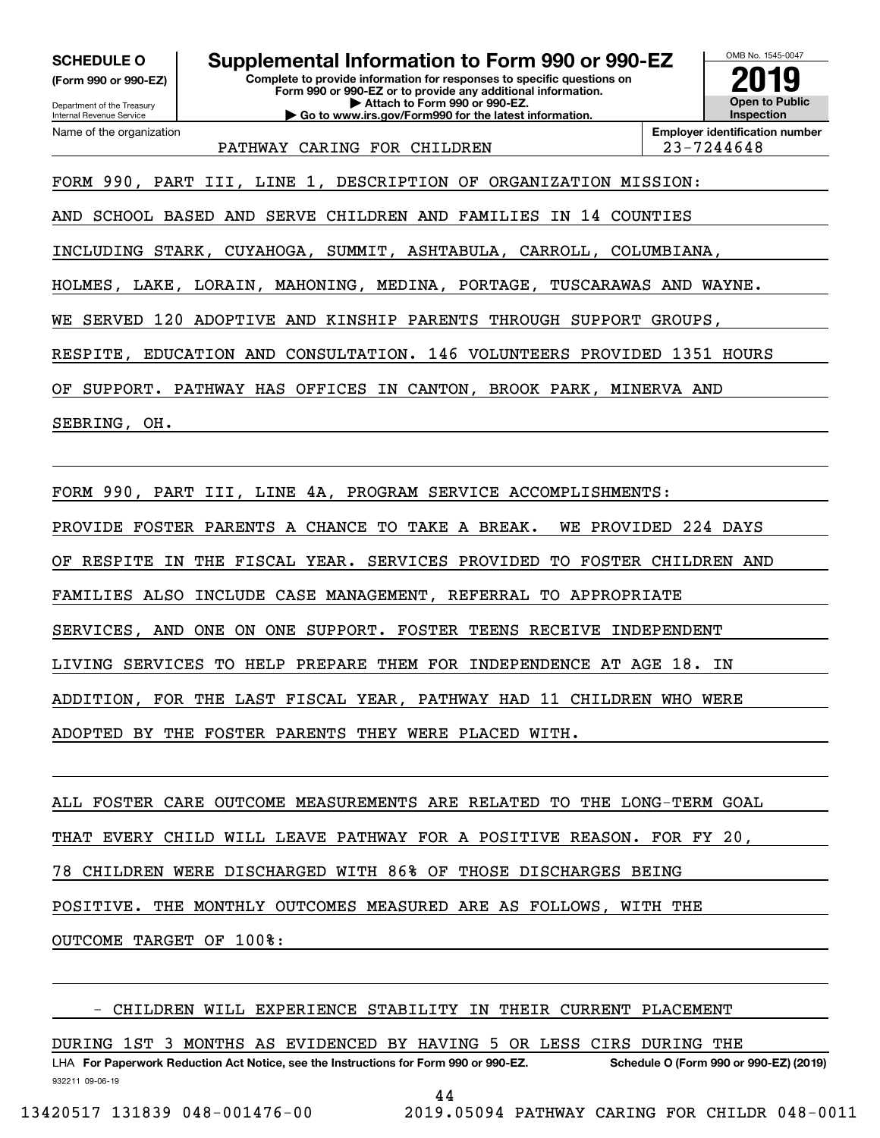Department of the Treasury **(Form 990 or 990-EZ)**

Name of the organization

Internal Revenue Service

**SCHEDULE O Supplemental Information to Form 990 or 990-EZ**

**Complete to provide information for responses to specific questions on Form 990 or 990-EZ or to provide any additional information. | Attach to Form 990 or 990-EZ. | Go to www.irs.gov/Form990 for the latest information.**



PATHWAY CARING FOR CHILDREN | 23-7244648

**Employer identification number**

FORM 990, PART III, LINE 1, DESCRIPTION OF ORGANIZATION MISSION:

AND SCHOOL BASED AND SERVE CHILDREN AND FAMILIES IN 14 COUNTIES

INCLUDING STARK, CUYAHOGA, SUMMIT, ASHTABULA, CARROLL, COLUMBIANA,

HOLMES, LAKE, LORAIN, MAHONING, MEDINA, PORTAGE, TUSCARAWAS AND WAYNE.

WE SERVED 120 ADOPTIVE AND KINSHIP PARENTS THROUGH SUPPORT GROUPS,

RESPITE, EDUCATION AND CONSULTATION. 146 VOLUNTEERS PROVIDED 1351 HOURS

OF SUPPORT. PATHWAY HAS OFFICES IN CANTON, BROOK PARK, MINERVA AND

SEBRING, OH.

FORM 990, PART III, LINE 4A, PROGRAM SERVICE ACCOMPLISHMENTS:

PROVIDE FOSTER PARENTS A CHANCE TO TAKE A BREAK. WE PROVIDED 224 DAYS

OF RESPITE IN THE FISCAL YEAR. SERVICES PROVIDED TO FOSTER CHILDREN AND

FAMILIES ALSO INCLUDE CASE MANAGEMENT, REFERRAL TO APPROPRIATE

SERVICES, AND ONE ON ONE SUPPORT. FOSTER TEENS RECEIVE INDEPENDENT

LIVING SERVICES TO HELP PREPARE THEM FOR INDEPENDENCE AT AGE 18. IN

ADDITION, FOR THE LAST FISCAL YEAR, PATHWAY HAD 11 CHILDREN WHO WERE

ADOPTED BY THE FOSTER PARENTS THEY WERE PLACED WITH.

ALL FOSTER CARE OUTCOME MEASUREMENTS ARE RELATED TO THE LONG-TERM GOAL THAT EVERY CHILD WILL LEAVE PATHWAY FOR A POSITIVE REASON. FOR FY 20, 78 CHILDREN WERE DISCHARGED WITH 86% OF THOSE DISCHARGES BEING POSITIVE. THE MONTHLY OUTCOMES MEASURED ARE AS FOLLOWS, WITH THE OUTCOME TARGET OF 100%:

- CHILDREN WILL EXPERIENCE STABILITY IN THEIR CURRENT PLACEMENT

DURING 1ST 3 MONTHS AS EVIDENCED BY HAVING 5 OR LESS CIRS DURING THE

932211 09-06-19 LHA For Paperwork Reduction Act Notice, see the Instructions for Form 990 or 990-EZ. Schedule O (Form 990 or 990-EZ) (2019)

44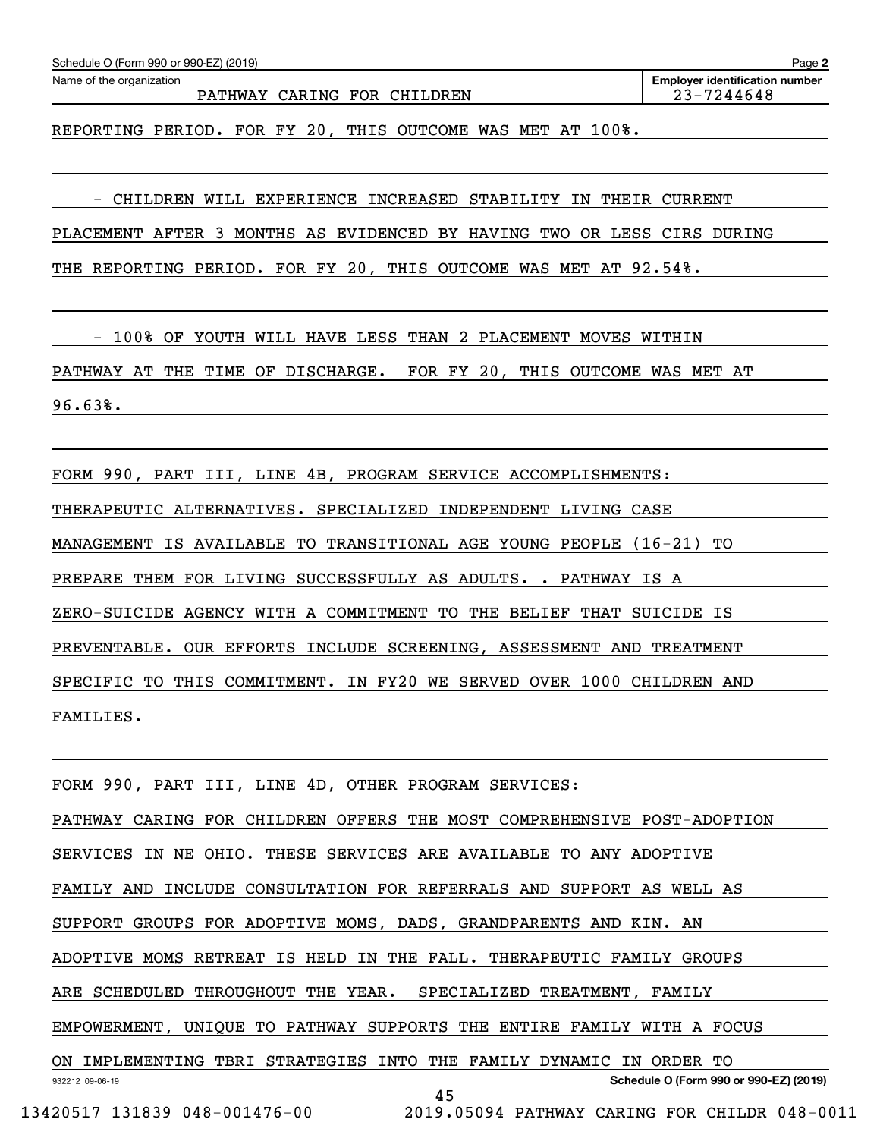| FORM 990, PART III, LINE 4B, PROGRAM SERVICE ACCOMPLISHMENTS:  |                                                                         |
|----------------------------------------------------------------|-------------------------------------------------------------------------|
| THERAPEUTIC ALTERNATIVES. SPECIALIZED INDEPENDENT LIVING CASE  |                                                                         |
|                                                                | MANAGEMENT IS AVAILABLE TO TRANSITIONAL AGE YOUNG PEOPLE (16-21) TO     |
| PREPARE THEM FOR LIVING SUCCESSFULLY AS ADULTS. . PATHWAY IS A |                                                                         |
|                                                                | ZERO-SUICIDE AGENCY WITH A COMMITMENT TO THE BELIEF THAT SUICIDE IS     |
|                                                                | PREVENTABLE. OUR EFFORTS INCLUDE SCREENING, ASSESSMENT AND TREATMENT    |
|                                                                | SPECIFIC TO THIS COMMITMENT. IN FY20 WE SERVED OVER 1000 CHILDREN AND   |
| FAMILIES.                                                      |                                                                         |
|                                                                |                                                                         |
| FORM 990, PART III, LINE 4D, OTHER PROGRAM SERVICES:           |                                                                         |
|                                                                | PATHWAY CARING FOR CHILDREN OFFERS THE MOST COMPREHENSIVE POST-ADOPTION |
|                                                                | SERVICES IN NE OHIO. THESE SERVICES ARE AVAILABLE TO ANY ADOPTIVE       |
|                                                                | FAMILY AND INCLUDE CONSULTATION FOR REFERRALS AND SUPPORT AS WELL AS    |
|                                                                | SUPPORT GROUPS FOR ADOPTIVE MOMS, DADS, GRANDPARENTS AND KIN. AN        |
|                                                                | ADOPTIVE MOMS RETREAT IS HELD IN THE FALL. THERAPEUTIC FAMILY GROUPS    |
| ARE SCHEDULED THROUGHOUT THE YEAR.                             | SPECIALIZED TREATMENT, FAMILY                                           |
|                                                                | EMPOWERMENT, UNIQUE TO PATHWAY SUPPORTS THE ENTIRE FAMILY WITH A FOCUS  |
|                                                                | ON IMPLEMENTING TBRI STRATEGIES INTO THE FAMILY DYNAMIC IN ORDER TO     |
| 932212 09-06-19                                                | Schedule O (Form 990 or 990-EZ) (2019)<br>45                            |
| 13420517 131839 048-001476-00                                  | 2019.05094 PATHWAY CARING FOR CHILDR 048-0011                           |
|                                                                |                                                                         |

PATHWAY CARING FOR CHILDREN 23-7244648

**2** Echedule O (Form 990 or 990-EZ) (2019)<br>Name of the organization **number** Name of the organization **page Name of the organization number** 

REPORTING PERIOD. FOR FY 20, THIS OUTCOME WAS MET AT 100%.

- CHILDREN WILL EXPERIENCE INCREASED STABILITY IN THEIR CURRENT

PLACEMENT AFTER 3 MONTHS AS EVIDENCED BY HAVING TWO OR LESS CIRS DURING

THE REPORTING PERIOD. FOR FY 20, THIS OUTCOME WAS MET AT 92.54%.

 - 100% OF YOUTH WILL HAVE LESS THAN 2 PLACEMENT MOVES WITHIN PATHWAY AT THE TIME OF DISCHARGE. FOR FY 20, THIS OUTCOME WAS MET AT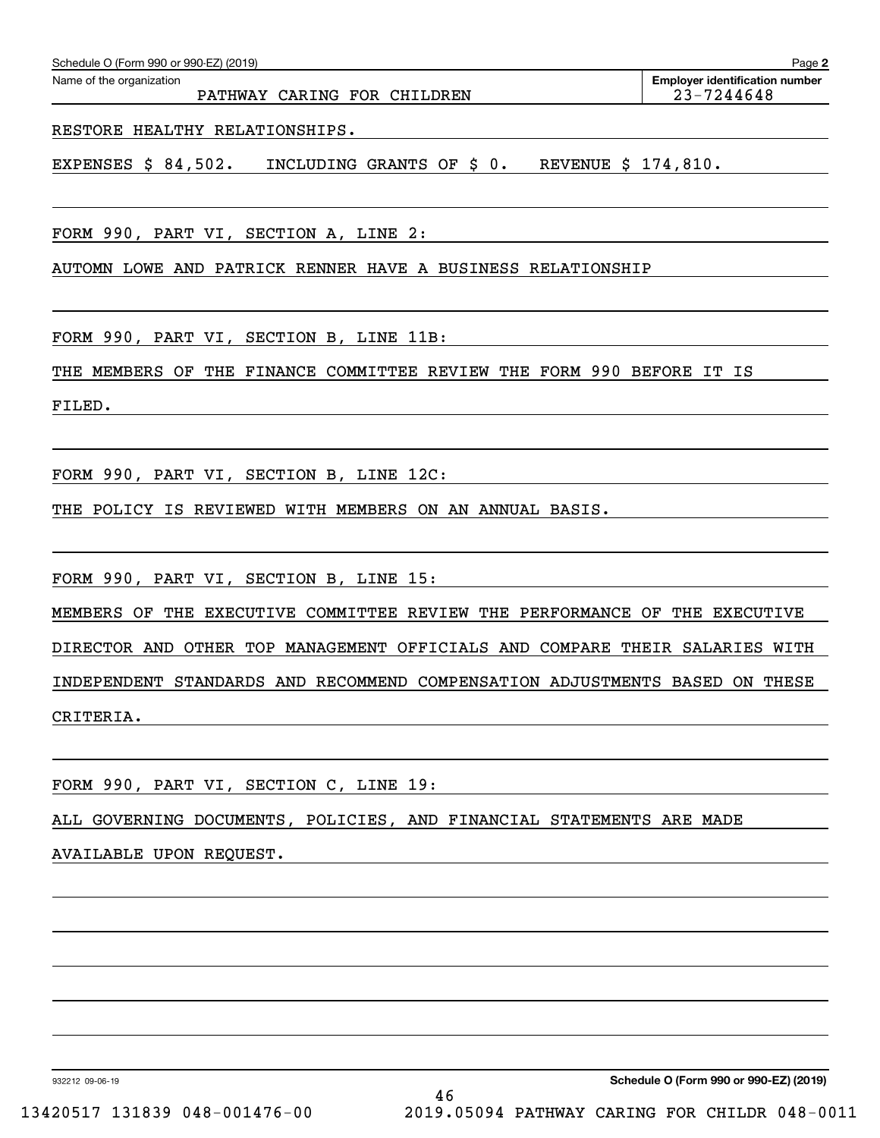| Schedule O (Form 990 or 990-EZ) (2019) |  |  |  |  |
|----------------------------------------|--|--|--|--|
|----------------------------------------|--|--|--|--|

RESTORE HEALTHY RELATIONSHIPS.

EXPENSES \$ 84,502. INCLUDING GRANTS OF \$ 0. REVENUE \$ 174,810.

FORM 990, PART VI, SECTION A, LINE 2:

AUTOMN LOWE AND PATRICK RENNER HAVE A BUSINESS RELATIONSHIP

FORM 990, PART VI, SECTION B, LINE 11B:

THE MEMBERS OF THE FINANCE COMMITTEE REVIEW THE FORM 990 BEFORE IT IS

FILED.

FORM 990, PART VI, SECTION B, LINE 12C:

THE POLICY IS REVIEWED WITH MEMBERS ON AN ANNUAL BASIS.

FORM 990, PART VI, SECTION B, LINE 15:

MEMBERS OF THE EXECUTIVE COMMITTEE REVIEW THE PERFORMANCE OF THE EXECUTIVE DIRECTOR AND OTHER TOP MANAGEMENT OFFICIALS AND COMPARE THEIR SALARIES WITH INDEPENDENT STANDARDS AND RECOMMEND COMPENSATION ADJUSTMENTS BASED ON THESE CRITERIA.

FORM 990, PART VI, SECTION C, LINE 19:

ALL GOVERNING DOCUMENTS, POLICIES, AND FINANCIAL STATEMENTS ARE MADE

AVAILABLE UPON REQUEST.

932212 09-06-19